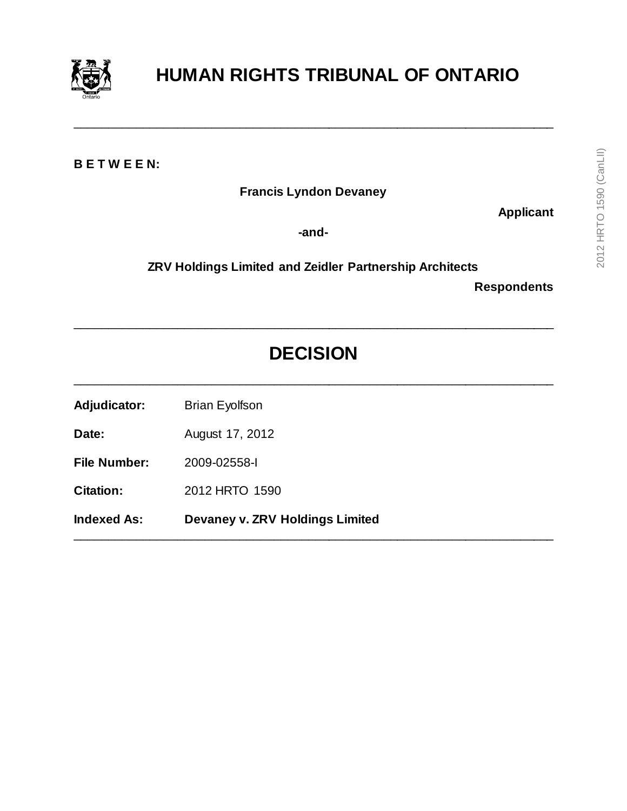

# **HUMAN RIGHTS TRIBUNAL OF ONTARIO**

**B E T W E E N:**

**Francis Lyndon Devaney**

\_\_\_\_\_\_\_\_\_\_\_\_\_\_\_\_\_\_\_\_\_\_\_\_\_\_\_\_\_\_\_\_\_\_\_\_\_\_\_\_\_\_\_\_\_\_\_\_\_\_\_\_\_\_\_\_\_\_\_\_\_\_\_\_\_\_\_\_\_\_

**Applicant**

**-and-**

**ZRV Holdings Limited and Zeidler Partnership Architects**

**Respondents**

# **DECISION**

\_\_\_\_\_\_\_\_\_\_\_\_\_\_\_\_\_\_\_\_\_\_\_\_\_\_\_\_\_\_\_\_\_\_\_\_\_\_\_\_\_\_\_\_\_\_\_\_\_\_\_\_\_\_\_\_\_\_\_\_\_\_\_\_\_\_\_\_\_\_

\_\_\_\_\_\_\_\_\_\_\_\_\_\_\_\_\_\_\_\_\_\_\_\_\_\_\_\_\_\_\_\_\_\_\_\_\_\_\_\_\_\_\_\_\_\_\_\_\_\_\_\_\_\_\_\_\_\_\_\_\_\_\_\_\_\_\_\_\_\_

\_\_\_\_\_\_\_\_\_\_\_\_\_\_\_\_\_\_\_\_\_\_\_\_\_\_\_\_\_\_\_\_\_\_\_\_\_\_\_\_\_\_\_\_\_\_\_\_\_\_\_\_\_\_\_\_\_\_\_\_\_\_\_\_\_\_\_\_\_\_

Adjudicator: Brian Eyolfson

**Date:** August 17, 2012

**File Number:** 2009-02558-I

**Citation:** 2012 HRTO 1590

**Indexed As: Devaney v. ZRV Holdings Limited**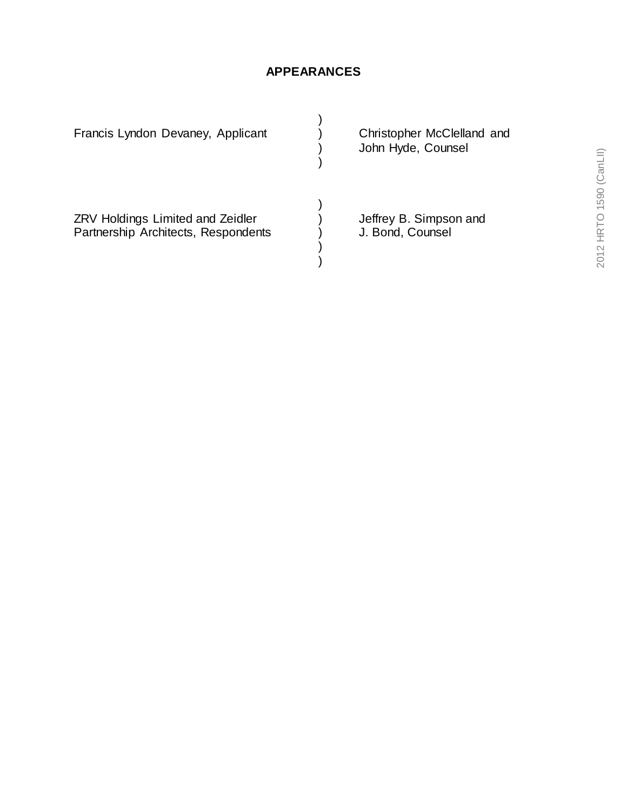# **APPEARANCES**

| Francis Lyndon Devaney, Applicant                                              | Christopher McClelland and<br>John Hyde, Counsel |
|--------------------------------------------------------------------------------|--------------------------------------------------|
| <b>ZRV Holdings Limited and Zeidler</b><br>Partnership Architects, Respondents | Jeffrey B. Simpson and<br>J. Bond, Counsel       |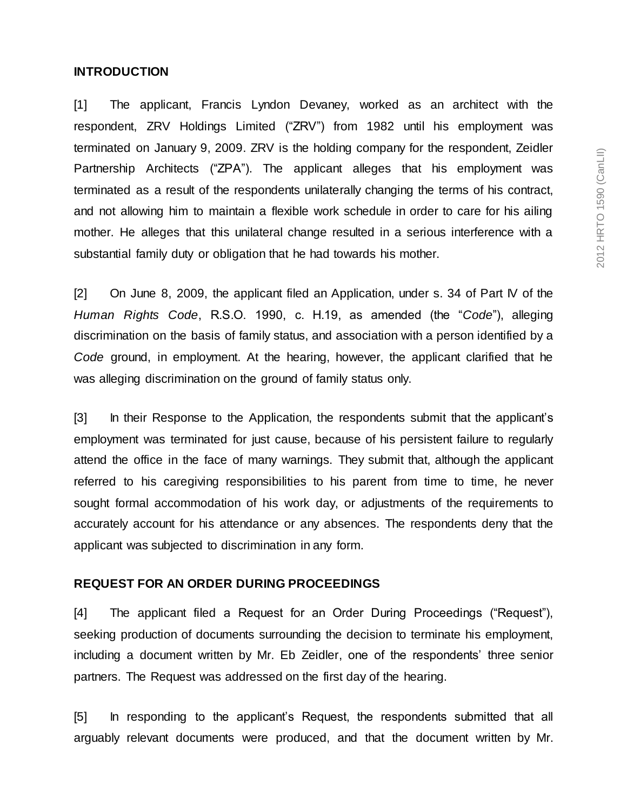#### **INTRODUCTION**

[1] The applicant, Francis Lyndon Devaney, worked as an architect with the respondent, ZRV Holdings Limited ("ZRV") from 1982 until his employment was terminated on January 9, 2009. ZRV is the holding company for the respondent, Zeidler Partnership Architects ("ZPA"). The applicant alleges that his employment was terminated as a result of the respondents unilaterally changing the terms of his contract, and not allowing him to maintain a flexible work schedule in order to care for his ailing mother. He alleges that this unilateral change resulted in a serious interference with a substantial family duty or obligation that he had towards his mother.

[2] On June 8, 2009, the applicant filed an Application, under s. 34 of Part IV of the *Human Rights Code*, R.S.O. 1990, c. H.19, as amended (the "*Code*"), alleging discrimination on the basis of family status, and association with a person identified by a *Code* ground, in employment. At the hearing, however, the applicant clarified that he was alleging discrimination on the ground of family status only.

[3] In their Response to the Application, the respondents submit that the applicant's employment was terminated for just cause, because of his persistent failure to regularly attend the office in the face of many warnings. They submit that, although the applicant referred to his caregiving responsibilities to his parent from time to time, he never sought formal accommodation of his work day, or adjustments of the requirements to accurately account for his attendance or any absences. The respondents deny that the applicant was subjected to discrimination in any form.

#### **REQUEST FOR AN ORDER DURING PROCEEDINGS**

[4] The applicant filed a Request for an Order During Proceedings ("Request"), seeking production of documents surrounding the decision to terminate his employment, including a document written by Mr. Eb Zeidler, one of the respondents' three senior partners. The Request was addressed on the first day of the hearing.

[5] In responding to the applicant's Request, the respondents submitted that all arguably relevant documents were produced, and that the document written by Mr.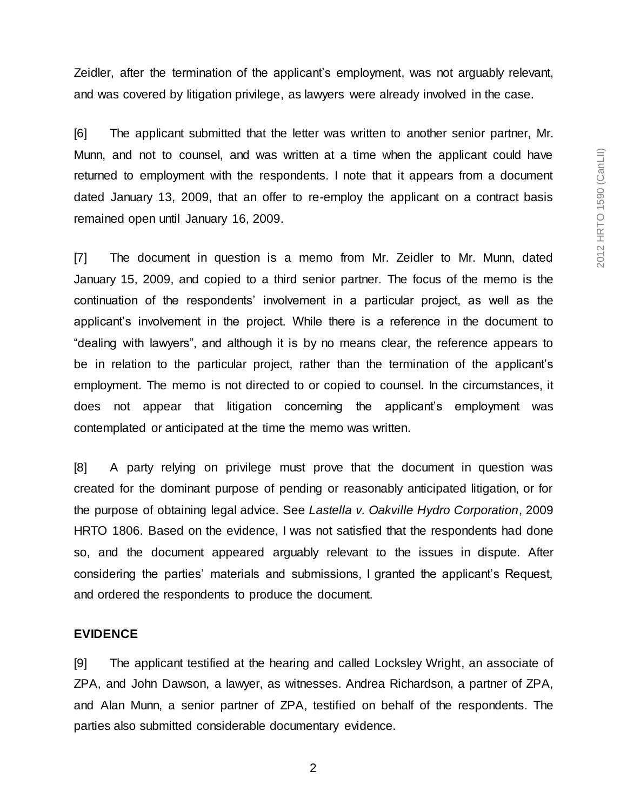Zeidler, after the termination of the applicant's employment, was not arguably relevant, and was covered by litigation privilege, as lawyers were already involved in the case.

[6] The applicant submitted that the letter was written to another senior partner, Mr. Munn, and not to counsel, and was written at a time when the applicant could have returned to employment with the respondents. I note that it appears from a document dated January 13, 2009, that an offer to re-employ the applicant on a contract basis remained open until January 16, 2009.

[7] The document in question is a memo from Mr. Zeidler to Mr. Munn, dated January 15, 2009, and copied to a third senior partner. The focus of the memo is the continuation of the respondents' involvement in a particular project, as well as the applicant's involvement in the project. While there is a reference in the document to "dealing with lawyers", and although it is by no means clear, the reference appears to be in relation to the particular project, rather than the termination of the applicant's employment. The memo is not directed to or copied to counsel. In the circumstances, it does not appear that litigation concerning the applicant's employment was contemplated or anticipated at the time the memo was written.

[8] A party relying on privilege must prove that the document in question was created for the dominant purpose of pending or reasonably anticipated litigation, or for the purpose of obtaining legal advice. See *Lastella v. Oakville Hydro Corporation*, 2009 HRTO 1806. Based on the evidence, I was not satisfied that the respondents had done so, and the document appeared arguably relevant to the issues in dispute. After considering the parties' materials and submissions, I granted the applicant's Request, and ordered the respondents to produce the document.

#### **EVIDENCE**

[9] The applicant testified at the hearing and called Locksley Wright, an associate of ZPA, and John Dawson, a lawyer, as witnesses. Andrea Richardson, a partner of ZPA, and Alan Munn, a senior partner of ZPA, testified on behalf of the respondents. The parties also submitted considerable documentary evidence.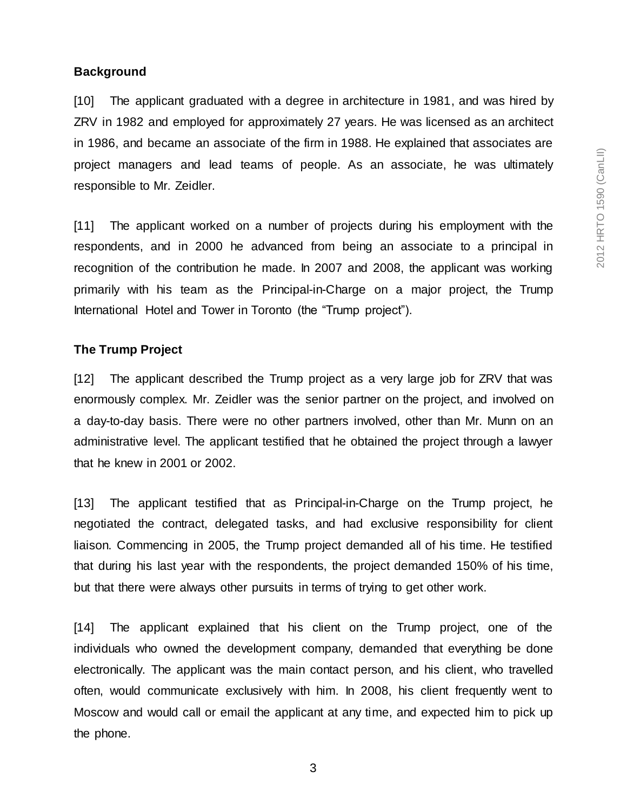# **Background**

[10] The applicant graduated with a degree in architecture in 1981, and was hired by ZRV in 1982 and employed for approximately 27 years. He was licensed as an architect in 1986, and became an associate of the firm in 1988. He explained that associates are project managers and lead teams of people. As an associate, he was ultimately responsible to Mr. Zeidler.

[11] The applicant worked on a number of projects during his employment with the respondents, and in 2000 he advanced from being an associate to a principal in recognition of the contribution he made. In 2007 and 2008, the applicant was working primarily with his team as the Principal-in-Charge on a major project, the Trump International Hotel and Tower in Toronto (the "Trump project").

# **The Trump Project**

[12] The applicant described the Trump project as a very large job for ZRV that was enormously complex. Mr. Zeidler was the senior partner on the project, and involved on a day-to-day basis. There were no other partners involved, other than Mr. Munn on an administrative level. The applicant testified that he obtained the project through a lawyer that he knew in 2001 or 2002.

[13] The applicant testified that as Principal-in-Charge on the Trump project, he negotiated the contract, delegated tasks, and had exclusive responsibility for client liaison. Commencing in 2005, the Trump project demanded all of his time. He testified that during his last year with the respondents, the project demanded 150% of his time, but that there were always other pursuits in terms of trying to get other work.

[14] The applicant explained that his client on the Trump project, one of the individuals who owned the development company, demanded that everything be done electronically. The applicant was the main contact person, and his client, who travelled often, would communicate exclusively with him. In 2008, his client frequently went to Moscow and would call or email the applicant at any time, and expected him to pick up the phone.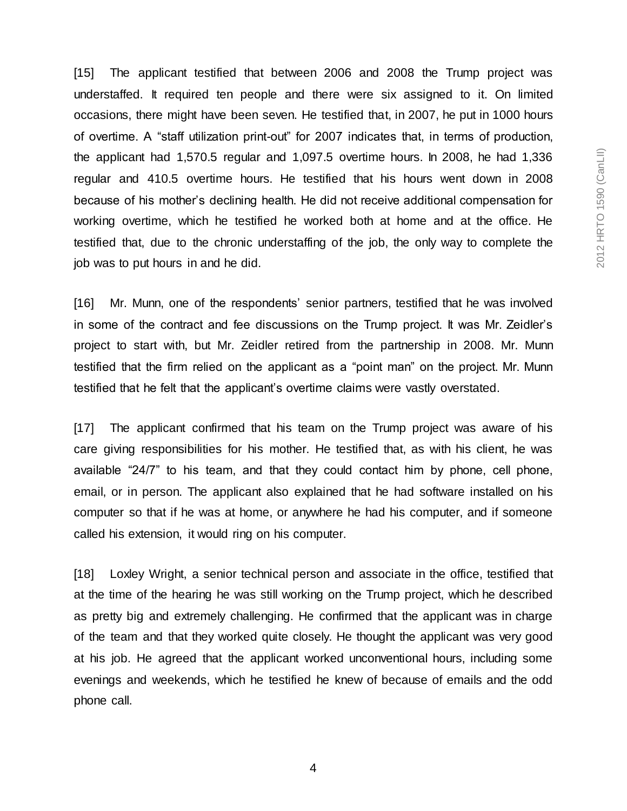[15] The applicant testified that between 2006 and 2008 the Trump project was understaffed. It required ten people and there were six assigned to it. On limited occasions, there might have been seven. He testified that, in 2007, he put in 1000 hours of overtime. A "staff utilization print-out" for 2007 indicates that, in terms of production, the applicant had 1,570.5 regular and 1,097.5 overtime hours. In 2008, he had 1,336 regular and 410.5 overtime hours. He testified that his hours went down in 2008 because of his mother's declining health. He did not receive additional compensation for working overtime, which he testified he worked both at home and at the office. He testified that, due to the chronic understaffing of the job, the only way to complete the job was to put hours in and he did.

[16] Mr. Munn, one of the respondents' senior partners, testified that he was involved in some of the contract and fee discussions on the Trump project. It was Mr. Zeidler's project to start with, but Mr. Zeidler retired from the partnership in 2008. Mr. Munn testified that the firm relied on the applicant as a "point man" on the project. Mr. Munn testified that he felt that the applicant's overtime claims were vastly overstated.

[17] The applicant confirmed that his team on the Trump project was aware of his care giving responsibilities for his mother. He testified that, as with his client, he was available "24/7" to his team, and that they could contact him by phone, cell phone, email, or in person. The applicant also explained that he had software installed on his computer so that if he was at home, or anywhere he had his computer, and if someone called his extension, it would ring on his computer.

[18] Loxley Wright, a senior technical person and associate in the office, testified that at the time of the hearing he was still working on the Trump project, which he described as pretty big and extremely challenging. He confirmed that the applicant was in charge of the team and that they worked quite closely. He thought the applicant was very good at his job. He agreed that the applicant worked unconventional hours, including some evenings and weekends, which he testified he knew of because of emails and the odd phone call.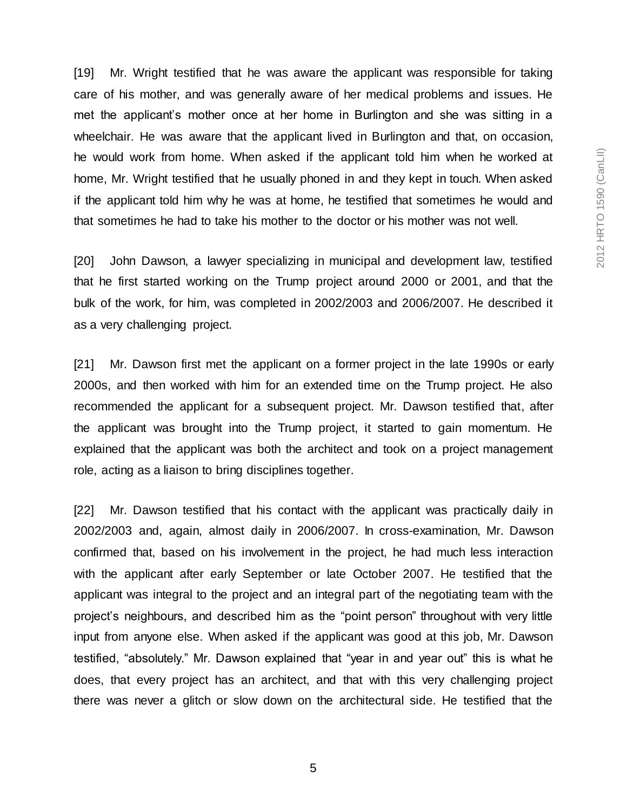[19] Mr. Wright testified that he was aware the applicant was responsible for taking care of his mother, and was generally aware of her medical problems and issues. He met the applicant's mother once at her home in Burlington and she was sitting in a wheelchair. He was aware that the applicant lived in Burlington and that, on occasion, he would work from home. When asked if the applicant told him when he worked at home, Mr. Wright testified that he usually phoned in and they kept in touch. When asked if the applicant told him why he was at home, he testified that sometimes he would and that sometimes he had to take his mother to the doctor or his mother was not well.

[20] John Dawson, a lawyer specializing in municipal and development law, testified that he first started working on the Trump project around 2000 or 2001, and that the bulk of the work, for him, was completed in 2002/2003 and 2006/2007. He described it as a very challenging project.

[21] Mr. Dawson first met the applicant on a former project in the late 1990s or early 2000s, and then worked with him for an extended time on the Trump project. He also recommended the applicant for a subsequent project. Mr. Dawson testified that, after the applicant was brought into the Trump project, it started to gain momentum. He explained that the applicant was both the architect and took on a project management role, acting as a liaison to bring disciplines together.

[22] Mr. Dawson testified that his contact with the applicant was practically daily in 2002/2003 and, again, almost daily in 2006/2007. In cross-examination, Mr. Dawson confirmed that, based on his involvement in the project, he had much less interaction with the applicant after early September or late October 2007. He testified that the applicant was integral to the project and an integral part of the negotiating team with the project's neighbours, and described him as the "point person" throughout with very little input from anyone else. When asked if the applicant was good at this job, Mr. Dawson testified, "absolutely." Mr. Dawson explained that "year in and year out" this is what he does, that every project has an architect, and that with this very challenging project there was never a glitch or slow down on the architectural side. He testified that the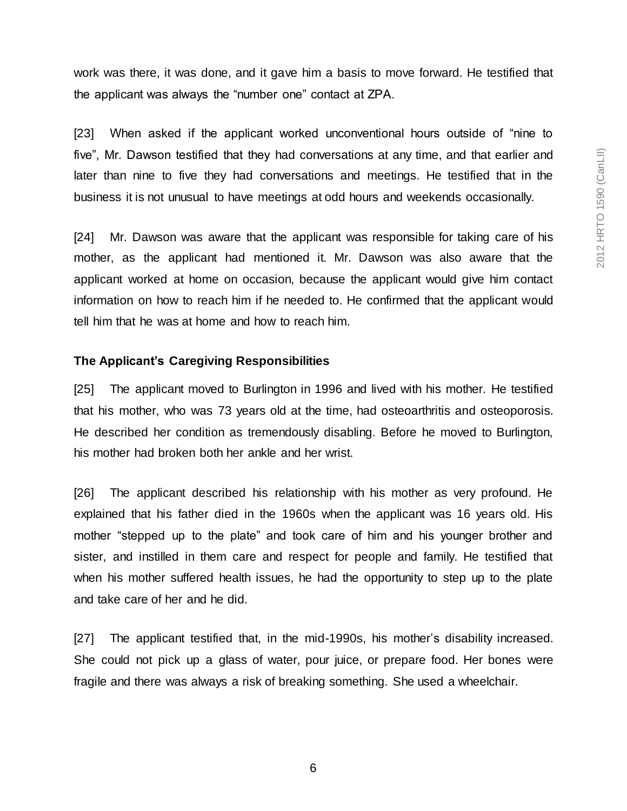work was there, it was done, and it gave him a basis to move forward. He testified that the applicant was always the "number one" contact at ZPA.

[23] When asked if the applicant worked unconventional hours outside of "nine to five", Mr. Dawson testified that they had conversations at any time, and that earlier and later than nine to five they had conversations and meetings. He testified that in the business it is not unusual to have meetings at odd hours and weekends occasionally.

[24] Mr. Dawson was aware that the applicant was responsible for taking care of his mother, as the applicant had mentioned it. Mr. Dawson was also aware that the applicant worked at home on occasion, because the applicant would give him contact information on how to reach him if he needed to. He confirmed that the applicant would tell him that he was at home and how to reach him.

#### **The Applicant's Caregiving Responsibilities**

[25] The applicant moved to Burlington in 1996 and lived with his mother. He testified that his mother, who was 73 years old at the time, had osteoarthritis and osteoporosis. He described her condition as tremendously disabling. Before he moved to Burlington, his mother had broken both her ankle and her wrist.

[26] The applicant described his relationship with his mother as very profound. He explained that his father died in the 1960s when the applicant was 16 years old. His mother "stepped up to the plate" and took care of him and his younger brother and sister, and instilled in them care and respect for people and family. He testified that when his mother suffered health issues, he had the opportunity to step up to the plate and take care of her and he did.

[27] The applicant testified that, in the mid-1990s, his mother's disability increased. She could not pick up a glass of water, pour juice, or prepare food. Her bones were fragile and there was always a risk of breaking something. She used a wheelchair.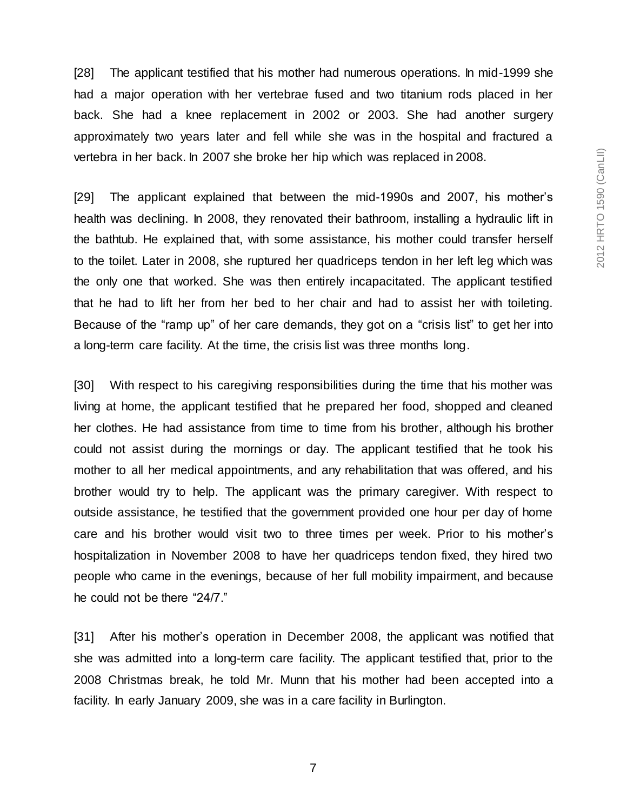[28] The applicant testified that his mother had numerous operations. In mid-1999 she had a major operation with her vertebrae fused and two titanium rods placed in her back. She had a knee replacement in 2002 or 2003. She had another surgery approximately two years later and fell while she was in the hospital and fractured a vertebra in her back. In 2007 she broke her hip which was replaced in 2008.

[29] The applicant explained that between the mid-1990s and 2007, his mother's health was declining. In 2008, they renovated their bathroom, installing a hydraulic lift in the bathtub. He explained that, with some assistance, his mother could transfer herself to the toilet. Later in 2008, she ruptured her quadriceps tendon in her left leg which was the only one that worked. She was then entirely incapacitated. The applicant testified that he had to lift her from her bed to her chair and had to assist her with toileting. Because of the "ramp up" of her care demands, they got on a "crisis list" to get her into a long-term care facility. At the time, the crisis list was three months long.

[30] With respect to his caregiving responsibilities during the time that his mother was living at home, the applicant testified that he prepared her food, shopped and cleaned her clothes. He had assistance from time to time from his brother, although his brother could not assist during the mornings or day. The applicant testified that he took his mother to all her medical appointments, and any rehabilitation that was offered, and his brother would try to help. The applicant was the primary caregiver. With respect to outside assistance, he testified that the government provided one hour per day of home care and his brother would visit two to three times per week. Prior to his mother's hospitalization in November 2008 to have her quadriceps tendon fixed, they hired two people who came in the evenings, because of her full mobility impairment, and because he could not be there "24/7."

[31] After his mother's operation in December 2008, the applicant was notified that she was admitted into a long-term care facility. The applicant testified that, prior to the 2008 Christmas break, he told Mr. Munn that his mother had been accepted into a facility. In early January 2009, she was in a care facility in Burlington.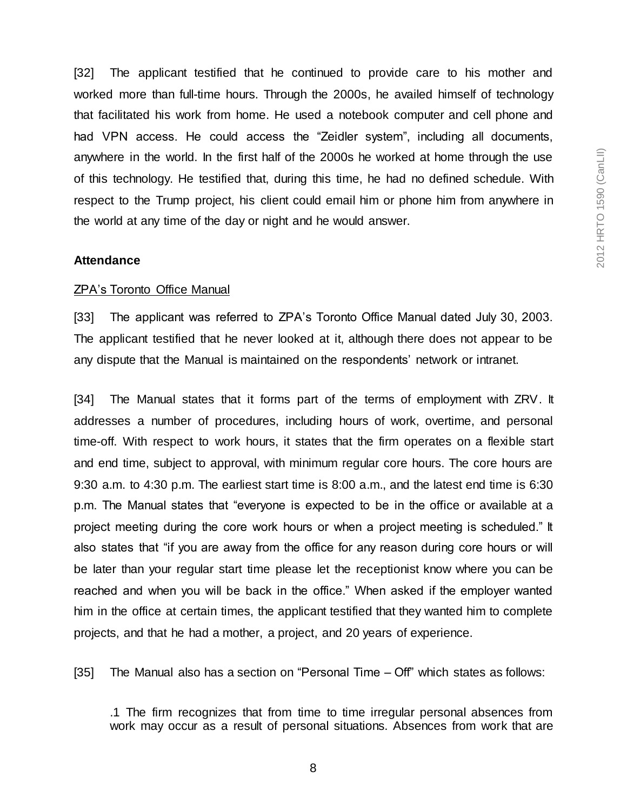2012 HRTO 1590 (CanLII) 2012 HRTO 1590 (CanLII)

[32] The applicant testified that he continued to provide care to his mother and worked more than full-time hours. Through the 2000s, he availed himself of technology that facilitated his work from home. He used a notebook computer and cell phone and had VPN access. He could access the "Zeidler system", including all documents, anywhere in the world. In the first half of the 2000s he worked at home through the use of this technology. He testified that, during this time, he had no defined schedule. With respect to the Trump project, his client could email him or phone him from anywhere in the world at any time of the day or night and he would answer.

#### **Attendance**

#### ZPA's Toronto Office Manual

[33] The applicant was referred to ZPA's Toronto Office Manual dated July 30, 2003. The applicant testified that he never looked at it, although there does not appear to be any dispute that the Manual is maintained on the respondents' network or intranet.

[34] The Manual states that it forms part of the terms of employment with ZRV. It addresses a number of procedures, including hours of work, overtime, and personal time-off. With respect to work hours, it states that the firm operates on a flexible start and end time, subject to approval, with minimum regular core hours. The core hours are 9:30 a.m. to 4:30 p.m. The earliest start time is 8:00 a.m., and the latest end time is 6:30 p.m. The Manual states that "everyone is expected to be in the office or available at a project meeting during the core work hours or when a project meeting is scheduled." It also states that "if you are away from the office for any reason during core hours or will be later than your regular start time please let the receptionist know where you can be reached and when you will be back in the office." When asked if the employer wanted him in the office at certain times, the applicant testified that they wanted him to complete projects, and that he had a mother, a project, and 20 years of experience.

[35] The Manual also has a section on "Personal Time – Off" which states as follows:

.1 The firm recognizes that from time to time irregular personal absences from work may occur as a result of personal situations. Absences from work that are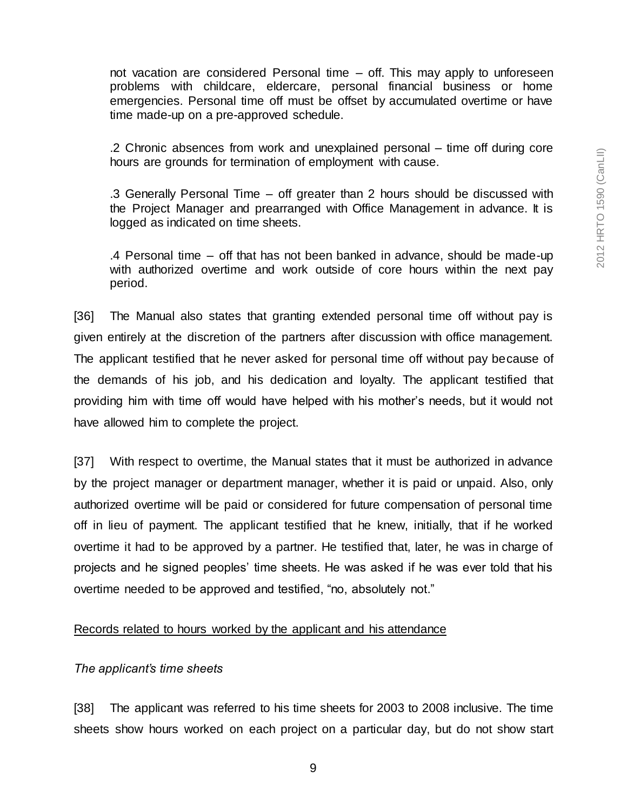not vacation are considered Personal time – off. This may apply to unforeseen problems with childcare, eldercare, personal financial business or home emergencies. Personal time off must be offset by accumulated overtime or have time made-up on a pre-approved schedule.

.2 Chronic absences from work and unexplained personal – time off during core hours are grounds for termination of employment with cause.

.3 Generally Personal Time – off greater than 2 hours should be discussed with the Project Manager and prearranged with Office Management in advance. It is logged as indicated on time sheets.

.4 Personal time – off that has not been banked in advance, should be made-up with authorized overtime and work outside of core hours within the next pay period.

[36] The Manual also states that granting extended personal time off without pay is given entirely at the discretion of the partners after discussion with office management. The applicant testified that he never asked for personal time off without pay because of the demands of his job, and his dedication and loyalty. The applicant testified that providing him with time off would have helped with his mother's needs, but it would not have allowed him to complete the project.

[37] With respect to overtime, the Manual states that it must be authorized in advance by the project manager or department manager, whether it is paid or unpaid. Also, only authorized overtime will be paid or considered for future compensation of personal time off in lieu of payment. The applicant testified that he knew, initially, that if he worked overtime it had to be approved by a partner. He testified that, later, he was in charge of projects and he signed peoples' time sheets. He was asked if he was ever told that his overtime needed to be approved and testified, "no, absolutely not."

# Records related to hours worked by the applicant and his attendance

# *The applicant's time sheets*

[38] The applicant was referred to his time sheets for 2003 to 2008 inclusive. The time sheets show hours worked on each project on a particular day, but do not show start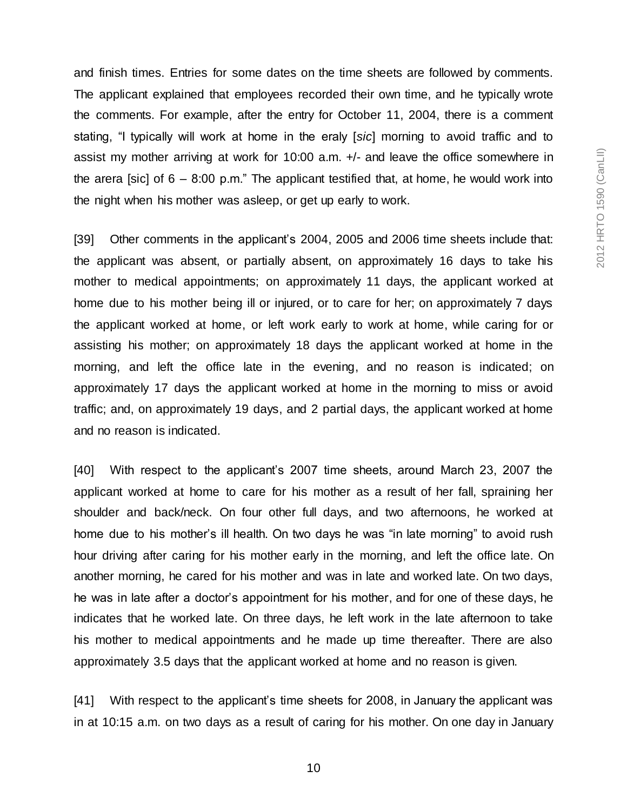and finish times. Entries for some dates on the time sheets are followed by comments. The applicant explained that employees recorded their own time, and he typically wrote the comments. For example, after the entry for October 11, 2004, there is a comment stating, "I typically will work at home in the eraly [*sic*] morning to avoid traffic and to assist my mother arriving at work for 10:00 a.m. +/- and leave the office somewhere in the arera [sic] of  $6 - 8.00$  p.m." The applicant testified that, at home, he would work into the night when his mother was asleep, or get up early to work.

[39] Other comments in the applicant's 2004, 2005 and 2006 time sheets include that: the applicant was absent, or partially absent, on approximately 16 days to take his mother to medical appointments; on approximately 11 days, the applicant worked at home due to his mother being ill or injured, or to care for her; on approximately 7 days the applicant worked at home, or left work early to work at home, while caring for or assisting his mother; on approximately 18 days the applicant worked at home in the morning, and left the office late in the evening, and no reason is indicated; on approximately 17 days the applicant worked at home in the morning to miss or avoid traffic; and, on approximately 19 days, and 2 partial days, the applicant worked at home and no reason is indicated.

[40] With respect to the applicant's 2007 time sheets, around March 23, 2007 the applicant worked at home to care for his mother as a result of her fall, spraining her shoulder and back/neck. On four other full days, and two afternoons, he worked at home due to his mother's ill health. On two days he was "in late morning" to avoid rush hour driving after caring for his mother early in the morning, and left the office late. On another morning, he cared for his mother and was in late and worked late. On two days, he was in late after a doctor's appointment for his mother, and for one of these days, he indicates that he worked late. On three days, he left work in the late afternoon to take his mother to medical appointments and he made up time thereafter. There are also approximately 3.5 days that the applicant worked at home and no reason is given.

[41] With respect to the applicant's time sheets for 2008, in January the applicant was in at 10:15 a.m. on two days as a result of caring for his mother. On one day in January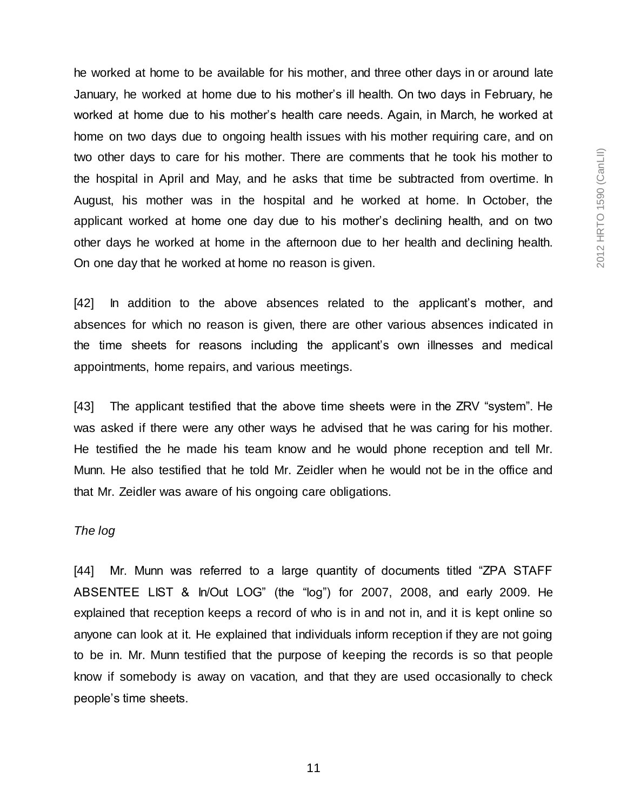he worked at home to be available for his mother, and three other days in or around late January, he worked at home due to his mother's ill health. On two days in February, he worked at home due to his mother's health care needs. Again, in March, he worked at home on two days due to ongoing health issues with his mother requiring care, and on two other days to care for his mother. There are comments that he took his mother to the hospital in April and May, and he asks that time be subtracted from overtime. In August, his mother was in the hospital and he worked at home. In October, the applicant worked at home one day due to his mother's declining health, and on two other days he worked at home in the afternoon due to her health and declining health. On one day that he worked at home no reason is given.

[42] In addition to the above absences related to the applicant's mother, and absences for which no reason is given, there are other various absences indicated in the time sheets for reasons including the applicant's own illnesses and medical appointments, home repairs, and various meetings.

[43] The applicant testified that the above time sheets were in the ZRV "system". He was asked if there were any other ways he advised that he was caring for his mother. He testified the he made his team know and he would phone reception and tell Mr. Munn. He also testified that he told Mr. Zeidler when he would not be in the office and that Mr. Zeidler was aware of his ongoing care obligations.

## *The log*

[44] Mr. Munn was referred to a large quantity of documents titled "ZPA STAFF ABSENTEE LIST & In/Out LOG" (the "log") for 2007, 2008, and early 2009. He explained that reception keeps a record of who is in and not in, and it is kept online so anyone can look at it. He explained that individuals inform reception if they are not going to be in. Mr. Munn testified that the purpose of keeping the records is so that people know if somebody is away on vacation, and that they are used occasionally to check people's time sheets.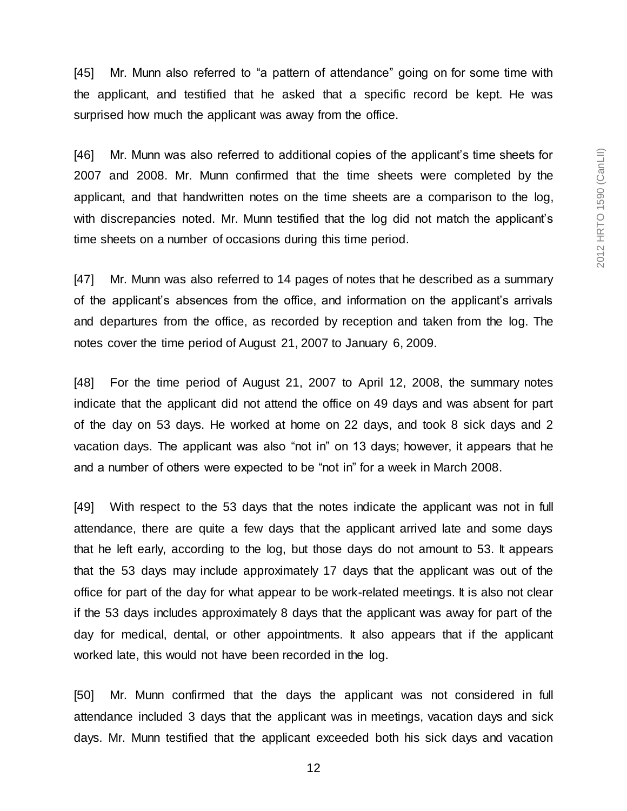[45] Mr. Munn also referred to "a pattern of attendance" going on for some time with the applicant, and testified that he asked that a specific record be kept. He was surprised how much the applicant was away from the office.

[46] Mr. Munn was also referred to additional copies of the applicant's time sheets for 2007 and 2008. Mr. Munn confirmed that the time sheets were completed by the applicant, and that handwritten notes on the time sheets are a comparison to the log, with discrepancies noted. Mr. Munn testified that the log did not match the applicant's time sheets on a number of occasions during this time period.

[47] Mr. Munn was also referred to 14 pages of notes that he described as a summary of the applicant's absences from the office, and information on the applicant's arrivals and departures from the office, as recorded by reception and taken from the log. The notes cover the time period of August 21, 2007 to January 6, 2009.

[48] For the time period of August 21, 2007 to April 12, 2008, the summary notes indicate that the applicant did not attend the office on 49 days and was absent for part of the day on 53 days. He worked at home on 22 days, and took 8 sick days and 2 vacation days. The applicant was also "not in" on 13 days; however, it appears that he and a number of others were expected to be "not in" for a week in March 2008.

[49] With respect to the 53 days that the notes indicate the applicant was not in full attendance, there are quite a few days that the applicant arrived late and some days that he left early, according to the log, but those days do not amount to 53. It appears that the 53 days may include approximately 17 days that the applicant was out of the office for part of the day for what appear to be work-related meetings. It is also not clear if the 53 days includes approximately 8 days that the applicant was away for part of the day for medical, dental, or other appointments. It also appears that if the applicant worked late, this would not have been recorded in the log.

[50] Mr. Munn confirmed that the days the applicant was not considered in full attendance included 3 days that the applicant was in meetings, vacation days and sick days. Mr. Munn testified that the applicant exceeded both his sick days and vacation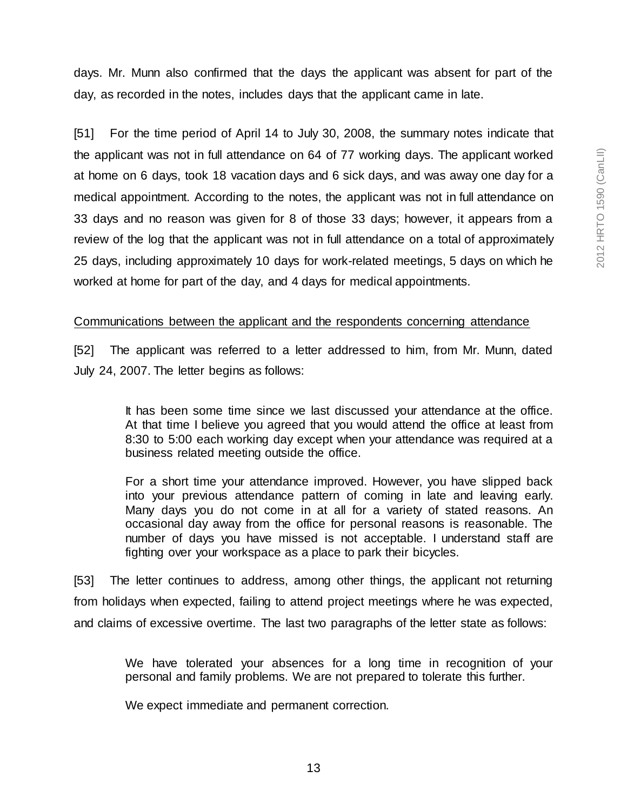days. Mr. Munn also confirmed that the days the applicant was absent for part of the day, as recorded in the notes, includes days that the applicant came in late.

[51] For the time period of April 14 to July 30, 2008, the summary notes indicate that the applicant was not in full attendance on 64 of 77 working days. The applicant worked at home on 6 days, took 18 vacation days and 6 sick days, and was away one day for a medical appointment. According to the notes, the applicant was not in full attendance on 33 days and no reason was given for 8 of those 33 days; however, it appears from a review of the log that the applicant was not in full attendance on a total of approximately 25 days, including approximately 10 days for work-related meetings, 5 days on which he worked at home for part of the day, and 4 days for medical appointments.

#### Communications between the applicant and the respondents concerning attendance

[52] The applicant was referred to a letter addressed to him, from Mr. Munn, dated July 24, 2007. The letter begins as follows:

> It has been some time since we last discussed your attendance at the office. At that time I believe you agreed that you would attend the office at least from 8:30 to 5:00 each working day except when your attendance was required at a business related meeting outside the office.

> For a short time your attendance improved. However, you have slipped back into your previous attendance pattern of coming in late and leaving early. Many days you do not come in at all for a variety of stated reasons. An occasional day away from the office for personal reasons is reasonable. The number of days you have missed is not acceptable. I understand staff are fighting over your workspace as a place to park their bicycles.

[53] The letter continues to address, among other things, the applicant not returning from holidays when expected, failing to attend project meetings where he was expected, and claims of excessive overtime. The last two paragraphs of the letter state as follows:

> We have tolerated your absences for a long time in recognition of your personal and family problems. We are not prepared to tolerate this further.

We expect immediate and permanent correction.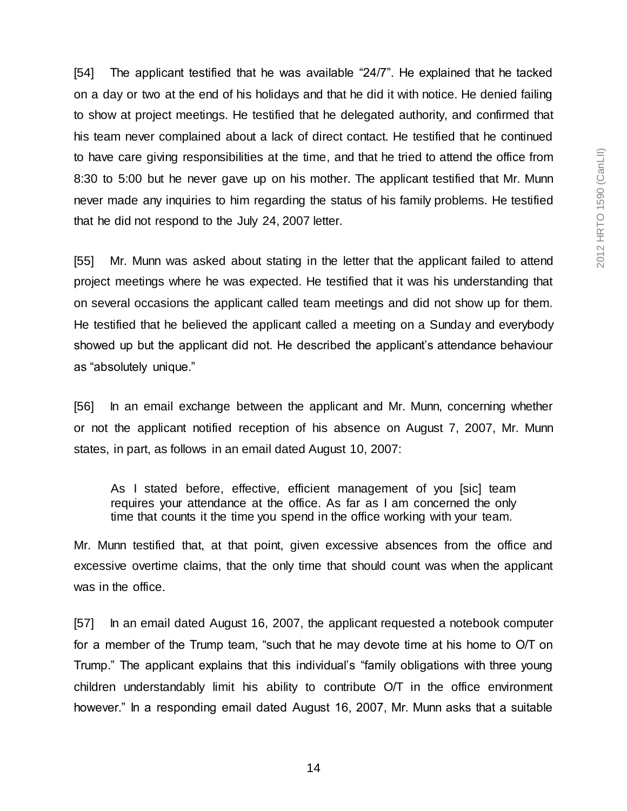[54] The applicant testified that he was available "24/7". He explained that he tacked on a day or two at the end of his holidays and that he did it with notice. He denied failing to show at project meetings. He testified that he delegated authority, and confirmed that his team never complained about a lack of direct contact. He testified that he continued to have care giving responsibilities at the time, and that he tried to attend the office from 8:30 to 5:00 but he never gave up on his mother. The applicant testified that Mr. Munn never made any inquiries to him regarding the status of his family problems. He testified that he did not respond to the July 24, 2007 letter.

[55] Mr. Munn was asked about stating in the letter that the applicant failed to attend project meetings where he was expected. He testified that it was his understanding that on several occasions the applicant called team meetings and did not show up for them. He testified that he believed the applicant called a meeting on a Sunday and everybody showed up but the applicant did not. He described the applicant's attendance behaviour as "absolutely unique."

[56] In an email exchange between the applicant and Mr. Munn, concerning whether or not the applicant notified reception of his absence on August 7, 2007, Mr. Munn states, in part, as follows in an email dated August 10, 2007:

As I stated before, effective, efficient management of you [sic] team requires your attendance at the office. As far as I am concerned the only time that counts it the time you spend in the office working with your team.

Mr. Munn testified that, at that point, given excessive absences from the office and excessive overtime claims, that the only time that should count was when the applicant was in the office.

[57] In an email dated August 16, 2007, the applicant requested a notebook computer for a member of the Trump team, "such that he may devote time at his home to O/T on Trump." The applicant explains that this individual's "family obligations with three young children understandably limit his ability to contribute O/T in the office environment however." In a responding email dated August 16, 2007, Mr. Munn asks that a suitable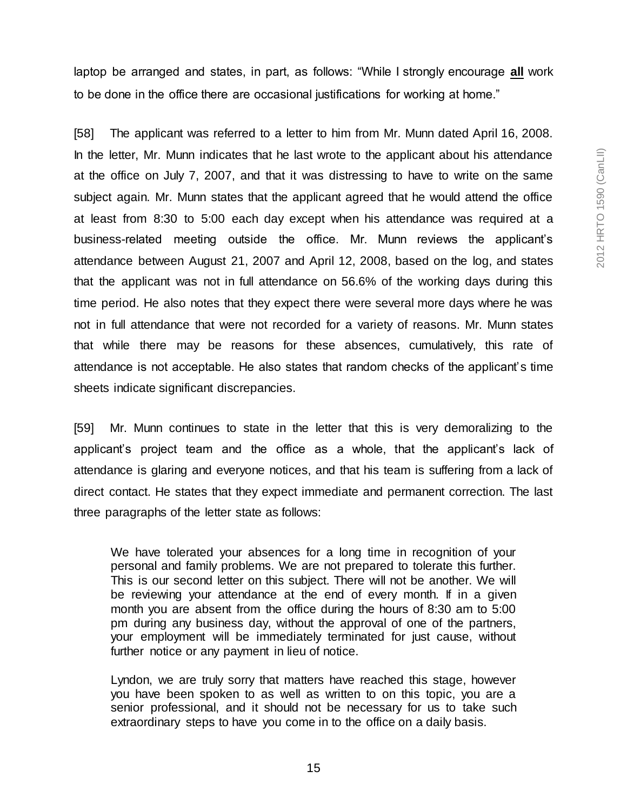laptop be arranged and states, in part, as follows: "While I strongly encourage **all** work to be done in the office there are occasional justifications for working at home."

[58] The applicant was referred to a letter to him from Mr. Munn dated April 16, 2008. In the letter, Mr. Munn indicates that he last wrote to the applicant about his attendance at the office on July 7, 2007, and that it was distressing to have to write on the same subject again. Mr. Munn states that the applicant agreed that he would attend the office at least from 8:30 to 5:00 each day except when his attendance was required at a business-related meeting outside the office. Mr. Munn reviews the applicant's attendance between August 21, 2007 and April 12, 2008, based on the log, and states that the applicant was not in full attendance on 56.6% of the working days during this time period. He also notes that they expect there were several more days where he was not in full attendance that were not recorded for a variety of reasons. Mr. Munn states that while there may be reasons for these absences, cumulatively, this rate of attendance is not acceptable. He also states that random checks of the applicant's time sheets indicate significant discrepancies.

[59] Mr. Munn continues to state in the letter that this is very demoralizing to the applicant's project team and the office as a whole, that the applicant's lack of attendance is glaring and everyone notices, and that his team is suffering from a lack of direct contact. He states that they expect immediate and permanent correction. The last three paragraphs of the letter state as follows:

We have tolerated your absences for a long time in recognition of your personal and family problems. We are not prepared to tolerate this further. This is our second letter on this subject. There will not be another. We will be reviewing your attendance at the end of every month. If in a given month you are absent from the office during the hours of 8:30 am to 5:00 pm during any business day, without the approval of one of the partners, your employment will be immediately terminated for just cause, without further notice or any payment in lieu of notice.

Lyndon, we are truly sorry that matters have reached this stage, however you have been spoken to as well as written to on this topic, you are a senior professional, and it should not be necessary for us to take such extraordinary steps to have you come in to the office on a daily basis.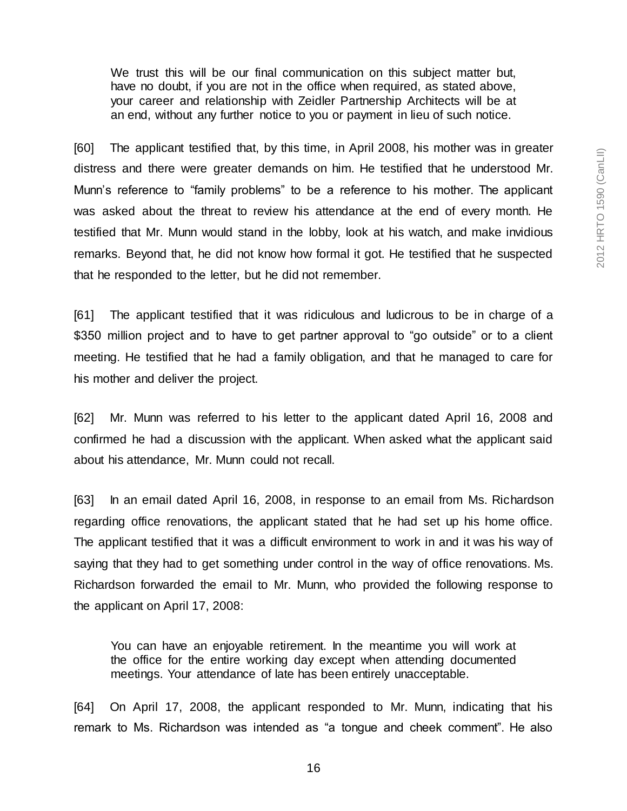We trust this will be our final communication on this subject matter but, have no doubt, if you are not in the office when required, as stated above, your career and relationship with Zeidler Partnership Architects will be at an end, without any further notice to you or payment in lieu of such notice.

[60] The applicant testified that, by this time, in April 2008, his mother was in greater distress and there were greater demands on him. He testified that he understood Mr. Munn's reference to "family problems" to be a reference to his mother. The applicant was asked about the threat to review his attendance at the end of every month. He testified that Mr. Munn would stand in the lobby, look at his watch, and make invidious remarks. Beyond that, he did not know how formal it got. He testified that he suspected that he responded to the letter, but he did not remember.

[61] The applicant testified that it was ridiculous and ludicrous to be in charge of a \$350 million project and to have to get partner approval to "go outside" or to a client meeting. He testified that he had a family obligation, and that he managed to care for his mother and deliver the project.

[62] Mr. Munn was referred to his letter to the applicant dated April 16, 2008 and confirmed he had a discussion with the applicant. When asked what the applicant said about his attendance, Mr. Munn could not recall.

[63] In an email dated April 16, 2008, in response to an email from Ms. Richardson regarding office renovations, the applicant stated that he had set up his home office. The applicant testified that it was a difficult environment to work in and it was his way of saying that they had to get something under control in the way of office renovations. Ms. Richardson forwarded the email to Mr. Munn, who provided the following response to the applicant on April 17, 2008:

You can have an enjoyable retirement. In the meantime you will work at the office for the entire working day except when attending documented meetings. Your attendance of late has been entirely unacceptable.

[64] On April 17, 2008, the applicant responded to Mr. Munn, indicating that his remark to Ms. Richardson was intended as "a tongue and cheek comment". He also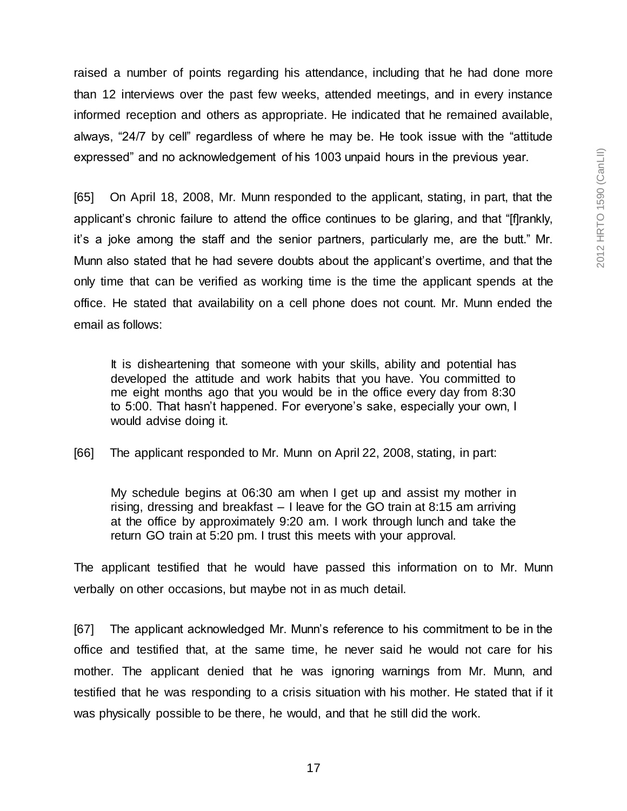raised a number of points regarding his attendance, including that he had done more than 12 interviews over the past few weeks, attended meetings, and in every instance informed reception and others as appropriate. He indicated that he remained available, always, "24/7 by cell" regardless of where he may be. He took issue with the "attitude expressed" and no acknowledgement of his 1003 unpaid hours in the previous year.

[65] On April 18, 2008, Mr. Munn responded to the applicant, stating, in part, that the applicant's chronic failure to attend the office continues to be glaring, and that "[f]rankly, it's a joke among the staff and the senior partners, particularly me, are the butt." Mr. Munn also stated that he had severe doubts about the applicant's overtime, and that the only time that can be verified as working time is the time the applicant spends at the office. He stated that availability on a cell phone does not count. Mr. Munn ended the email as follows:

It is disheartening that someone with your skills, ability and potential has developed the attitude and work habits that you have. You committed to me eight months ago that you would be in the office every day from 8:30 to 5:00. That hasn't happened. For everyone's sake, especially your own, I would advise doing it.

[66] The applicant responded to Mr. Munn on April 22, 2008, stating, in part:

My schedule begins at 06:30 am when I get up and assist my mother in rising, dressing and breakfast – I leave for the GO train at 8:15 am arriving at the office by approximately 9:20 am. I work through lunch and take the return GO train at 5:20 pm. I trust this meets with your approval.

The applicant testified that he would have passed this information on to Mr. Munn verbally on other occasions, but maybe not in as much detail.

[67] The applicant acknowledged Mr. Munn's reference to his commitment to be in the office and testified that, at the same time, he never said he would not care for his mother. The applicant denied that he was ignoring warnings from Mr. Munn, and testified that he was responding to a crisis situation with his mother. He stated that if it was physically possible to be there, he would, and that he still did the work.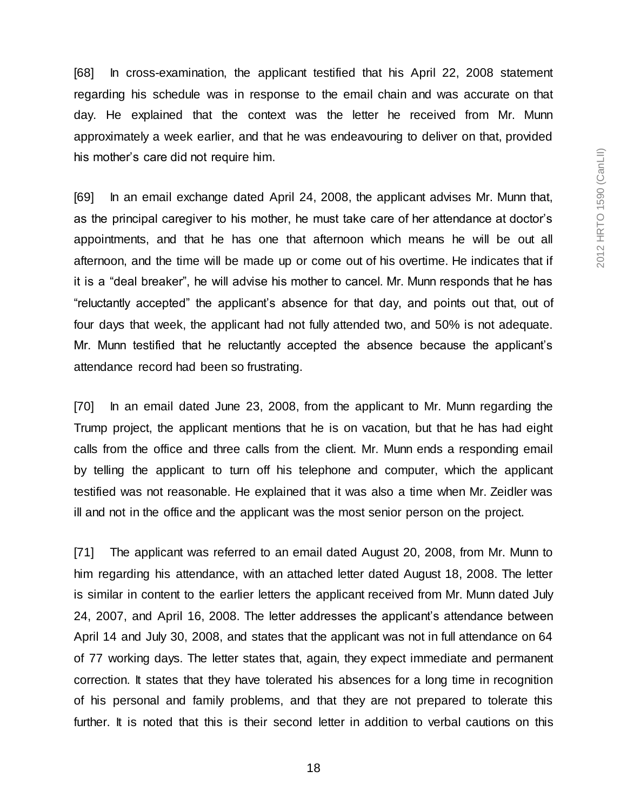[68] In cross-examination, the applicant testified that his April 22, 2008 statement regarding his schedule was in response to the email chain and was accurate on that day. He explained that the context was the letter he received from Mr. Munn approximately a week earlier, and that he was endeavouring to deliver on that, provided his mother's care did not require him.

[69] In an email exchange dated April 24, 2008, the applicant advises Mr. Munn that, as the principal caregiver to his mother, he must take care of her attendance at doctor's appointments, and that he has one that afternoon which means he will be out all afternoon, and the time will be made up or come out of his overtime. He indicates that if it is a "deal breaker", he will advise his mother to cancel. Mr. Munn responds that he has "reluctantly accepted" the applicant's absence for that day, and points out that, out of four days that week, the applicant had not fully attended two, and 50% is not adequate. Mr. Munn testified that he reluctantly accepted the absence because the applicant's attendance record had been so frustrating.

[70] In an email dated June 23, 2008, from the applicant to Mr. Munn regarding the Trump project, the applicant mentions that he is on vacation, but that he has had eight calls from the office and three calls from the client. Mr. Munn ends a responding email by telling the applicant to turn off his telephone and computer, which the applicant testified was not reasonable. He explained that it was also a time when Mr. Zeidler was ill and not in the office and the applicant was the most senior person on the project.

[71] The applicant was referred to an email dated August 20, 2008, from Mr. Munn to him regarding his attendance, with an attached letter dated August 18, 2008. The letter is similar in content to the earlier letters the applicant received from Mr. Munn dated July 24, 2007, and April 16, 2008. The letter addresses the applicant's attendance between April 14 and July 30, 2008, and states that the applicant was not in full attendance on 64 of 77 working days. The letter states that, again, they expect immediate and permanent correction. It states that they have tolerated his absences for a long time in recognition of his personal and family problems, and that they are not prepared to tolerate this further. It is noted that this is their second letter in addition to verbal cautions on this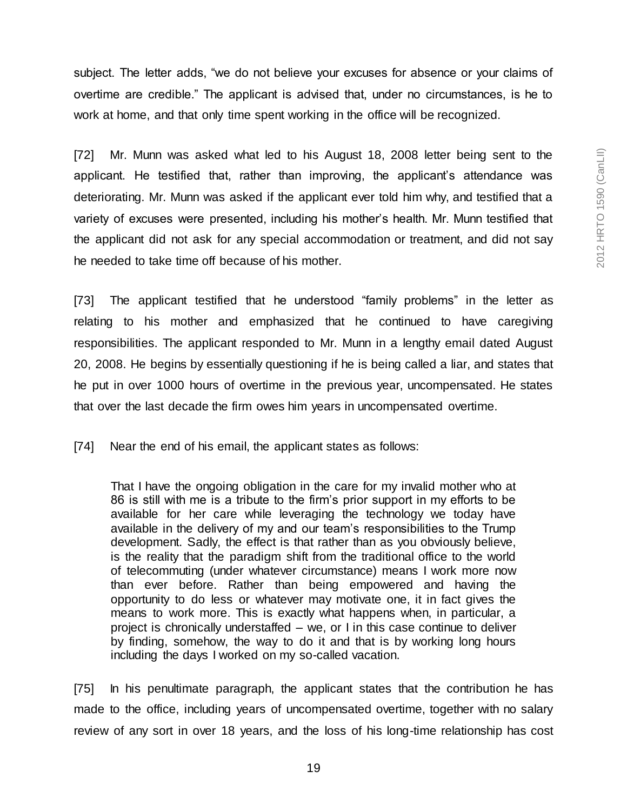subject. The letter adds, "we do not believe your excuses for absence or your claims of overtime are credible." The applicant is advised that, under no circumstances, is he to work at home, and that only time spent working in the office will be recognized.

[72] Mr. Munn was asked what led to his August 18, 2008 letter being sent to the applicant. He testified that, rather than improving, the applicant's attendance was deteriorating. Mr. Munn was asked if the applicant ever told him why, and testified that a variety of excuses were presented, including his mother's health. Mr. Munn testified that the applicant did not ask for any special accommodation or treatment, and did not say he needed to take time off because of his mother.

[73] The applicant testified that he understood "family problems" in the letter as relating to his mother and emphasized that he continued to have caregiving responsibilities. The applicant responded to Mr. Munn in a lengthy email dated August 20, 2008. He begins by essentially questioning if he is being called a liar, and states that he put in over 1000 hours of overtime in the previous year, uncompensated. He states that over the last decade the firm owes him years in uncompensated overtime.

[74] Near the end of his email, the applicant states as follows:

That I have the ongoing obligation in the care for my invalid mother who at 86 is still with me is a tribute to the firm's prior support in my efforts to be available for her care while leveraging the technology we today have available in the delivery of my and our team's responsibilities to the Trump development. Sadly, the effect is that rather than as you obviously believe, is the reality that the paradigm shift from the traditional office to the world of telecommuting (under whatever circumstance) means I work more now than ever before. Rather than being empowered and having the opportunity to do less or whatever may motivate one, it in fact gives the means to work more. This is exactly what happens when, in particular, a project is chronically understaffed – we, or I in this case continue to deliver by finding, somehow, the way to do it and that is by working long hours including the days I worked on my so-called vacation.

[75] In his penultimate paragraph, the applicant states that the contribution he has made to the office, including years of uncompensated overtime, together with no salary review of any sort in over 18 years, and the loss of his long-time relationship has cost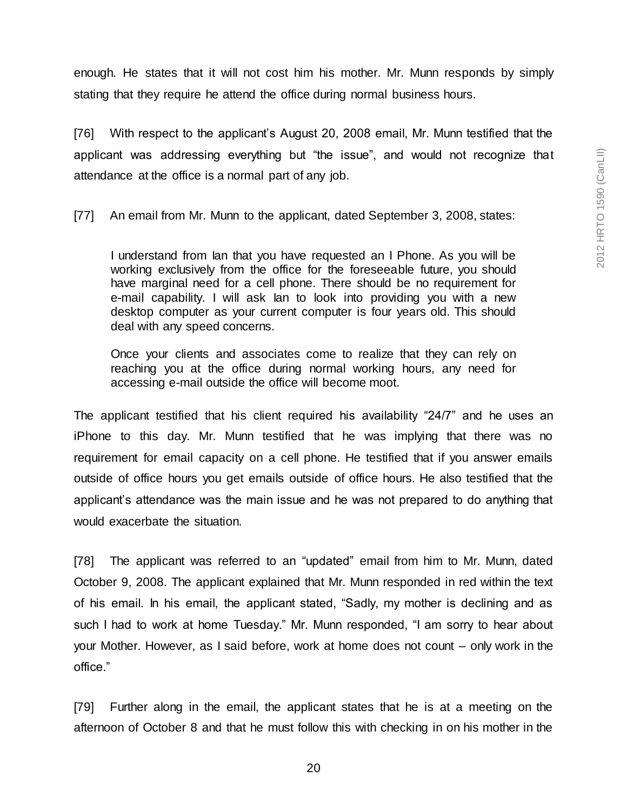enough. He states that it will not cost him his mother. Mr. Munn responds by simply stating that they require he attend the office during normal business hours.

[76] With respect to the applicant's August 20, 2008 email, Mr. Munn testified that the applicant was addressing everything but "the issue", and would not recognize that attendance at the office is a normal part of any job.

[77] An email from Mr. Munn to the applicant, dated September 3, 2008, states:

I understand from Ian that you have requested an I Phone. As you will be working exclusively from the office for the foreseeable future, you should have marginal need for a cell phone. There should be no requirement for e-mail capability. I will ask Ian to look into providing you with a new desktop computer as your current computer is four years old. This should deal with any speed concerns.

Once your clients and associates come to realize that they can rely on reaching you at the office during normal working hours, any need for accessing e-mail outside the office will become moot.

The applicant testified that his client required his availability "24/7" and he uses an iPhone to this day. Mr. Munn testified that he was implying that there was no requirement for email capacity on a cell phone. He testified that if you answer emails outside of office hours you get emails outside of office hours. He also testified that the applicant's attendance was the main issue and he was not prepared to do anything that would exacerbate the situation.

[78] The applicant was referred to an "updated" email from him to Mr. Munn, dated October 9, 2008. The applicant explained that Mr. Munn responded in red within the text of his email. In his email, the applicant stated, "Sadly, my mother is declining and as such I had to work at home Tuesday." Mr. Munn responded, "I am sorry to hear about your Mother. However, as I said before, work at home does not count – only work in the office."

[79] Further along in the email, the applicant states that he is at a meeting on the afternoon of October 8 and that he must follow this with checking in on his mother in the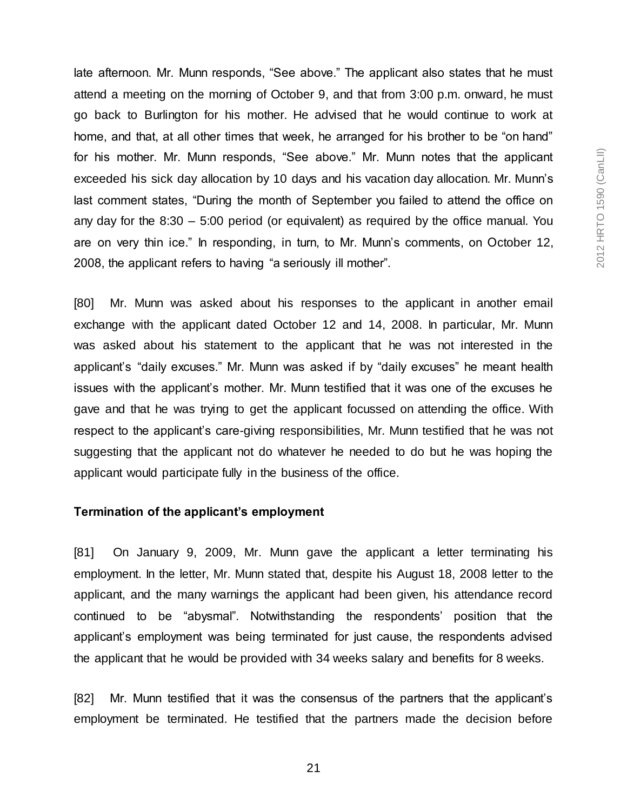late afternoon. Mr. Munn responds, "See above." The applicant also states that he must attend a meeting on the morning of October 9, and that from 3:00 p.m. onward, he must go back to Burlington for his mother. He advised that he would continue to work at home, and that, at all other times that week, he arranged for his brother to be "on hand" for his mother. Mr. Munn responds, "See above." Mr. Munn notes that the applicant exceeded his sick day allocation by 10 days and his vacation day allocation. Mr. Munn's last comment states, "During the month of September you failed to attend the office on any day for the 8:30 – 5:00 period (or equivalent) as required by the office manual. You are on very thin ice." In responding, in turn, to Mr. Munn's comments, on October 12, 2008, the applicant refers to having "a seriously ill mother".

[80] Mr. Munn was asked about his responses to the applicant in another email exchange with the applicant dated October 12 and 14, 2008. In particular, Mr. Munn was asked about his statement to the applicant that he was not interested in the applicant's "daily excuses." Mr. Munn was asked if by "daily excuses" he meant health issues with the applicant's mother. Mr. Munn testified that it was one of the excuses he gave and that he was trying to get the applicant focussed on attending the office. With respect to the applicant's care-giving responsibilities, Mr. Munn testified that he was not suggesting that the applicant not do whatever he needed to do but he was hoping the applicant would participate fully in the business of the office.

#### **Termination of the applicant's employment**

[81] On January 9, 2009, Mr. Munn gave the applicant a letter terminating his employment. In the letter, Mr. Munn stated that, despite his August 18, 2008 letter to the applicant, and the many warnings the applicant had been given, his attendance record continued to be "abysmal". Notwithstanding the respondents' position that the applicant's employment was being terminated for just cause, the respondents advised the applicant that he would be provided with 34 weeks salary and benefits for 8 weeks.

[82] Mr. Munn testified that it was the consensus of the partners that the applicant's employment be terminated. He testified that the partners made the decision before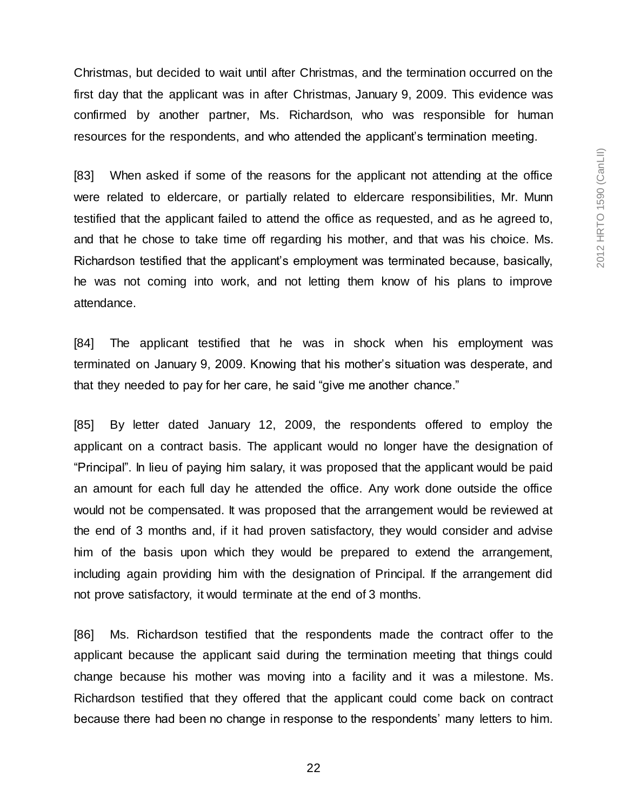Christmas, but decided to wait until after Christmas, and the termination occurred on the first day that the applicant was in after Christmas, January 9, 2009. This evidence was confirmed by another partner, Ms. Richardson, who was responsible for human resources for the respondents, and who attended the applicant's termination meeting.

[83] When asked if some of the reasons for the applicant not attending at the office were related to eldercare, or partially related to eldercare responsibilities, Mr. Munn testified that the applicant failed to attend the office as requested, and as he agreed to, and that he chose to take time off regarding his mother, and that was his choice. Ms. Richardson testified that the applicant's employment was terminated because, basically, he was not coming into work, and not letting them know of his plans to improve attendance.

[84] The applicant testified that he was in shock when his employment was terminated on January 9, 2009. Knowing that his mother's situation was desperate, and that they needed to pay for her care, he said "give me another chance."

[85] By letter dated January 12, 2009, the respondents offered to employ the applicant on a contract basis. The applicant would no longer have the designation of "Principal". In lieu of paying him salary, it was proposed that the applicant would be paid an amount for each full day he attended the office. Any work done outside the office would not be compensated. It was proposed that the arrangement would be reviewed at the end of 3 months and, if it had proven satisfactory, they would consider and advise him of the basis upon which they would be prepared to extend the arrangement, including again providing him with the designation of Principal. If the arrangement did not prove satisfactory, it would terminate at the end of 3 months.

[86] Ms. Richardson testified that the respondents made the contract offer to the applicant because the applicant said during the termination meeting that things could change because his mother was moving into a facility and it was a milestone. Ms. Richardson testified that they offered that the applicant could come back on contract because there had been no change in response to the respondents' many letters to him.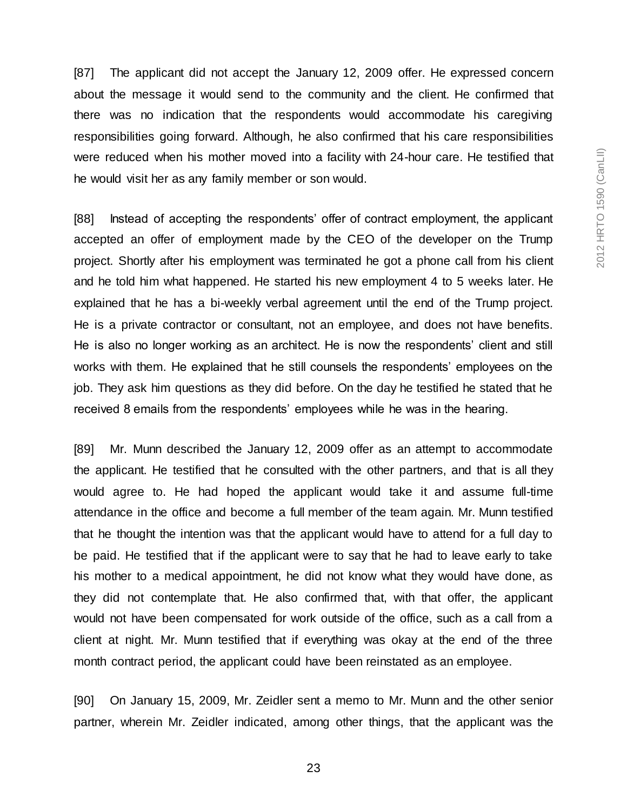[87] The applicant did not accept the January 12, 2009 offer. He expressed concern about the message it would send to the community and the client. He confirmed that there was no indication that the respondents would accommodate his caregiving responsibilities going forward. Although, he also confirmed that his care responsibilities were reduced when his mother moved into a facility with 24-hour care. He testified that he would visit her as any family member or son would.

[88] Instead of accepting the respondents' offer of contract employment, the applicant accepted an offer of employment made by the CEO of the developer on the Trump project. Shortly after his employment was terminated he got a phone call from his client and he told him what happened. He started his new employment 4 to 5 weeks later. He explained that he has a bi-weekly verbal agreement until the end of the Trump project. He is a private contractor or consultant, not an employee, and does not have benefits. He is also no longer working as an architect. He is now the respondents' client and still works with them. He explained that he still counsels the respondents' employees on the job. They ask him questions as they did before. On the day he testified he stated that he received 8 emails from the respondents' employees while he was in the hearing.

[89] Mr. Munn described the January 12, 2009 offer as an attempt to accommodate the applicant. He testified that he consulted with the other partners, and that is all they would agree to. He had hoped the applicant would take it and assume full-time attendance in the office and become a full member of the team again. Mr. Munn testified that he thought the intention was that the applicant would have to attend for a full day to be paid. He testified that if the applicant were to say that he had to leave early to take his mother to a medical appointment, he did not know what they would have done, as they did not contemplate that. He also confirmed that, with that offer, the applicant would not have been compensated for work outside of the office, such as a call from a client at night. Mr. Munn testified that if everything was okay at the end of the three month contract period, the applicant could have been reinstated as an employee.

[90] On January 15, 2009, Mr. Zeidler sent a memo to Mr. Munn and the other senior partner, wherein Mr. Zeidler indicated, among other things, that the applicant was the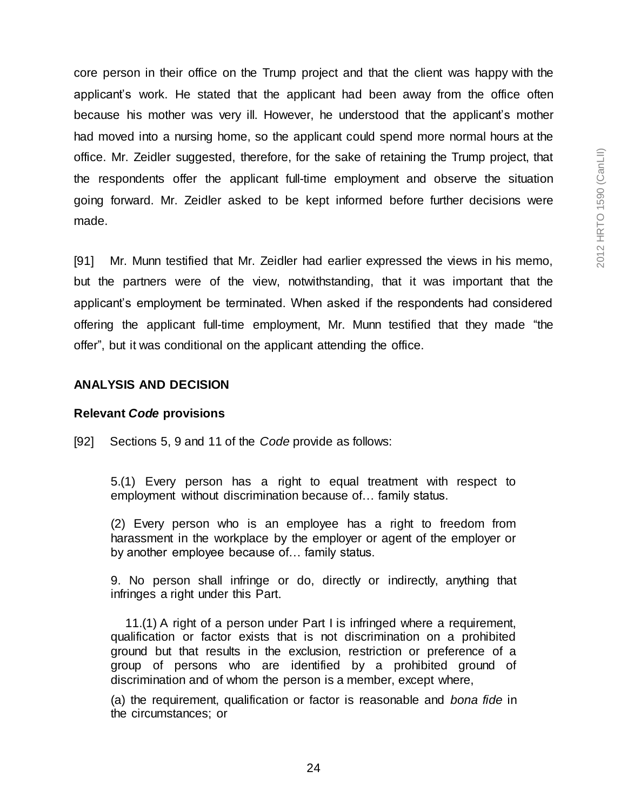core person in their office on the Trump project and that the client was happy with the applicant's work. He stated that the applicant had been away from the office often because his mother was very ill. However, he understood that the applicant's mother had moved into a nursing home, so the applicant could spend more normal hours at the office. Mr. Zeidler suggested, therefore, for the sake of retaining the Trump project, that the respondents offer the applicant full-time employment and observe the situation going forward. Mr. Zeidler asked to be kept informed before further decisions were made.

[91] Mr. Munn testified that Mr. Zeidler had earlier expressed the views in his memo, but the partners were of the view, notwithstanding, that it was important that the applicant's employment be terminated. When asked if the respondents had considered offering the applicant full-time employment, Mr. Munn testified that they made "the offer", but it was conditional on the applicant attending the office.

# **ANALYSIS AND DECISION**

#### **Relevant** *Code* **provisions**

[92] Sections 5, 9 and 11 of the *Code* provide as follows:

5.(1) Every person has a right to equal treatment with respect to employment without discrimination because of… family status.

(2) Every person who is an employee has a right to freedom from harassment in the workplace by the employer or agent of the employer or by another employee because of… family status.

9. No person shall infringe or do, directly or indirectly, anything that infringes a right under this Part.

11.(1) A right of a person under Part I is infringed where a requirement, qualification or factor exists that is not discrimination on a prohibited ground but that results in the exclusion, restriction or preference of a group of persons who are identified by a prohibited ground of discrimination and of whom the person is a member, except where,

(a) the requirement, qualification or factor is reasonable and *bona fide* in the circumstances; or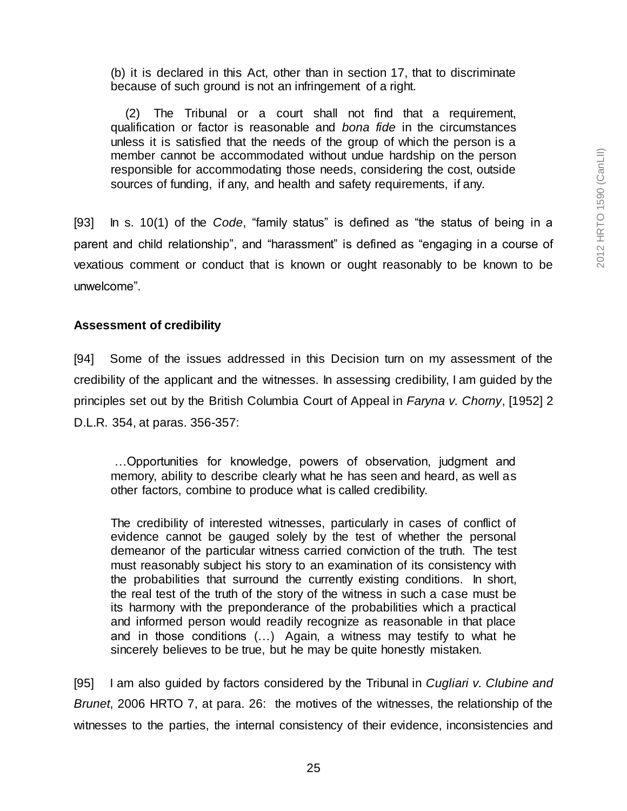(b) it is declared in this Act, other than in section 17, that to discriminate because of such ground is not an infringement of a right.

(2) The Tribunal or a court shall not find that a requirement, qualification or factor is reasonable and *bona fide* in the circumstances unless it is satisfied that the needs of the group of which the person is a member cannot be accommodated without undue hardship on the person responsible for accommodating those needs, considering the cost, outside sources of funding, if any, and health and safety requirements, if any.

[93] In s. 10(1) of the *Code*, "family status" is defined as "the status of being in a parent and child relationship", and "harassment" is defined as "engaging in a course of vexatious comment or conduct that is known or ought reasonably to be known to be unwelcome".

### **Assessment of credibility**

[94] Some of the issues addressed in this Decision turn on my assessment of the credibility of the applicant and the witnesses. In assessing credibility, I am guided by the principles set out by the British Columbia Court of Appeal in *Faryna v. Chorny*, [1952] 2 D.L.R. 354, at paras. 356-357:

…Opportunities for knowledge, powers of observation, judgment and memory, ability to describe clearly what he has seen and heard, as well as other factors, combine to produce what is called credibility.

The credibility of interested witnesses, particularly in cases of conflict of evidence cannot be gauged solely by the test of whether the personal demeanor of the particular witness carried conviction of the truth. The test must reasonably subject his story to an examination of its consistency with the probabilities that surround the currently existing conditions. In short, the real test of the truth of the story of the witness in such a case must be its harmony with the preponderance of the probabilities which a practical and informed person would readily recognize as reasonable in that place and in those conditions (…) Again, a witness may testify to what he sincerely believes to be true, but he may be quite honestly mistaken.

[95] I am also guided by factors considered by the Tribunal in *Cugliari v. Clubine and Brunet*, 2006 HRTO 7, at para. 26: the motives of the witnesses, the relationship of the witnesses to the parties, the internal consistency of their evidence, inconsistencies and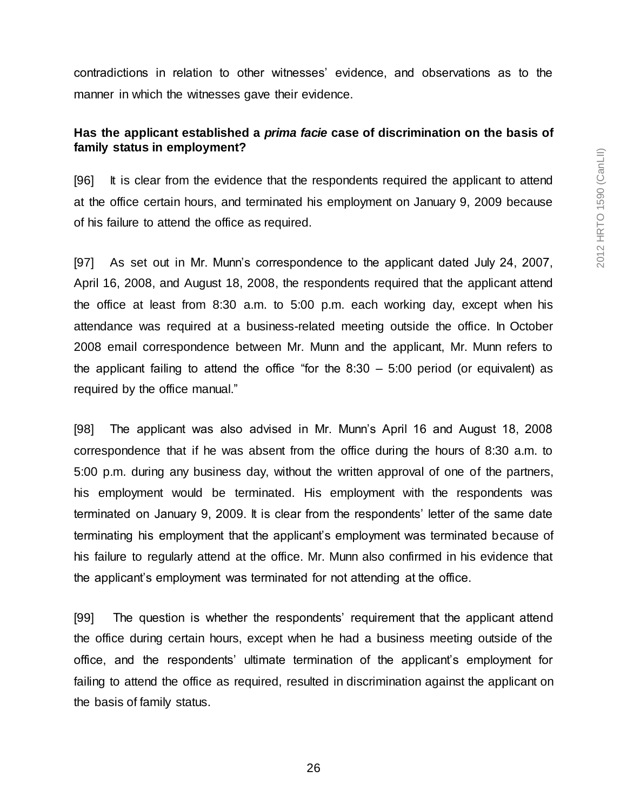contradictions in relation to other witnesses' evidence, and observations as to the manner in which the witnesses gave their evidence.

# **Has the applicant established a** *prima facie* **case of discrimination on the basis of family status in employment?**

[96] It is clear from the evidence that the respondents required the applicant to attend at the office certain hours, and terminated his employment on January 9, 2009 because of his failure to attend the office as required.

[97] As set out in Mr. Munn's correspondence to the applicant dated July 24, 2007, April 16, 2008, and August 18, 2008, the respondents required that the applicant attend the office at least from 8:30 a.m. to 5:00 p.m. each working day, except when his attendance was required at a business-related meeting outside the office. In October 2008 email correspondence between Mr. Munn and the applicant, Mr. Munn refers to the applicant failing to attend the office "for the  $8:30 - 5:00$  period (or equivalent) as required by the office manual."

[98] The applicant was also advised in Mr. Munn's April 16 and August 18, 2008 correspondence that if he was absent from the office during the hours of 8:30 a.m. to 5:00 p.m. during any business day, without the written approval of one of the partners, his employment would be terminated. His employment with the respondents was terminated on January 9, 2009. It is clear from the respondents' letter of the same date terminating his employment that the applicant's employment was terminated because of his failure to regularly attend at the office. Mr. Munn also confirmed in his evidence that the applicant's employment was terminated for not attending at the office.

[99] The question is whether the respondents' requirement that the applicant attend the office during certain hours, except when he had a business meeting outside of the office, and the respondents' ultimate termination of the applicant's employment for failing to attend the office as required, resulted in discrimination against the applicant on the basis of family status.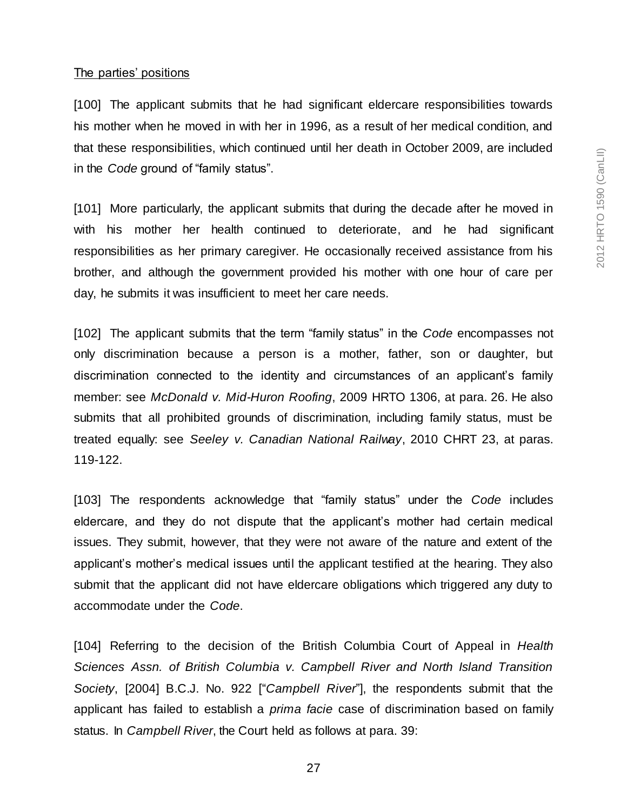#### The parties' positions

[100] The applicant submits that he had significant eldercare responsibilities towards his mother when he moved in with her in 1996, as a result of her medical condition, and that these responsibilities, which continued until her death in October 2009, are included in the *Code* ground of "family status".

[101] More particularly, the applicant submits that during the decade after he moved in with his mother her health continued to deteriorate, and he had significant responsibilities as her primary caregiver. He occasionally received assistance from his brother, and although the government provided his mother with one hour of care per day, he submits it was insufficient to meet her care needs.

[102] The applicant submits that the term "family status" in the *Code* encompasses not only discrimination because a person is a mother, father, son or daughter, but discrimination connected to the identity and circumstances of an applicant's family member: see *McDonald v. Mid-Huron Roofing*, 2009 HRTO 1306, at para. 26. He also submits that all prohibited grounds of discrimination, including family status, must be treated equally: see *Seeley v. Canadian National Railway*, 2010 CHRT 23, at paras. 119-122.

[103] The respondents acknowledge that "family status" under the *Code* includes eldercare, and they do not dispute that the applicant's mother had certain medical issues. They submit, however, that they were not aware of the nature and extent of the applicant's mother's medical issues until the applicant testified at the hearing. They also submit that the applicant did not have eldercare obligations which triggered any duty to accommodate under the *Code*.

[104] Referring to the decision of the British Columbia Court of Appeal in *Health Sciences Assn. of British Columbia v. Campbell River and North Island Transition Society*, [2004] B.C.J. No. 922 ["*Campbell River*"], the respondents submit that the applicant has failed to establish a *prima facie* case of discrimination based on family status. In *Campbell River*, the Court held as follows at para. 39: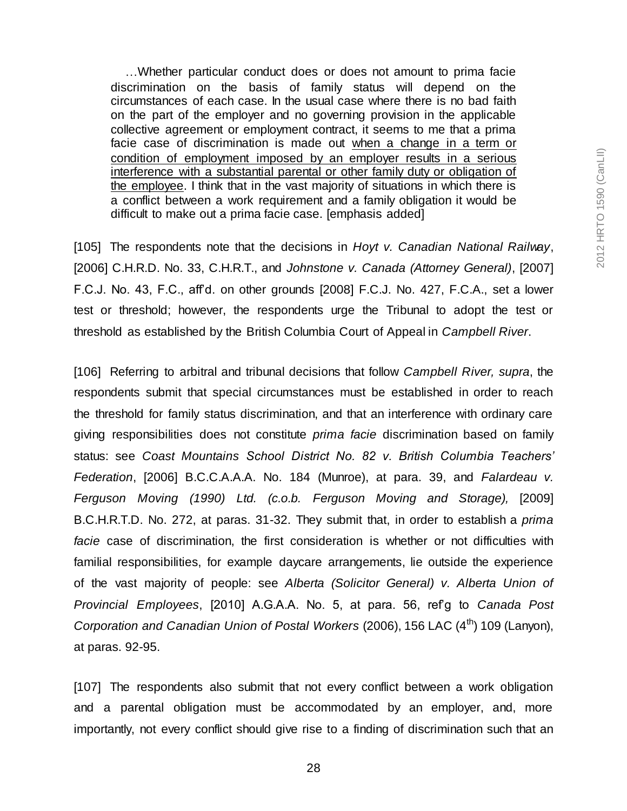…Whether particular conduct does or does not amount to prima facie discrimination on the basis of family status will depend on the circumstances of each case. In the usual case where there is no bad faith on the part of the employer and no governing provision in the applicable collective agreement or employment contract, it seems to me that a prima facie case of discrimination is made out when a change in a term or condition of employment imposed by an employer results in a serious interference with a substantial parental or other family duty or obligation of the employee. I think that in the vast majority of situations in which there is a conflict between a work requirement and a family obligation it would be difficult to make out a prima facie case. [emphasis added]

[105] The respondents note that the decisions in *Hoyt v. Canadian National Railway*, [2006] C.H.R.D. No. 33, C.H.R.T., and *Johnstone v. Canada (Attorney General)*, [2007] F.C.J. No. 43, F.C., aff'd. on other grounds [2008] F.C.J. No. 427, F.C.A., set a lower test or threshold; however, the respondents urge the Tribunal to adopt the test or threshold as established by the British Columbia Court of Appeal in *Campbell River*.

[106] Referring to arbitral and tribunal decisions that follow *Campbell River, supra*, the respondents submit that special circumstances must be established in order to reach the threshold for family status discrimination, and that an interference with ordinary care giving responsibilities does not constitute *prima facie* discrimination based on family status: see *Coast Mountains School District No. 82 v. British Columbia Teachers' Federation*, [2006] B.C.C.A.A.A. No. 184 (Munroe), at para. 39, and *Falardeau v. Ferguson Moving (1990) Ltd. (c.o.b. Ferguson Moving and Storage),* [2009] B.C.H.R.T.D. No. 272, at paras. 31-32. They submit that, in order to establish a *prima facie* case of discrimination, the first consideration is whether or not difficulties with familial responsibilities, for example daycare arrangements, lie outside the experience of the vast majority of people: see *Alberta (Solicitor General) v. Alberta Union of Provincial Employees*, [2010] A.G.A.A. No. 5, at para. 56, ref'g to *Canada Post Corporation and Canadian Union of Postal Workers* (2006), 156 LAC (4<sup>th</sup>) 109 (Lanyon), at paras. 92-95.

[107] The respondents also submit that not every conflict between a work obligation and a parental obligation must be accommodated by an employer, and, more importantly, not every conflict should give rise to a finding of discrimination such that an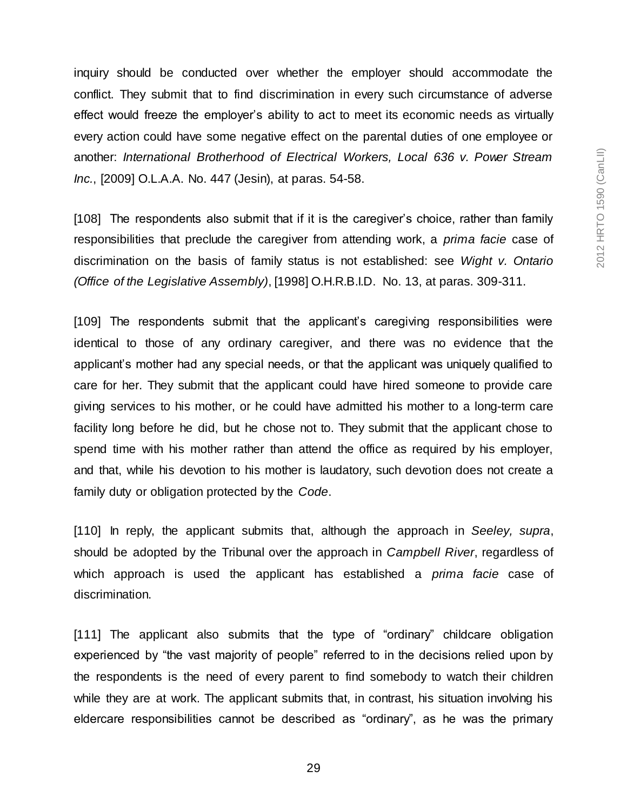inquiry should be conducted over whether the employer should accommodate the conflict. They submit that to find discrimination in every such circumstance of adverse effect would freeze the employer's ability to act to meet its economic needs as virtually every action could have some negative effect on the parental duties of one employee or another: *International Brotherhood of Electrical Workers, Local 636 v. Power Stream Inc.*, [2009] O.L.A.A. No. 447 (Jesin), at paras. 54-58.

[108] The respondents also submit that if it is the caregiver's choice, rather than family responsibilities that preclude the caregiver from attending work, a *prima facie* case of discrimination on the basis of family status is not established: see *Wight v. Ontario (Office of the Legislative Assembly)*, [1998] O.H.R.B.I.D. No. 13, at paras. 309-311.

[109] The respondents submit that the applicant's caregiving responsibilities were identical to those of any ordinary caregiver, and there was no evidence that the applicant's mother had any special needs, or that the applicant was uniquely qualified to care for her. They submit that the applicant could have hired someone to provide care giving services to his mother, or he could have admitted his mother to a long-term care facility long before he did, but he chose not to. They submit that the applicant chose to spend time with his mother rather than attend the office as required by his employer, and that, while his devotion to his mother is laudatory, such devotion does not create a family duty or obligation protected by the *Code*.

[110] In reply, the applicant submits that, although the approach in *Seeley, supra*, should be adopted by the Tribunal over the approach in *Campbell River*, regardless of which approach is used the applicant has established a *prima facie* case of discrimination.

[111] The applicant also submits that the type of "ordinary" childcare obligation experienced by "the vast majority of people" referred to in the decisions relied upon by the respondents is the need of every parent to find somebody to watch their children while they are at work. The applicant submits that, in contrast, his situation involving his eldercare responsibilities cannot be described as "ordinary", as he was the primary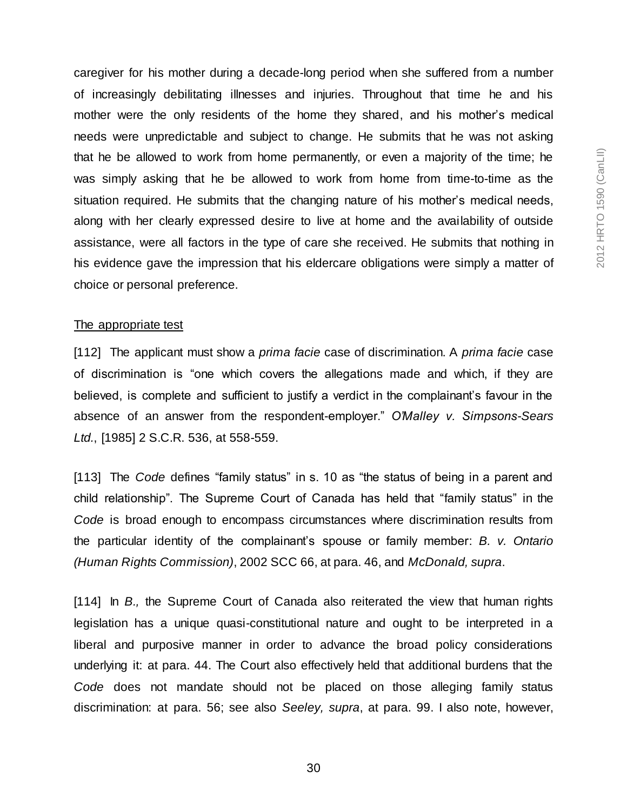caregiver for his mother during a decade-long period when she suffered from a number of increasingly debilitating illnesses and injuries. Throughout that time he and his mother were the only residents of the home they shared, and his mother's medical needs were unpredictable and subject to change. He submits that he was not asking that he be allowed to work from home permanently, or even a majority of the time; he was simply asking that he be allowed to work from home from time-to-time as the situation required. He submits that the changing nature of his mother's medical needs, along with her clearly expressed desire to live at home and the availability of outside assistance, were all factors in the type of care she received. He submits that nothing in his evidence gave the impression that his eldercare obligations were simply a matter of choice or personal preference.

#### The appropriate test

[112] The applicant must show a *prima facie* case of discrimination. A *prima facie* case of discrimination is "one which covers the allegations made and which, if they are believed, is complete and sufficient to justify a verdict in the complainant's favour in the absence of an answer from the respondent-employer." *O'Malley v. Simpsons-Sears Ltd.*, [1985] 2 S.C.R. 536, at 558-559.

[113] The *Code* defines "family status" in s. 10 as "the status of being in a parent and child relationship". The Supreme Court of Canada has held that "family status" in the *Code* is broad enough to encompass circumstances where discrimination results from the particular identity of the complainant's spouse or family member: *B. v. Ontario (Human Rights Commission)*, 2002 SCC 66, at para. 46, and *McDonald, supra*.

[114] In *B.,* the Supreme Court of Canada also reiterated the view that human rights legislation has a unique quasi-constitutional nature and ought to be interpreted in a liberal and purposive manner in order to advance the broad policy considerations underlying it: at para. 44. The Court also effectively held that additional burdens that the *Code* does not mandate should not be placed on those alleging family status discrimination: at para. 56; see also *Seeley, supra*, at para. 99. I also note, however,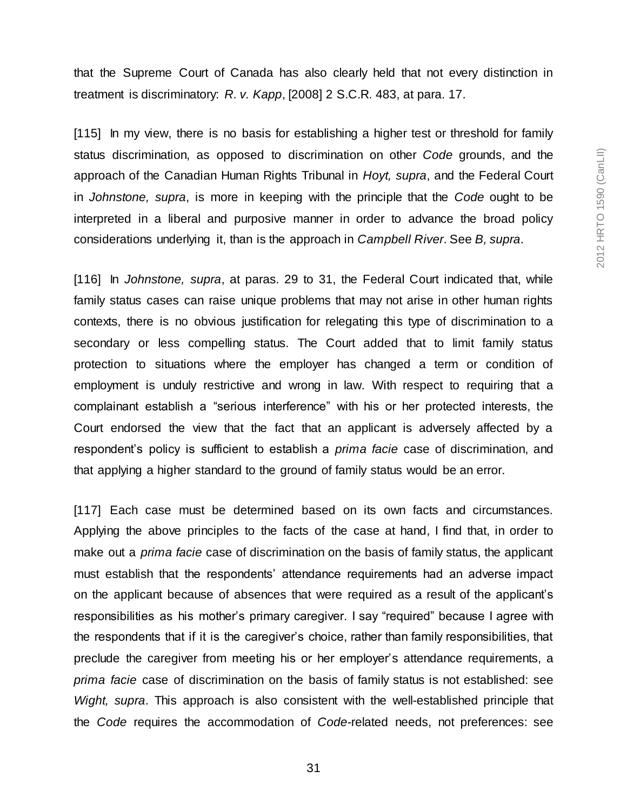that the Supreme Court of Canada has also clearly held that not every distinction in treatment is discriminatory: *R. v. Kapp*, [2008] 2 S.C.R. 483, at para. 17.

[115] In my view, there is no basis for establishing a higher test or threshold for family status discrimination, as opposed to discrimination on other *Code* grounds, and the approach of the Canadian Human Rights Tribunal in *Hoyt, supra*, and the Federal Court in *Johnstone, supra*, is more in keeping with the principle that the *Code* ought to be interpreted in a liberal and purposive manner in order to advance the broad policy considerations underlying it, than is the approach in *Campbell River*. See *B, supra*.

[116] In *Johnstone, supra*, at paras. 29 to 31, the Federal Court indicated that, while family status cases can raise unique problems that may not arise in other human rights contexts, there is no obvious justification for relegating this type of discrimination to a secondary or less compelling status. The Court added that to limit family status protection to situations where the employer has changed a term or condition of employment is unduly restrictive and wrong in law. With respect to requiring that a complainant establish a "serious interference" with his or her protected interests, the Court endorsed the view that the fact that an applicant is adversely affected by a respondent's policy is sufficient to establish a *prima facie* case of discrimination, and that applying a higher standard to the ground of family status would be an error.

[117] Each case must be determined based on its own facts and circumstances. Applying the above principles to the facts of the case at hand, I find that, in order to make out a *prima facie* case of discrimination on the basis of family status, the applicant must establish that the respondents' attendance requirements had an adverse impact on the applicant because of absences that were required as a result of the applicant's responsibilities as his mother's primary caregiver. I say "required" because I agree with the respondents that if it is the caregiver's choice, rather than family responsibilities, that preclude the caregiver from meeting his or her employer's attendance requirements, a *prima facie* case of discrimination on the basis of family status is not established: see *Wight, supra*. This approach is also consistent with the well-established principle that the *Code* requires the accommodation of *Code*-related needs, not preferences: see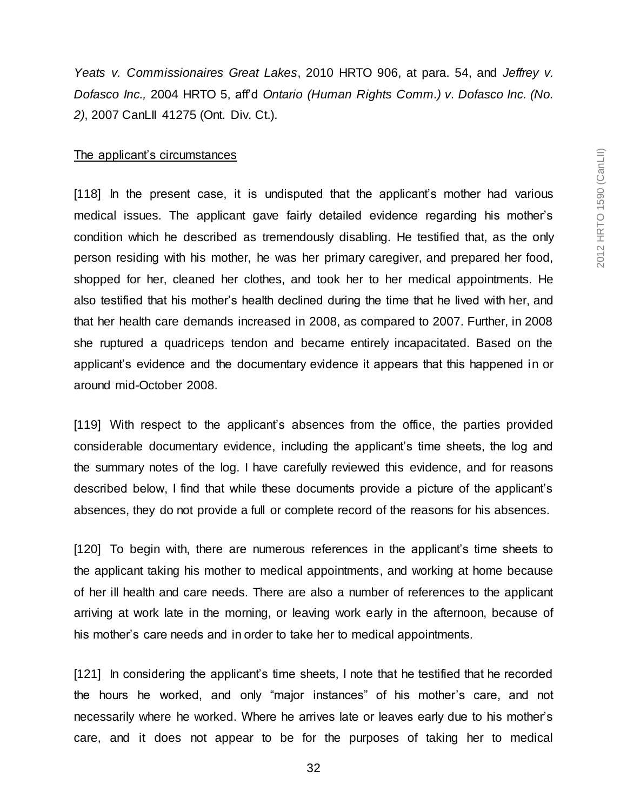*Yeats v. Commissionaires Great Lakes*, 2010 HRTO 906, at para. 54, and *Jeffrey v. Dofasco Inc.,* 2004 HRTO 5, aff'd *Ontario (Human Rights Comm.) v. Dofasco Inc. (No. 2)*, 2007 CanLII 41275 (Ont. Div. Ct.).

#### The applicant's circumstances

[118] In the present case, it is undisputed that the applicant's mother had various medical issues. The applicant gave fairly detailed evidence regarding his mother's condition which he described as tremendously disabling. He testified that, as the only person residing with his mother, he was her primary caregiver, and prepared her food, shopped for her, cleaned her clothes, and took her to her medical appointments. He also testified that his mother's health declined during the time that he lived with her, and that her health care demands increased in 2008, as compared to 2007. Further, in 2008 she ruptured a quadriceps tendon and became entirely incapacitated. Based on the applicant's evidence and the documentary evidence it appears that this happened in or around mid-October 2008.

[119] With respect to the applicant's absences from the office, the parties provided considerable documentary evidence, including the applicant's time sheets, the log and the summary notes of the log. I have carefully reviewed this evidence, and for reasons described below, I find that while these documents provide a picture of the applicant's absences, they do not provide a full or complete record of the reasons for his absences.

[120] To begin with, there are numerous references in the applicant's time sheets to the applicant taking his mother to medical appointments, and working at home because of her ill health and care needs. There are also a number of references to the applicant arriving at work late in the morning, or leaving work early in the afternoon, because of his mother's care needs and in order to take her to medical appointments.

[121] In considering the applicant's time sheets, I note that he testified that he recorded the hours he worked, and only "major instances" of his mother's care, and not necessarily where he worked. Where he arrives late or leaves early due to his mother's care, and it does not appear to be for the purposes of taking her to medical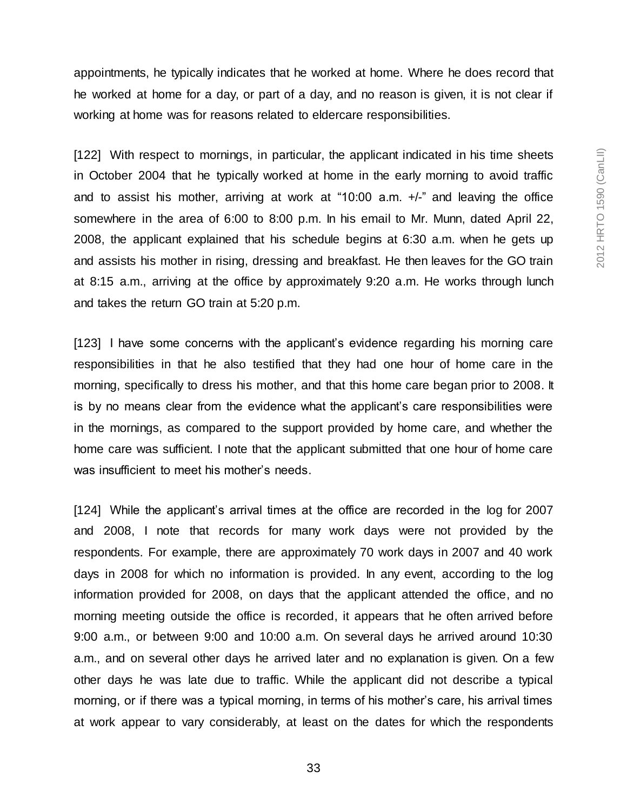appointments, he typically indicates that he worked at home. Where he does record that he worked at home for a day, or part of a day, and no reason is given, it is not clear if working at home was for reasons related to eldercare responsibilities.

[122] With respect to mornings, in particular, the applicant indicated in his time sheets in October 2004 that he typically worked at home in the early morning to avoid traffic and to assist his mother, arriving at work at "10:00 a.m. +/-" and leaving the office somewhere in the area of 6:00 to 8:00 p.m. In his email to Mr. Munn, dated April 22, 2008, the applicant explained that his schedule begins at 6:30 a.m. when he gets up and assists his mother in rising, dressing and breakfast. He then leaves for the GO train at 8:15 a.m., arriving at the office by approximately 9:20 a.m. He works through lunch and takes the return GO train at 5:20 p.m.

[123] I have some concerns with the applicant's evidence regarding his morning care responsibilities in that he also testified that they had one hour of home care in the morning, specifically to dress his mother, and that this home care began prior to 2008. It is by no means clear from the evidence what the applicant's care responsibilities were in the mornings, as compared to the support provided by home care, and whether the home care was sufficient. I note that the applicant submitted that one hour of home care was insufficient to meet his mother's needs.

[124] While the applicant's arrival times at the office are recorded in the log for 2007 and 2008, I note that records for many work days were not provided by the respondents. For example, there are approximately 70 work days in 2007 and 40 work days in 2008 for which no information is provided. In any event, according to the log information provided for 2008, on days that the applicant attended the office, and no morning meeting outside the office is recorded, it appears that he often arrived before 9:00 a.m., or between 9:00 and 10:00 a.m. On several days he arrived around 10:30 a.m., and on several other days he arrived later and no explanation is given. On a few other days he was late due to traffic. While the applicant did not describe a typical morning, or if there was a typical morning, in terms of his mother's care, his arrival times at work appear to vary considerably, at least on the dates for which the respondents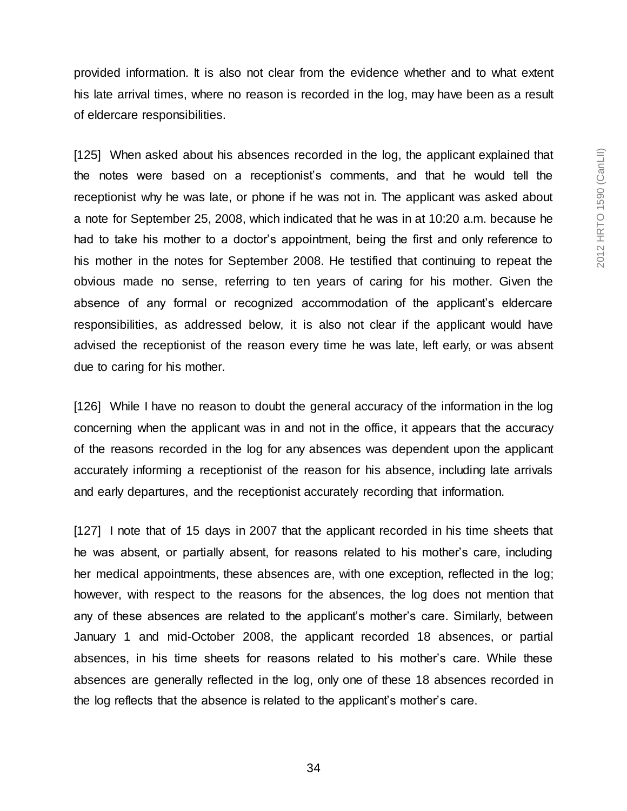provided information. It is also not clear from the evidence whether and to what extent his late arrival times, where no reason is recorded in the log, may have been as a result of eldercare responsibilities.

[125] When asked about his absences recorded in the log, the applicant explained that the notes were based on a receptionist's comments, and that he would tell the receptionist why he was late, or phone if he was not in. The applicant was asked about a note for September 25, 2008, which indicated that he was in at 10:20 a.m. because he had to take his mother to a doctor's appointment, being the first and only reference to his mother in the notes for September 2008. He testified that continuing to repeat the obvious made no sense, referring to ten years of caring for his mother. Given the absence of any formal or recognized accommodation of the applicant's eldercare responsibilities, as addressed below, it is also not clear if the applicant would have advised the receptionist of the reason every time he was late, left early, or was absent due to caring for his mother.

[126] While I have no reason to doubt the general accuracy of the information in the log concerning when the applicant was in and not in the office, it appears that the accuracy of the reasons recorded in the log for any absences was dependent upon the applicant accurately informing a receptionist of the reason for his absence, including late arrivals and early departures, and the receptionist accurately recording that information.

[127] I note that of 15 days in 2007 that the applicant recorded in his time sheets that he was absent, or partially absent, for reasons related to his mother's care, including her medical appointments, these absences are, with one exception, reflected in the log; however, with respect to the reasons for the absences, the log does not mention that any of these absences are related to the applicant's mother's care. Similarly, between January 1 and mid-October 2008, the applicant recorded 18 absences, or partial absences, in his time sheets for reasons related to his mother's care. While these absences are generally reflected in the log, only one of these 18 absences recorded in the log reflects that the absence is related to the applicant's mother's care.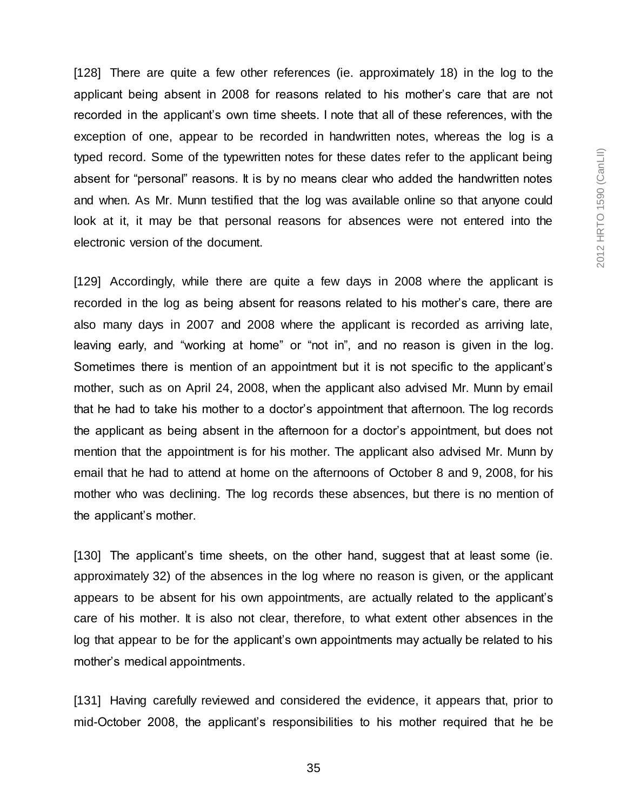[128] There are quite a few other references (ie. approximately 18) in the log to the applicant being absent in 2008 for reasons related to his mother's care that are not recorded in the applicant's own time sheets. I note that all of these references, with the exception of one, appear to be recorded in handwritten notes, whereas the log is a typed record. Some of the typewritten notes for these dates refer to the applicant being absent for "personal" reasons. It is by no means clear who added the handwritten notes and when. As Mr. Munn testified that the log was available online so that anyone could look at it, it may be that personal reasons for absences were not entered into the electronic version of the document.

[129] Accordingly, while there are quite a few days in 2008 where the applicant is recorded in the log as being absent for reasons related to his mother's care, there are also many days in 2007 and 2008 where the applicant is recorded as arriving late, leaving early, and "working at home" or "not in", and no reason is given in the log. Sometimes there is mention of an appointment but it is not specific to the applicant's mother, such as on April 24, 2008, when the applicant also advised Mr. Munn by email that he had to take his mother to a doctor's appointment that afternoon. The log records the applicant as being absent in the afternoon for a doctor's appointment, but does not mention that the appointment is for his mother. The applicant also advised Mr. Munn by email that he had to attend at home on the afternoons of October 8 and 9, 2008, for his mother who was declining. The log records these absences, but there is no mention of the applicant's mother.

[130] The applicant's time sheets, on the other hand, suggest that at least some (ie. approximately 32) of the absences in the log where no reason is given, or the applicant appears to be absent for his own appointments, are actually related to the applicant's care of his mother. It is also not clear, therefore, to what extent other absences in the log that appear to be for the applicant's own appointments may actually be related to his mother's medical appointments.

[131] Having carefully reviewed and considered the evidence, it appears that, prior to mid-October 2008, the applicant's responsibilities to his mother required that he be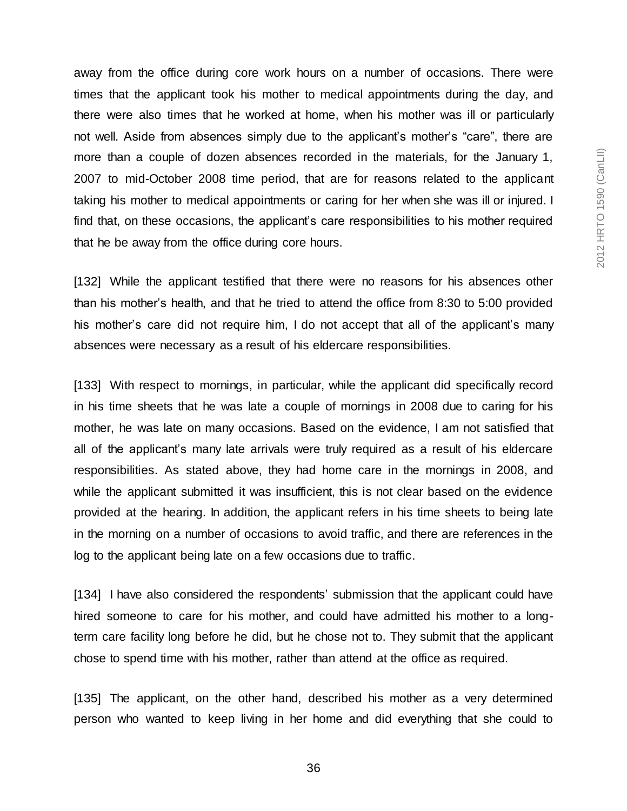away from the office during core work hours on a number of occasions. There were times that the applicant took his mother to medical appointments during the day, and there were also times that he worked at home, when his mother was ill or particularly not well. Aside from absences simply due to the applicant's mother's "care", there are more than a couple of dozen absences recorded in the materials, for the January 1, 2007 to mid-October 2008 time period, that are for reasons related to the applicant taking his mother to medical appointments or caring for her when she was ill or injured. I find that, on these occasions, the applicant's care responsibilities to his mother required that he be away from the office during core hours.

[132] While the applicant testified that there were no reasons for his absences other than his mother's health, and that he tried to attend the office from 8:30 to 5:00 provided his mother's care did not require him, I do not accept that all of the applicant's many absences were necessary as a result of his eldercare responsibilities.

[133] With respect to mornings, in particular, while the applicant did specifically record in his time sheets that he was late a couple of mornings in 2008 due to caring for his mother, he was late on many occasions. Based on the evidence, I am not satisfied that all of the applicant's many late arrivals were truly required as a result of his eldercare responsibilities. As stated above, they had home care in the mornings in 2008, and while the applicant submitted it was insufficient, this is not clear based on the evidence provided at the hearing. In addition, the applicant refers in his time sheets to being late in the morning on a number of occasions to avoid traffic, and there are references in the log to the applicant being late on a few occasions due to traffic.

[134] I have also considered the respondents' submission that the applicant could have hired someone to care for his mother, and could have admitted his mother to a longterm care facility long before he did, but he chose not to. They submit that the applicant chose to spend time with his mother, rather than attend at the office as required.

[135] The applicant, on the other hand, described his mother as a very determined person who wanted to keep living in her home and did everything that she could to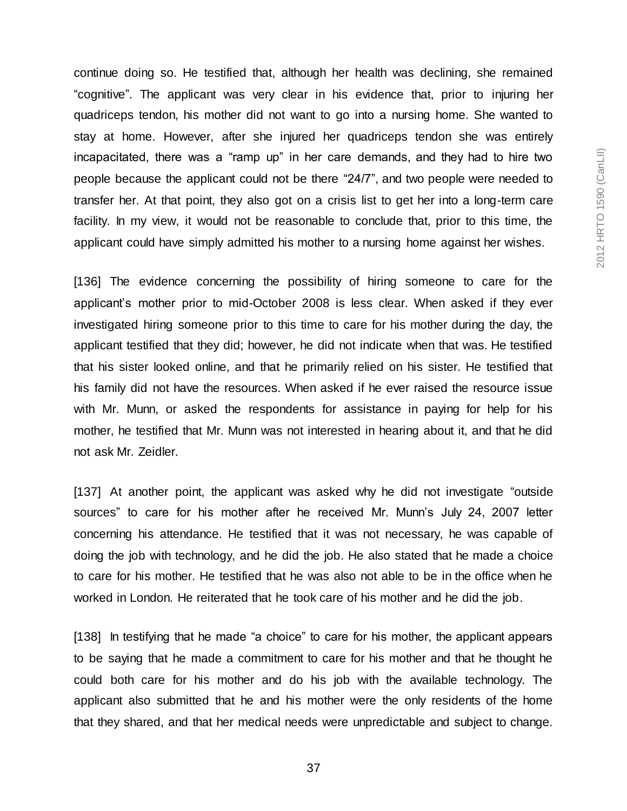continue doing so. He testified that, although her health was declining, she remained "cognitive". The applicant was very clear in his evidence that, prior to injuring her quadriceps tendon, his mother did not want to go into a nursing home. She wanted to stay at home. However, after she injured her quadriceps tendon she was entirely incapacitated, there was a "ramp up" in her care demands, and they had to hire two people because the applicant could not be there "24/7", and two people were needed to transfer her. At that point, they also got on a crisis list to get her into a long-term care facility. In my view, it would not be reasonable to conclude that, prior to this time, the applicant could have simply admitted his mother to a nursing home against her wishes.

[136] The evidence concerning the possibility of hiring someone to care for the applicant's mother prior to mid-October 2008 is less clear. When asked if they ever investigated hiring someone prior to this time to care for his mother during the day, the applicant testified that they did; however, he did not indicate when that was. He testified that his sister looked online, and that he primarily relied on his sister. He testified that his family did not have the resources. When asked if he ever raised the resource issue with Mr. Munn, or asked the respondents for assistance in paying for help for his mother, he testified that Mr. Munn was not interested in hearing about it, and that he did not ask Mr. Zeidler.

[137] At another point, the applicant was asked why he did not investigate "outside sources" to care for his mother after he received Mr. Munn's July 24, 2007 letter concerning his attendance. He testified that it was not necessary, he was capable of doing the job with technology, and he did the job. He also stated that he made a choice to care for his mother. He testified that he was also not able to be in the office when he worked in London. He reiterated that he took care of his mother and he did the job.

[138] In testifying that he made "a choice" to care for his mother, the applicant appears to be saying that he made a commitment to care for his mother and that he thought he could both care for his mother and do his job with the available technology. The applicant also submitted that he and his mother were the only residents of the home that they shared, and that her medical needs were unpredictable and subject to change.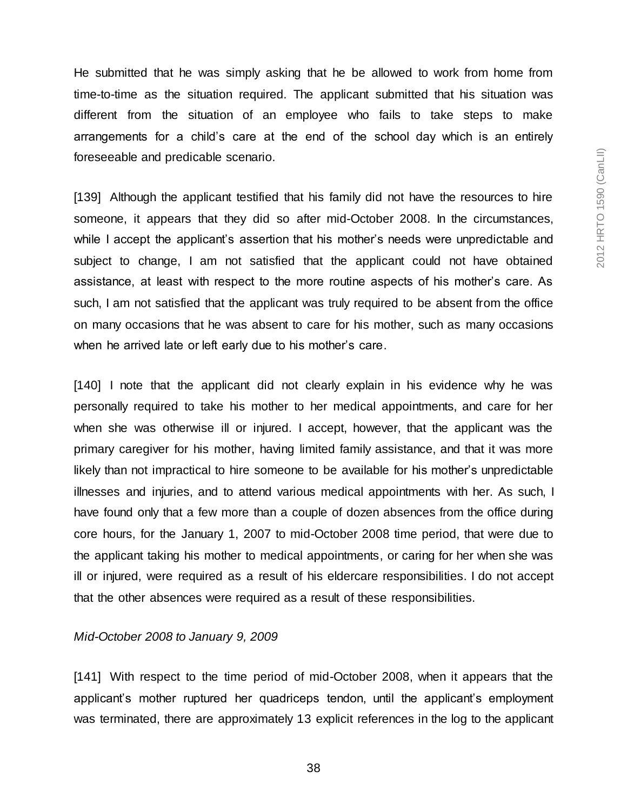He submitted that he was simply asking that he be allowed to work from home from time-to-time as the situation required. The applicant submitted that his situation was different from the situation of an employee who fails to take steps to make arrangements for a child's care at the end of the school day which is an entirely foreseeable and predicable scenario.

[139] Although the applicant testified that his family did not have the resources to hire someone, it appears that they did so after mid-October 2008. In the circumstances, while I accept the applicant's assertion that his mother's needs were unpredictable and subject to change, I am not satisfied that the applicant could not have obtained assistance, at least with respect to the more routine aspects of his mother's care. As such, I am not satisfied that the applicant was truly required to be absent from the office on many occasions that he was absent to care for his mother, such as many occasions when he arrived late or left early due to his mother's care.

[140] I note that the applicant did not clearly explain in his evidence why he was personally required to take his mother to her medical appointments, and care for her when she was otherwise ill or injured. I accept, however, that the applicant was the primary caregiver for his mother, having limited family assistance, and that it was more likely than not impractical to hire someone to be available for his mother's unpredictable illnesses and injuries, and to attend various medical appointments with her. As such, I have found only that a few more than a couple of dozen absences from the office during core hours, for the January 1, 2007 to mid-October 2008 time period, that were due to the applicant taking his mother to medical appointments, or caring for her when she was ill or injured, were required as a result of his eldercare responsibilities. I do not accept that the other absences were required as a result of these responsibilities.

#### *Mid-October 2008 to January 9, 2009*

[141] With respect to the time period of mid-October 2008, when it appears that the applicant's mother ruptured her quadriceps tendon, until the applicant's employment was terminated, there are approximately 13 explicit references in the log to the applicant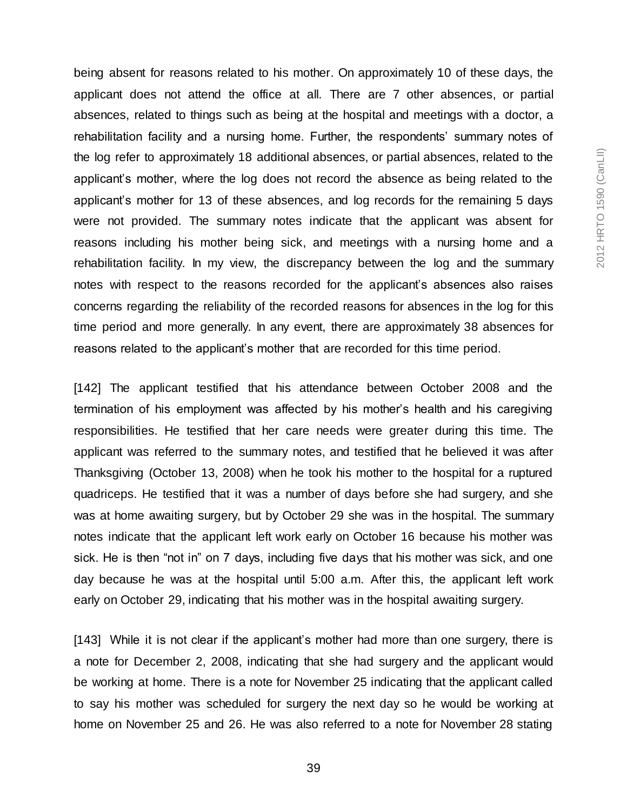being absent for reasons related to his mother. On approximately 10 of these days, the applicant does not attend the office at all. There are 7 other absences, or partial absences, related to things such as being at the hospital and meetings with a doctor, a rehabilitation facility and a nursing home. Further, the respondents' summary notes of the log refer to approximately 18 additional absences, or partial absences, related to the applicant's mother, where the log does not record the absence as being related to the applicant's mother for 13 of these absences, and log records for the remaining 5 days were not provided. The summary notes indicate that the applicant was absent for reasons including his mother being sick, and meetings with a nursing home and a rehabilitation facility. In my view, the discrepancy between the log and the summary notes with respect to the reasons recorded for the applicant's absences also raises concerns regarding the reliability of the recorded reasons for absences in the log for this time period and more generally. In any event, there are approximately 38 absences for reasons related to the applicant's mother that are recorded for this time period.

[142] The applicant testified that his attendance between October 2008 and the termination of his employment was affected by his mother's health and his caregiving responsibilities. He testified that her care needs were greater during this time. The applicant was referred to the summary notes, and testified that he believed it was after Thanksgiving (October 13, 2008) when he took his mother to the hospital for a ruptured quadriceps. He testified that it was a number of days before she had surgery, and she was at home awaiting surgery, but by October 29 she was in the hospital. The summary notes indicate that the applicant left work early on October 16 because his mother was sick. He is then "not in" on 7 days, including five days that his mother was sick, and one day because he was at the hospital until 5:00 a.m. After this, the applicant left work early on October 29, indicating that his mother was in the hospital awaiting surgery.

[143] While it is not clear if the applicant's mother had more than one surgery, there is a note for December 2, 2008, indicating that she had surgery and the applicant would be working at home. There is a note for November 25 indicating that the applicant called to say his mother was scheduled for surgery the next day so he would be working at home on November 25 and 26. He was also referred to a note for November 28 stating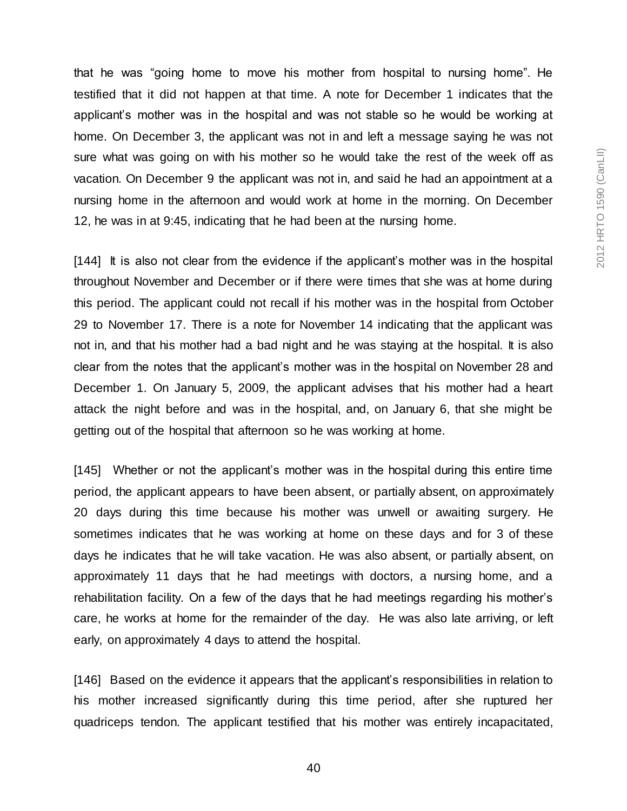that he was "going home to move his mother from hospital to nursing home". He testified that it did not happen at that time. A note for December 1 indicates that the applicant's mother was in the hospital and was not stable so he would be working at home. On December 3, the applicant was not in and left a message saying he was not sure what was going on with his mother so he would take the rest of the week off as vacation. On December 9 the applicant was not in, and said he had an appointment at a nursing home in the afternoon and would work at home in the morning. On December 12, he was in at 9:45, indicating that he had been at the nursing home.

[144] It is also not clear from the evidence if the applicant's mother was in the hospital throughout November and December or if there were times that she was at home during this period. The applicant could not recall if his mother was in the hospital from October 29 to November 17. There is a note for November 14 indicating that the applicant was not in, and that his mother had a bad night and he was staying at the hospital. It is also clear from the notes that the applicant's mother was in the hospital on November 28 and December 1. On January 5, 2009, the applicant advises that his mother had a heart attack the night before and was in the hospital, and, on January 6, that she might be getting out of the hospital that afternoon so he was working at home.

[145] Whether or not the applicant's mother was in the hospital during this entire time period, the applicant appears to have been absent, or partially absent, on approximately 20 days during this time because his mother was unwell or awaiting surgery. He sometimes indicates that he was working at home on these days and for 3 of these days he indicates that he will take vacation. He was also absent, or partially absent, on approximately 11 days that he had meetings with doctors, a nursing home, and a rehabilitation facility. On a few of the days that he had meetings regarding his mother's care, he works at home for the remainder of the day. He was also late arriving, or left early, on approximately 4 days to attend the hospital.

[146] Based on the evidence it appears that the applicant's responsibilities in relation to his mother increased significantly during this time period, after she ruptured her quadriceps tendon. The applicant testified that his mother was entirely incapacitated,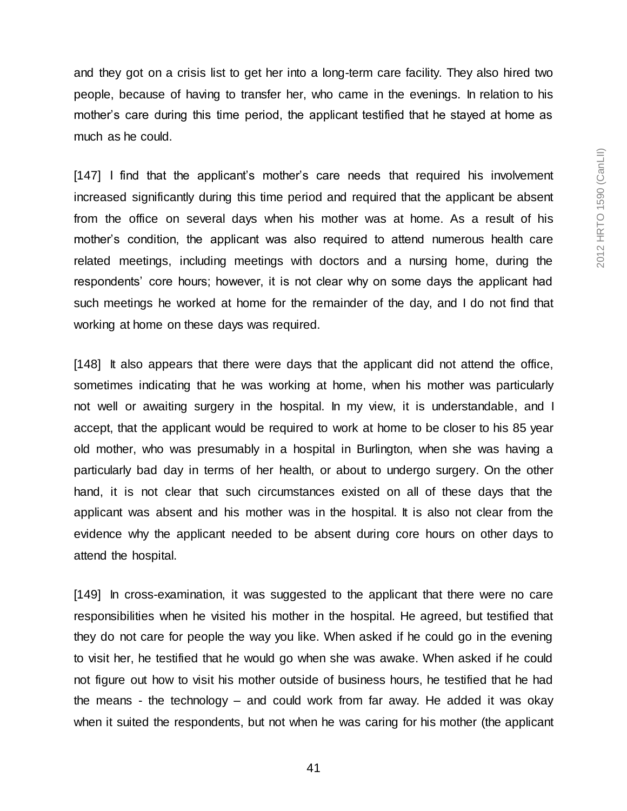and they got on a crisis list to get her into a long-term care facility. They also hired two people, because of having to transfer her, who came in the evenings. In relation to his mother's care during this time period, the applicant testified that he stayed at home as much as he could.

[147] I find that the applicant's mother's care needs that required his involvement increased significantly during this time period and required that the applicant be absent from the office on several days when his mother was at home. As a result of his mother's condition, the applicant was also required to attend numerous health care related meetings, including meetings with doctors and a nursing home, during the respondents' core hours; however, it is not clear why on some days the applicant had such meetings he worked at home for the remainder of the day, and I do not find that working at home on these days was required.

[148] It also appears that there were days that the applicant did not attend the office, sometimes indicating that he was working at home, when his mother was particularly not well or awaiting surgery in the hospital. In my view, it is understandable, and I accept, that the applicant would be required to work at home to be closer to his 85 year old mother, who was presumably in a hospital in Burlington, when she was having a particularly bad day in terms of her health, or about to undergo surgery. On the other hand, it is not clear that such circumstances existed on all of these days that the applicant was absent and his mother was in the hospital. It is also not clear from the evidence why the applicant needed to be absent during core hours on other days to attend the hospital.

[149] In cross-examination, it was suggested to the applicant that there were no care responsibilities when he visited his mother in the hospital. He agreed, but testified that they do not care for people the way you like. When asked if he could go in the evening to visit her, he testified that he would go when she was awake. When asked if he could not figure out how to visit his mother outside of business hours, he testified that he had the means - the technology – and could work from far away. He added it was okay when it suited the respondents, but not when he was caring for his mother (the applicant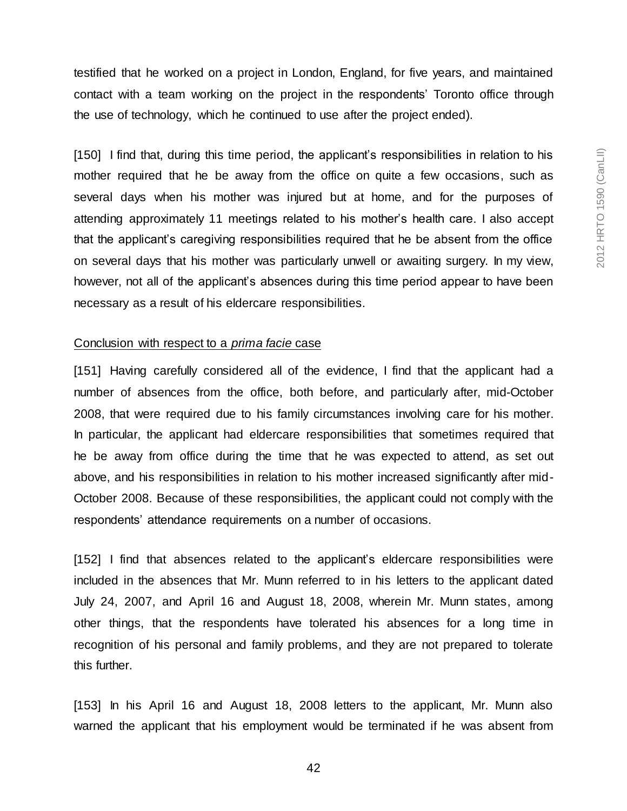testified that he worked on a project in London, England, for five years, and maintained contact with a team working on the project in the respondents' Toronto office through the use of technology, which he continued to use after the project ended).

[150] I find that, during this time period, the applicant's responsibilities in relation to his mother required that he be away from the office on quite a few occasions, such as several days when his mother was injured but at home, and for the purposes of attending approximately 11 meetings related to his mother's health care. I also accept that the applicant's caregiving responsibilities required that he be absent from the office on several days that his mother was particularly unwell or awaiting surgery. In my view, however, not all of the applicant's absences during this time period appear to have been necessary as a result of his eldercare responsibilities.

#### Conclusion with respect to a *prima facie* case

[151] Having carefully considered all of the evidence, I find that the applicant had a number of absences from the office, both before, and particularly after, mid-October 2008, that were required due to his family circumstances involving care for his mother. In particular, the applicant had eldercare responsibilities that sometimes required that he be away from office during the time that he was expected to attend, as set out above, and his responsibilities in relation to his mother increased significantly after mid-October 2008. Because of these responsibilities, the applicant could not comply with the respondents' attendance requirements on a number of occasions.

[152] I find that absences related to the applicant's eldercare responsibilities were included in the absences that Mr. Munn referred to in his letters to the applicant dated July 24, 2007, and April 16 and August 18, 2008, wherein Mr. Munn states, among other things, that the respondents have tolerated his absences for a long time in recognition of his personal and family problems, and they are not prepared to tolerate this further.

[153] In his April 16 and August 18, 2008 letters to the applicant, Mr. Munn also warned the applicant that his employment would be terminated if he was absent from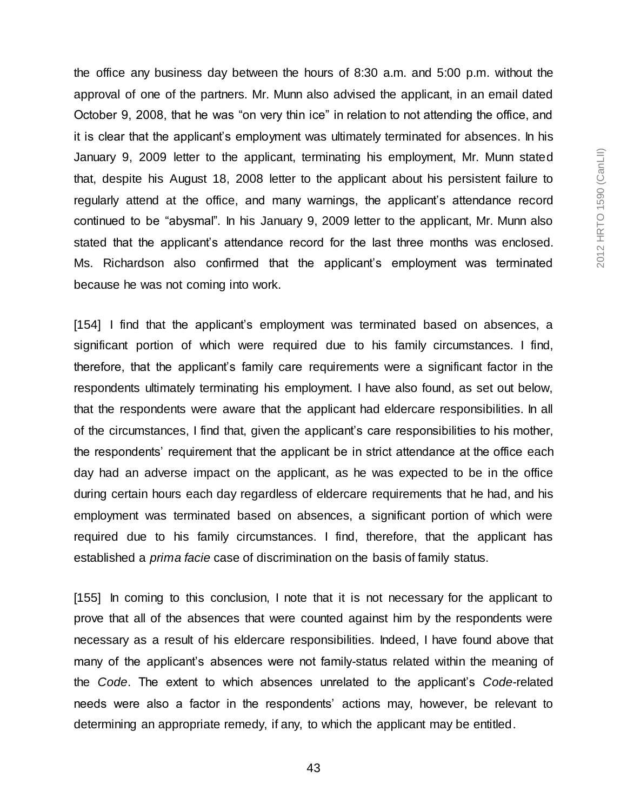the office any business day between the hours of 8:30 a.m. and 5:00 p.m. without the approval of one of the partners. Mr. Munn also advised the applicant, in an email dated October 9, 2008, that he was "on very thin ice" in relation to not attending the office, and it is clear that the applicant's employment was ultimately terminated for absences. In his January 9, 2009 letter to the applicant, terminating his employment, Mr. Munn stated that, despite his August 18, 2008 letter to the applicant about his persistent failure to regularly attend at the office, and many warnings, the applicant's attendance record continued to be "abysmal". In his January 9, 2009 letter to the applicant, Mr. Munn also stated that the applicant's attendance record for the last three months was enclosed. Ms. Richardson also confirmed that the applicant's employment was terminated because he was not coming into work.

[154] I find that the applicant's employment was terminated based on absences, a significant portion of which were required due to his family circumstances. I find, therefore, that the applicant's family care requirements were a significant factor in the respondents ultimately terminating his employment. I have also found, as set out below, that the respondents were aware that the applicant had eldercare responsibilities. In all of the circumstances, I find that, given the applicant's care responsibilities to his mother, the respondents' requirement that the applicant be in strict attendance at the office each day had an adverse impact on the applicant, as he was expected to be in the office during certain hours each day regardless of eldercare requirements that he had, and his employment was terminated based on absences, a significant portion of which were required due to his family circumstances. I find, therefore, that the applicant has established a *prima facie* case of discrimination on the basis of family status.

[155] In coming to this conclusion, I note that it is not necessary for the applicant to prove that all of the absences that were counted against him by the respondents were necessary as a result of his eldercare responsibilities. Indeed, I have found above that many of the applicant's absences were not family-status related within the meaning of the *Code*. The extent to which absences unrelated to the applicant's *Code*-related needs were also a factor in the respondents' actions may, however, be relevant to determining an appropriate remedy, if any, to which the applicant may be entitled.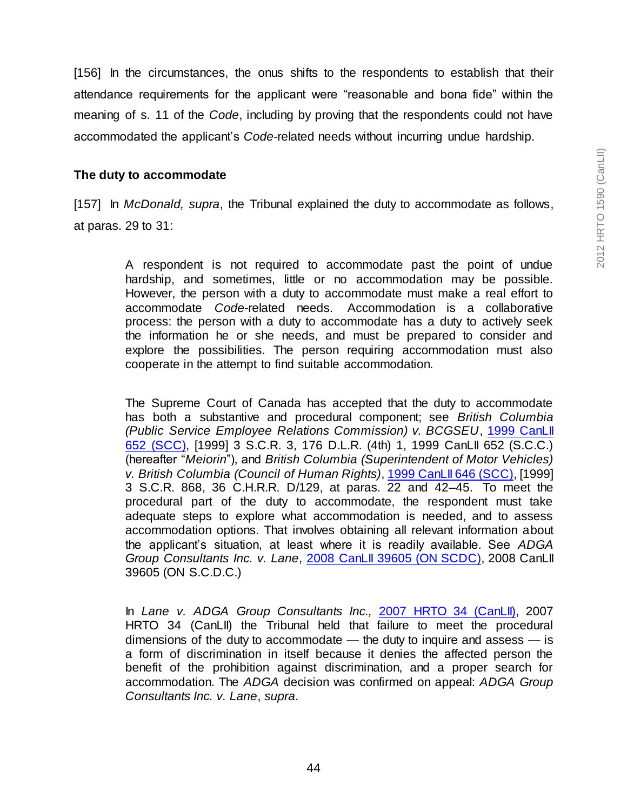[156] In the circumstances, the onus shifts to the respondents to establish that their attendance requirements for the applicant were "reasonable and bona fide" within the meaning of s. 11 of the *Code*, including by proving that the respondents could not have accommodated the applicant's *Code*-related needs without incurring undue hardship.

#### **The duty to accommodate**

[157] In *McDonald, supra*, the Tribunal explained the duty to accommodate as follows, at paras. 29 to 31:

> A respondent is not required to accommodate past the point of undue hardship, and sometimes, little or no accommodation may be possible. However, the person with a duty to accommodate must make a real effort to accommodate *Code*-related needs. Accommodation is a collaborative process: the person with a duty to accommodate has a duty to actively seek the information he or she needs, and must be prepared to consider and explore the possibilities. The person requiring accommodation must also cooperate in the attempt to find suitable accommodation.

> The Supreme Court of Canada has accepted that the duty to accommodate has both a substantive and procedural component; see *British Columbia (Public Service Employee Relations Commission) v. BCGSEU*[, 1999 CanLII](http://www.canlii.org/en/ca/scc/doc/1999/1999canlii652/1999canlii652.html)  [652 \(SCC\),](http://www.canlii.org/en/ca/scc/doc/1999/1999canlii652/1999canlii652.html) [1999] 3 S.C.R. 3, 176 D.L.R. (4th) 1, 1999 CanLII 652 (S.C.C.) (hereafter "*Meiorin*"), and *British Columbia (Superintendent of Motor Vehicles) v. British Columbia (Council of Human Rights)*[, 1999 CanLII 646 \(SCC\),](http://www.canlii.org/en/ca/scc/doc/1999/1999canlii646/1999canlii646.html) [1999] 3 S.C.R. 868, 36 C.H.R.R. D/129, at paras. 22 and 42–45. To meet the procedural part of the duty to accommodate, the respondent must take adequate steps to explore what accommodation is needed, and to assess accommodation options. That involves obtaining all relevant information about the applicant's situation, at least where it is readily available. See *ADGA Group Consultants Inc. v. Lane*[, 2008 CanLII 39605 \(ON SCDC\)](http://www.canlii.org/en/on/onscdc/doc/2008/2008canlii39605/2008canlii39605.html), 2008 CanLII 39605 (ON S.C.D.C.)

> In *Lane v. ADGA Group Consultants Inc.,* [2007 HRTO 34 \(CanLII\),](http://www.canlii.org/en/on/onhrt/doc/2007/2007hrto34/2007hrto34.html) 2007 HRTO 34 (CanLII) the Tribunal held that failure to meet the procedural dimensions of the duty to accommodate  $-$  the duty to inquire and assess  $-$  is a form of discrimination in itself because it denies the affected person the benefit of the prohibition against discrimination, and a proper search for accommodation. The *ADGA* decision was confirmed on appeal: *ADGA Group Consultants Inc. v. Lane*, *supra*.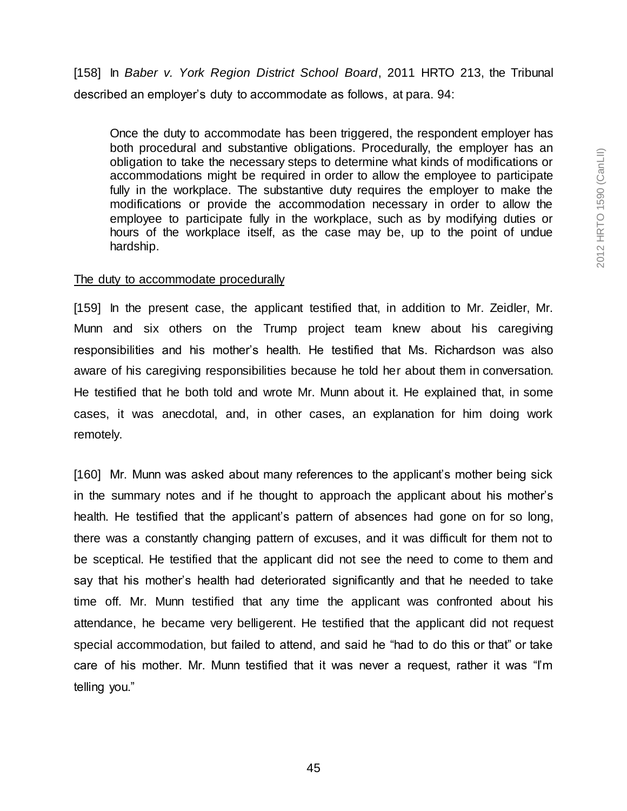[158] In *Baber v. York Region District School Board*, 2011 HRTO 213, the Tribunal described an employer's duty to accommodate as follows, at para. 94:

Once the duty to accommodate has been triggered, the respondent employer has both procedural and substantive obligations. Procedurally, the employer has an obligation to take the necessary steps to determine what kinds of modifications or accommodations might be required in order to allow the employee to participate fully in the workplace. The substantive duty requires the employer to make the modifications or provide the accommodation necessary in order to allow the employee to participate fully in the workplace, such as by modifying duties or hours of the workplace itself, as the case may be, up to the point of undue hardship.

#### The duty to accommodate procedurally

[159] In the present case, the applicant testified that, in addition to Mr. Zeidler, Mr. Munn and six others on the Trump project team knew about his caregiving responsibilities and his mother's health. He testified that Ms. Richardson was also aware of his caregiving responsibilities because he told her about them in conversation. He testified that he both told and wrote Mr. Munn about it. He explained that, in some cases, it was anecdotal, and, in other cases, an explanation for him doing work remotely.

[160] Mr. Munn was asked about many references to the applicant's mother being sick in the summary notes and if he thought to approach the applicant about his mother's health. He testified that the applicant's pattern of absences had gone on for so long, there was a constantly changing pattern of excuses, and it was difficult for them not to be sceptical. He testified that the applicant did not see the need to come to them and say that his mother's health had deteriorated significantly and that he needed to take time off. Mr. Munn testified that any time the applicant was confronted about his attendance, he became very belligerent. He testified that the applicant did not request special accommodation, but failed to attend, and said he "had to do this or that" or take care of his mother. Mr. Munn testified that it was never a request, rather it was "I'm telling you."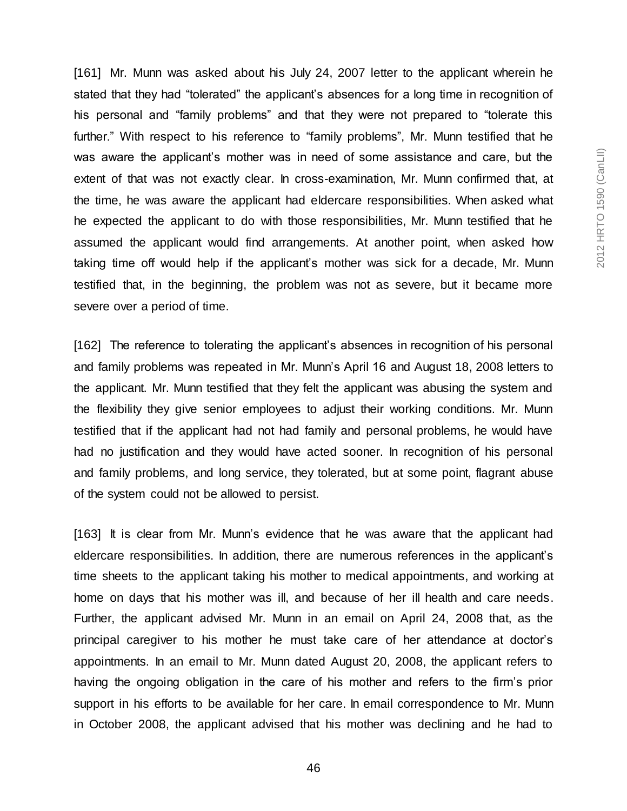[161] Mr. Munn was asked about his July 24, 2007 letter to the applicant wherein he stated that they had "tolerated" the applicant's absences for a long time in recognition of his personal and "family problems" and that they were not prepared to "tolerate this further." With respect to his reference to "family problems", Mr. Munn testified that he was aware the applicant's mother was in need of some assistance and care, but the extent of that was not exactly clear. In cross-examination, Mr. Munn confirmed that, at the time, he was aware the applicant had eldercare responsibilities. When asked what he expected the applicant to do with those responsibilities, Mr. Munn testified that he assumed the applicant would find arrangements. At another point, when asked how taking time off would help if the applicant's mother was sick for a decade, Mr. Munn testified that, in the beginning, the problem was not as severe, but it became more severe over a period of time.

[162] The reference to tolerating the applicant's absences in recognition of his personal and family problems was repeated in Mr. Munn's April 16 and August 18, 2008 letters to the applicant. Mr. Munn testified that they felt the applicant was abusing the system and the flexibility they give senior employees to adjust their working conditions. Mr. Munn testified that if the applicant had not had family and personal problems, he would have had no justification and they would have acted sooner. In recognition of his personal and family problems, and long service, they tolerated, but at some point, flagrant abuse of the system could not be allowed to persist.

[163] It is clear from Mr. Munn's evidence that he was aware that the applicant had eldercare responsibilities. In addition, there are numerous references in the applicant's time sheets to the applicant taking his mother to medical appointments, and working at home on days that his mother was ill, and because of her ill health and care needs. Further, the applicant advised Mr. Munn in an email on April 24, 2008 that, as the principal caregiver to his mother he must take care of her attendance at doctor's appointments. In an email to Mr. Munn dated August 20, 2008, the applicant refers to having the ongoing obligation in the care of his mother and refers to the firm's prior support in his efforts to be available for her care. In email correspondence to Mr. Munn in October 2008, the applicant advised that his mother was declining and he had to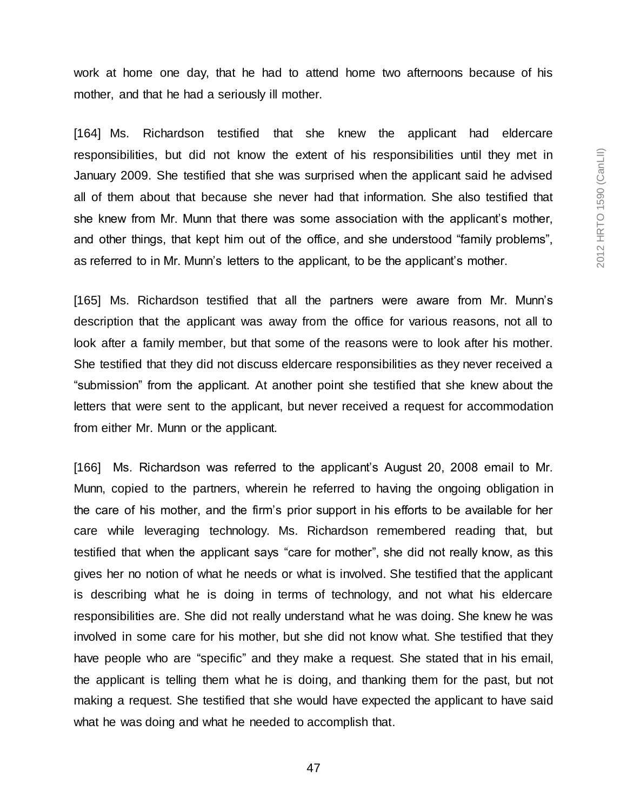work at home one day, that he had to attend home two afternoons because of his mother, and that he had a seriously ill mother.

[164] Ms. Richardson testified that she knew the applicant had eldercare responsibilities, but did not know the extent of his responsibilities until they met in January 2009. She testified that she was surprised when the applicant said he advised all of them about that because she never had that information. She also testified that she knew from Mr. Munn that there was some association with the applicant's mother, and other things, that kept him out of the office, and she understood "family problems", as referred to in Mr. Munn's letters to the applicant, to be the applicant's mother.

[165] Ms. Richardson testified that all the partners were aware from Mr. Munn's description that the applicant was away from the office for various reasons, not all to look after a family member, but that some of the reasons were to look after his mother. She testified that they did not discuss eldercare responsibilities as they never received a "submission" from the applicant. At another point she testified that she knew about the letters that were sent to the applicant, but never received a request for accommodation from either Mr. Munn or the applicant.

[166] Ms. Richardson was referred to the applicant's August 20, 2008 email to Mr. Munn, copied to the partners, wherein he referred to having the ongoing obligation in the care of his mother, and the firm's prior support in his efforts to be available for her care while leveraging technology. Ms. Richardson remembered reading that, but testified that when the applicant says "care for mother", she did not really know, as this gives her no notion of what he needs or what is involved. She testified that the applicant is describing what he is doing in terms of technology, and not what his eldercare responsibilities are. She did not really understand what he was doing. She knew he was involved in some care for his mother, but she did not know what. She testified that they have people who are "specific" and they make a request. She stated that in his email, the applicant is telling them what he is doing, and thanking them for the past, but not making a request. She testified that she would have expected the applicant to have said what he was doing and what he needed to accomplish that.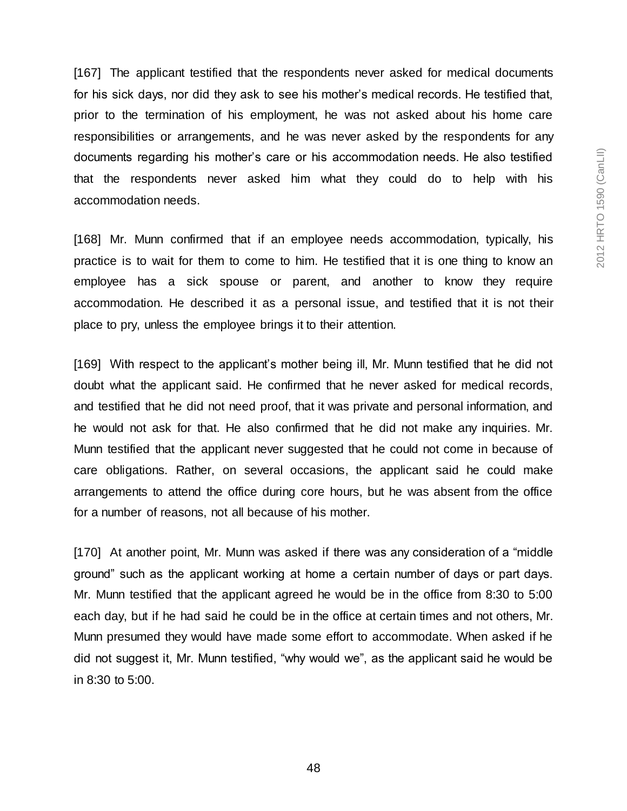[167] The applicant testified that the respondents never asked for medical documents for his sick days, nor did they ask to see his mother's medical records. He testified that, prior to the termination of his employment, he was not asked about his home care responsibilities or arrangements, and he was never asked by the respondents for any documents regarding his mother's care or his accommodation needs. He also testified that the respondents never asked him what they could do to help with his accommodation needs.

[168] Mr. Munn confirmed that if an employee needs accommodation, typically, his practice is to wait for them to come to him. He testified that it is one thing to know an employee has a sick spouse or parent, and another to know they require accommodation. He described it as a personal issue, and testified that it is not their place to pry, unless the employee brings it to their attention.

[169] With respect to the applicant's mother being ill, Mr. Munn testified that he did not doubt what the applicant said. He confirmed that he never asked for medical records, and testified that he did not need proof, that it was private and personal information, and he would not ask for that. He also confirmed that he did not make any inquiries. Mr. Munn testified that the applicant never suggested that he could not come in because of care obligations. Rather, on several occasions, the applicant said he could make arrangements to attend the office during core hours, but he was absent from the office for a number of reasons, not all because of his mother.

[170] At another point, Mr. Munn was asked if there was any consideration of a "middle" ground" such as the applicant working at home a certain number of days or part days. Mr. Munn testified that the applicant agreed he would be in the office from 8:30 to 5:00 each day, but if he had said he could be in the office at certain times and not others, Mr. Munn presumed they would have made some effort to accommodate. When asked if he did not suggest it, Mr. Munn testified, "why would we", as the applicant said he would be in 8:30 to 5:00.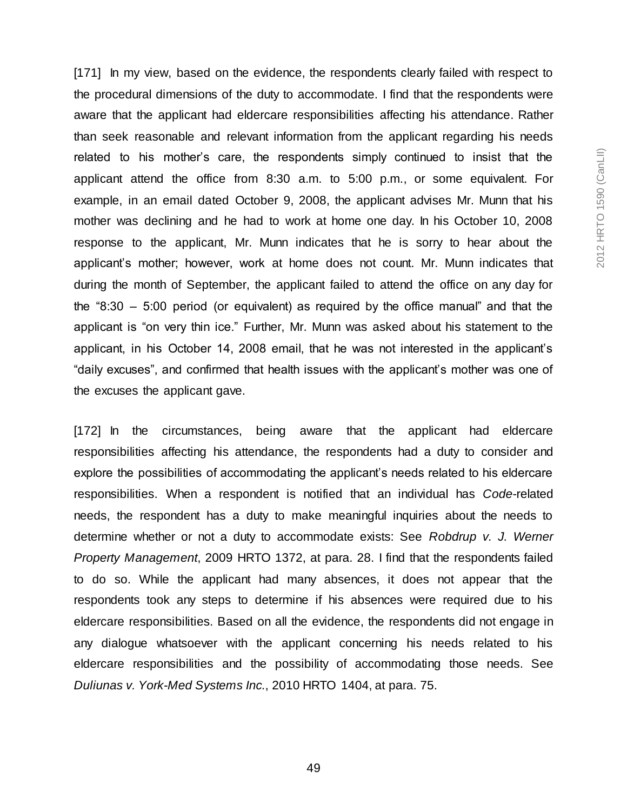[171] In my view, based on the evidence, the respondents clearly failed with respect to the procedural dimensions of the duty to accommodate. I find that the respondents were aware that the applicant had eldercare responsibilities affecting his attendance. Rather than seek reasonable and relevant information from the applicant regarding his needs related to his mother's care, the respondents simply continued to insist that the applicant attend the office from 8:30 a.m. to 5:00 p.m., or some equivalent. For example, in an email dated October 9, 2008, the applicant advises Mr. Munn that his mother was declining and he had to work at home one day. In his October 10, 2008 response to the applicant, Mr. Munn indicates that he is sorry to hear about the applicant's mother; however, work at home does not count. Mr. Munn indicates that during the month of September, the applicant failed to attend the office on any day for the "8:30 – 5:00 period (or equivalent) as required by the office manual" and that the applicant is "on very thin ice." Further, Mr. Munn was asked about his statement to the applicant, in his October 14, 2008 email, that he was not interested in the applicant's "daily excuses", and confirmed that health issues with the applicant's mother was one of the excuses the applicant gave.

[172] In the circumstances, being aware that the applicant had eldercare responsibilities affecting his attendance, the respondents had a duty to consider and explore the possibilities of accommodating the applicant's needs related to his eldercare responsibilities. When a respondent is notified that an individual has *Code*-related needs, the respondent has a duty to make meaningful inquiries about the needs to determine whether or not a duty to accommodate exists: See *Robdrup v. J. Werner Property Management*, 2009 HRTO 1372, at para. 28. I find that the respondents failed to do so. While the applicant had many absences, it does not appear that the respondents took any steps to determine if his absences were required due to his eldercare responsibilities. Based on all the evidence, the respondents did not engage in any dialogue whatsoever with the applicant concerning his needs related to his eldercare responsibilities and the possibility of accommodating those needs. See *Duliunas v. York-Med Systems Inc.*, 2010 HRTO 1404, at para. 75.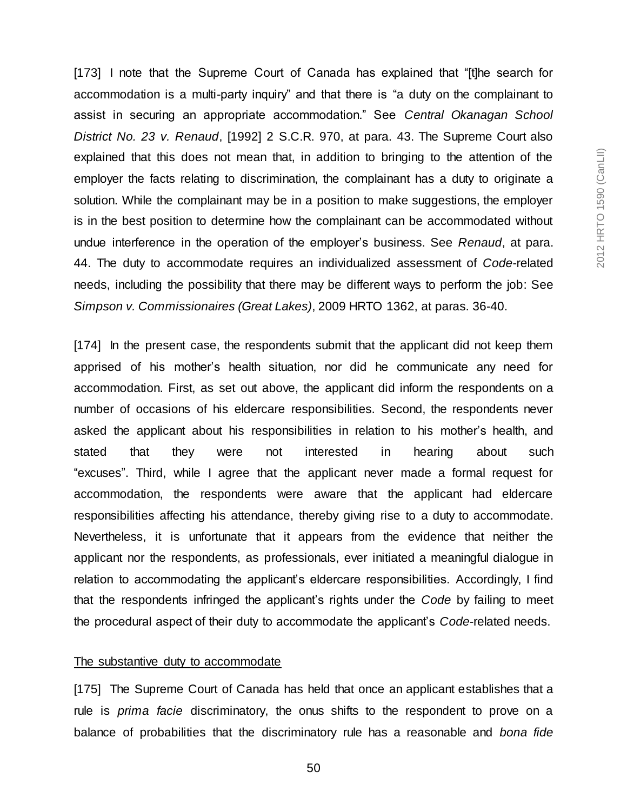[173] I note that the Supreme Court of Canada has explained that "[t]he search for accommodation is a multi-party inquiry" and that there is "a duty on the complainant to assist in securing an appropriate accommodation." See *Central Okanagan School District No. 23 v. Renaud*, [1992] 2 S.C.R. 970, at para. 43. The Supreme Court also explained that this does not mean that, in addition to bringing to the attention of the employer the facts relating to discrimination, the complainant has a duty to originate a solution. While the complainant may be in a position to make suggestions, the employer is in the best position to determine how the complainant can be accommodated without undue interference in the operation of the employer's business. See *Renaud*, at para. 44. The duty to accommodate requires an individualized assessment of *Code*-related needs, including the possibility that there may be different ways to perform the job: See *Simpson v. Commissionaires (Great Lakes)*, 2009 HRTO 1362, at paras. 36-40.

[174] In the present case, the respondents submit that the applicant did not keep them apprised of his mother's health situation, nor did he communicate any need for accommodation. First, as set out above, the applicant did inform the respondents on a number of occasions of his eldercare responsibilities. Second, the respondents never asked the applicant about his responsibilities in relation to his mother's health, and stated that they were not interested in hearing about such "excuses". Third, while I agree that the applicant never made a formal request for accommodation, the respondents were aware that the applicant had eldercare responsibilities affecting his attendance, thereby giving rise to a duty to accommodate. Nevertheless, it is unfortunate that it appears from the evidence that neither the applicant nor the respondents, as professionals, ever initiated a meaningful dialogue in relation to accommodating the applicant's eldercare responsibilities. Accordingly, I find that the respondents infringed the applicant's rights under the *Code* by failing to meet the procedural aspect of their duty to accommodate the applicant's *Code*-related needs.

#### The substantive duty to accommodate

[175] The Supreme Court of Canada has held that once an applicant establishes that a rule is *prima facie* discriminatory, the onus shifts to the respondent to prove on a balance of probabilities that the discriminatory rule has a reasonable and *bona fide*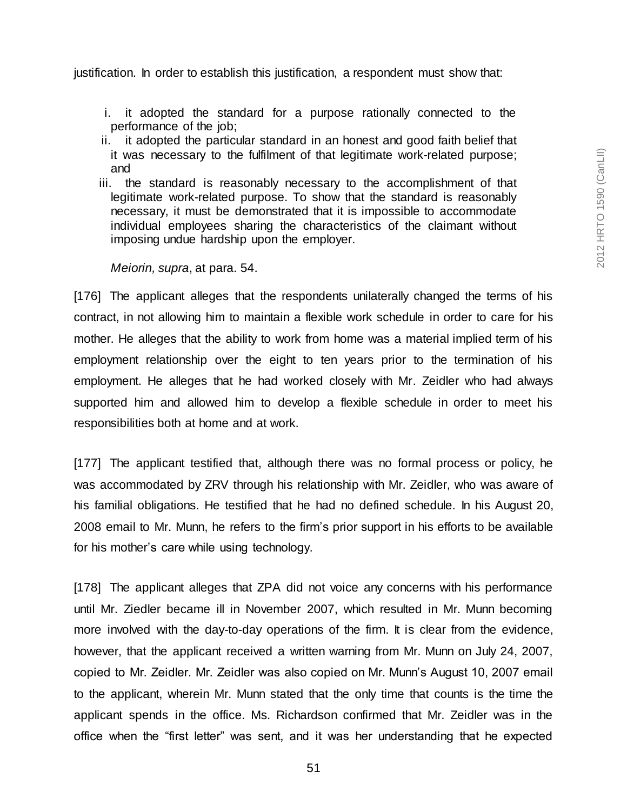justification. In order to establish this justification, a respondent must show that:

- i. it adopted the standard for a purpose rationally connected to the performance of the job;
- ii. it adopted the particular standard in an honest and good faith belief that it was necessary to the fulfilment of that legitimate work-related purpose; and
- iii. the standard is reasonably necessary to the accomplishment of that legitimate work-related purpose. To show that the standard is reasonably necessary, it must be demonstrated that it is impossible to accommodate individual employees sharing the characteristics of the claimant without imposing undue hardship upon the employer.

#### *Meiorin, supra*, at para. 54.

[176] The applicant alleges that the respondents unilaterally changed the terms of his contract, in not allowing him to maintain a flexible work schedule in order to care for his mother. He alleges that the ability to work from home was a material implied term of his employment relationship over the eight to ten years prior to the termination of his employment. He alleges that he had worked closely with Mr. Zeidler who had always supported him and allowed him to develop a flexible schedule in order to meet his responsibilities both at home and at work.

[177] The applicant testified that, although there was no formal process or policy, he was accommodated by ZRV through his relationship with Mr. Zeidler, who was aware of his familial obligations. He testified that he had no defined schedule. In his August 20, 2008 email to Mr. Munn, he refers to the firm's prior support in his efforts to be available for his mother's care while using technology.

[178] The applicant alleges that ZPA did not voice any concerns with his performance until Mr. Ziedler became ill in November 2007, which resulted in Mr. Munn becoming more involved with the day-to-day operations of the firm. It is clear from the evidence, however, that the applicant received a written warning from Mr. Munn on July 24, 2007, copied to Mr. Zeidler. Mr. Zeidler was also copied on Mr. Munn's August 10, 2007 email to the applicant, wherein Mr. Munn stated that the only time that counts is the time the applicant spends in the office. Ms. Richardson confirmed that Mr. Zeidler was in the office when the "first letter" was sent, and it was her understanding that he expected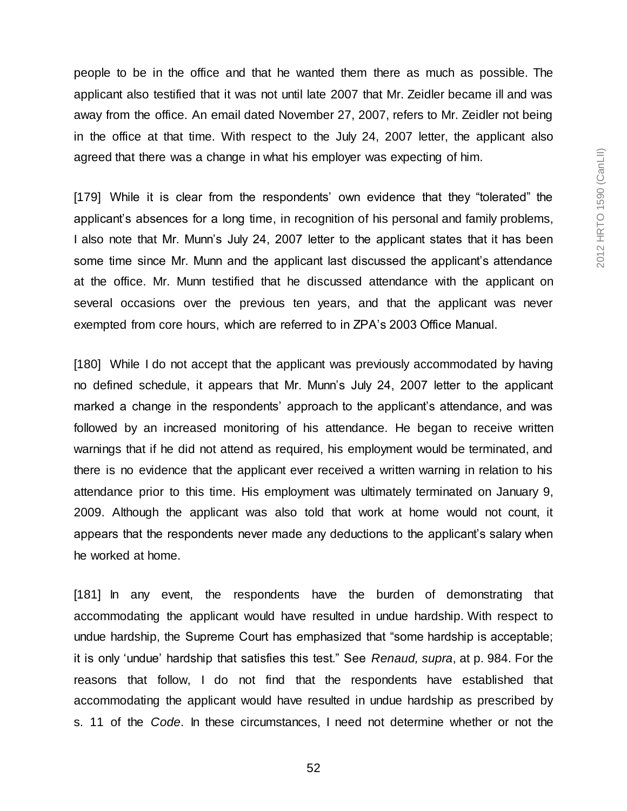people to be in the office and that he wanted them there as much as possible. The applicant also testified that it was not until late 2007 that Mr. Zeidler became ill and was away from the office. An email dated November 27, 2007, refers to Mr. Zeidler not being in the office at that time. With respect to the July 24, 2007 letter, the applicant also agreed that there was a change in what his employer was expecting of him.

[179] While it is clear from the respondents' own evidence that they "tolerated" the applicant's absences for a long time, in recognition of his personal and family problems, I also note that Mr. Munn's July 24, 2007 letter to the applicant states that it has been some time since Mr. Munn and the applicant last discussed the applicant's attendance at the office. Mr. Munn testified that he discussed attendance with the applicant on several occasions over the previous ten years, and that the applicant was never exempted from core hours, which are referred to in ZPA's 2003 Office Manual.

[180] While I do not accept that the applicant was previously accommodated by having no defined schedule, it appears that Mr. Munn's July 24, 2007 letter to the applicant marked a change in the respondents' approach to the applicant's attendance, and was followed by an increased monitoring of his attendance. He began to receive written warnings that if he did not attend as required, his employment would be terminated, and there is no evidence that the applicant ever received a written warning in relation to his attendance prior to this time. His employment was ultimately terminated on January 9, 2009. Although the applicant was also told that work at home would not count, it appears that the respondents never made any deductions to the applicant's salary when he worked at home.

[181] In any event, the respondents have the burden of demonstrating that accommodating the applicant would have resulted in undue hardship. With respect to undue hardship, the Supreme Court has emphasized that "some hardship is acceptable; it is only 'undue' hardship that satisfies this test." See *Renaud, supra*, at p. 984. For the reasons that follow, I do not find that the respondents have established that accommodating the applicant would have resulted in undue hardship as prescribed by s. 11 of the *Code*. In these circumstances, I need not determine whether or not the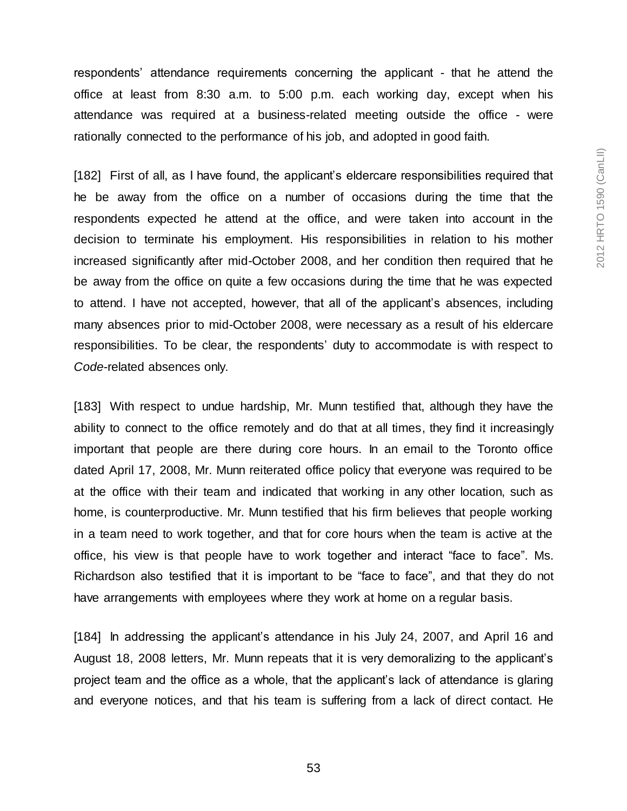respondents' attendance requirements concerning the applicant - that he attend the office at least from 8:30 a.m. to 5:00 p.m. each working day, except when his attendance was required at a business-related meeting outside the office - were rationally connected to the performance of his job, and adopted in good faith.

[182] First of all, as I have found, the applicant's eldercare responsibilities required that he be away from the office on a number of occasions during the time that the respondents expected he attend at the office, and were taken into account in the decision to terminate his employment. His responsibilities in relation to his mother increased significantly after mid-October 2008, and her condition then required that he be away from the office on quite a few occasions during the time that he was expected to attend. I have not accepted, however, that all of the applicant's absences, including many absences prior to mid-October 2008, were necessary as a result of his eldercare responsibilities. To be clear, the respondents' duty to accommodate is with respect to *Code*-related absences only.

[183] With respect to undue hardship, Mr. Munn testified that, although they have the ability to connect to the office remotely and do that at all times, they find it increasingly important that people are there during core hours. In an email to the Toronto office dated April 17, 2008, Mr. Munn reiterated office policy that everyone was required to be at the office with their team and indicated that working in any other location, such as home, is counterproductive. Mr. Munn testified that his firm believes that people working in a team need to work together, and that for core hours when the team is active at the office, his view is that people have to work together and interact "face to face". Ms. Richardson also testified that it is important to be "face to face", and that they do not have arrangements with employees where they work at home on a regular basis.

[184] In addressing the applicant's attendance in his July 24, 2007, and April 16 and August 18, 2008 letters, Mr. Munn repeats that it is very demoralizing to the applicant's project team and the office as a whole, that the applicant's lack of attendance is glaring and everyone notices, and that his team is suffering from a lack of direct contact. He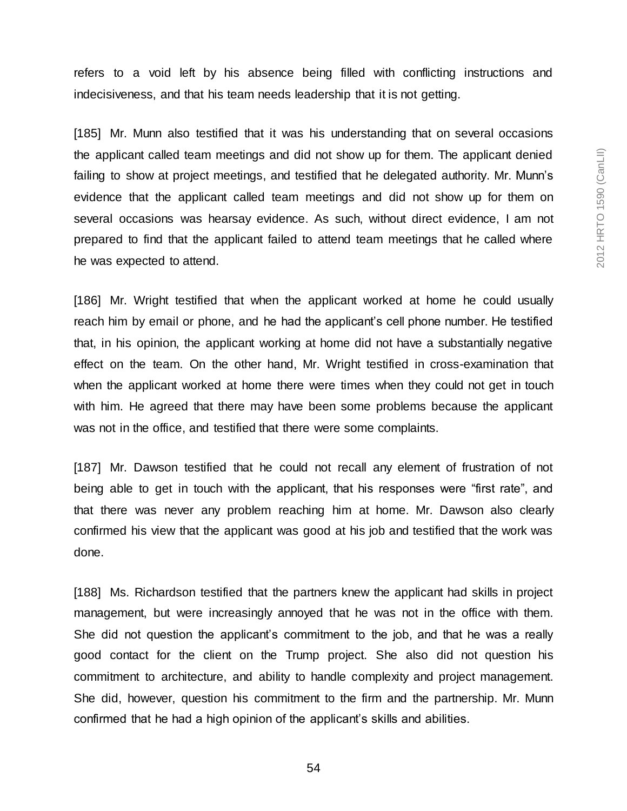refers to a void left by his absence being filled with conflicting instructions and indecisiveness, and that his team needs leadership that it is not getting.

[185] Mr. Munn also testified that it was his understanding that on several occasions the applicant called team meetings and did not show up for them. The applicant denied failing to show at project meetings, and testified that he delegated authority. Mr. Munn's evidence that the applicant called team meetings and did not show up for them on several occasions was hearsay evidence. As such, without direct evidence, I am not prepared to find that the applicant failed to attend team meetings that he called where he was expected to attend.

[186] Mr. Wright testified that when the applicant worked at home he could usually reach him by email or phone, and he had the applicant's cell phone number. He testified that, in his opinion, the applicant working at home did not have a substantially negative effect on the team. On the other hand, Mr. Wright testified in cross-examination that when the applicant worked at home there were times when they could not get in touch with him. He agreed that there may have been some problems because the applicant was not in the office, and testified that there were some complaints.

[187] Mr. Dawson testified that he could not recall any element of frustration of not being able to get in touch with the applicant, that his responses were "first rate", and that there was never any problem reaching him at home. Mr. Dawson also clearly confirmed his view that the applicant was good at his job and testified that the work was done.

[188] Ms. Richardson testified that the partners knew the applicant had skills in project management, but were increasingly annoyed that he was not in the office with them. She did not question the applicant's commitment to the job, and that he was a really good contact for the client on the Trump project. She also did not question his commitment to architecture, and ability to handle complexity and project management. She did, however, question his commitment to the firm and the partnership. Mr. Munn confirmed that he had a high opinion of the applicant's skills and abilities.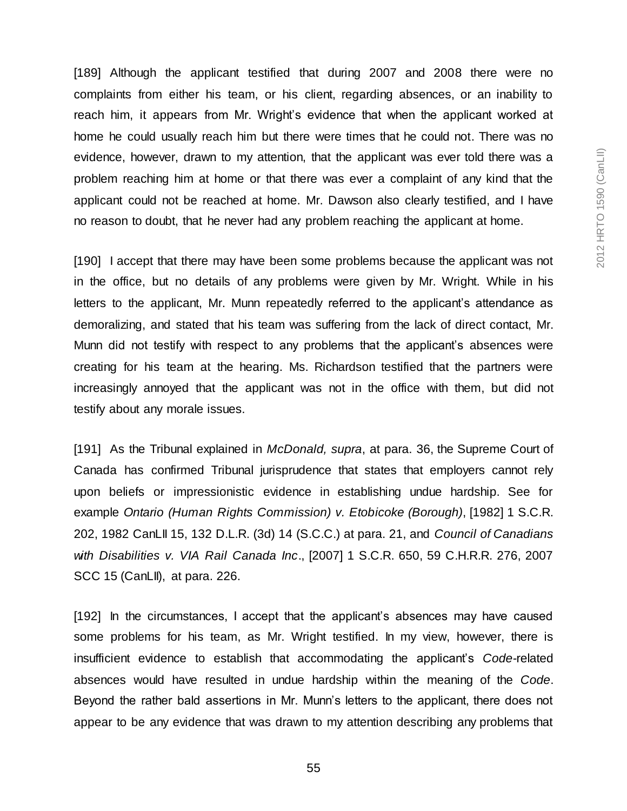[189] Although the applicant testified that during 2007 and 2008 there were no complaints from either his team, or his client, regarding absences, or an inability to reach him, it appears from Mr. Wright's evidence that when the applicant worked at home he could usually reach him but there were times that he could not. There was no evidence, however, drawn to my attention, that the applicant was ever told there was a problem reaching him at home or that there was ever a complaint of any kind that the applicant could not be reached at home. Mr. Dawson also clearly testified, and I have no reason to doubt, that he never had any problem reaching the applicant at home.

[190] I accept that there may have been some problems because the applicant was not in the office, but no details of any problems were given by Mr. Wright. While in his letters to the applicant, Mr. Munn repeatedly referred to the applicant's attendance as demoralizing, and stated that his team was suffering from the lack of direct contact, Mr. Munn did not testify with respect to any problems that the applicant's absences were creating for his team at the hearing. Ms. Richardson testified that the partners were increasingly annoyed that the applicant was not in the office with them, but did not testify about any morale issues.

[191] As the Tribunal explained in *McDonald, supra*, at para. 36, the Supreme Court of Canada has confirmed Tribunal jurisprudence that states that employers cannot rely upon beliefs or impressionistic evidence in establishing undue hardship. See for example *Ontario (Human Rights Commission) v. Etobicoke (Borough)*, [1982] 1 S.C.R. 202, 1982 CanLII 15, 132 D.L.R. (3d) 14 (S.C.C.) at para. 21, and *Council of Canadians with Disabilities v. VIA Rail Canada Inc*., [2007] 1 S.C.R. 650, 59 C.H.R.R. 276, 2007 SCC 15 (CanLII), at para. 226.

[192] In the circumstances, I accept that the applicant's absences may have caused some problems for his team, as Mr. Wright testified. In my view, however, there is insufficient evidence to establish that accommodating the applicant's *Code-*related absences would have resulted in undue hardship within the meaning of the *Code*. Beyond the rather bald assertions in Mr. Munn's letters to the applicant, there does not appear to be any evidence that was drawn to my attention describing any problems that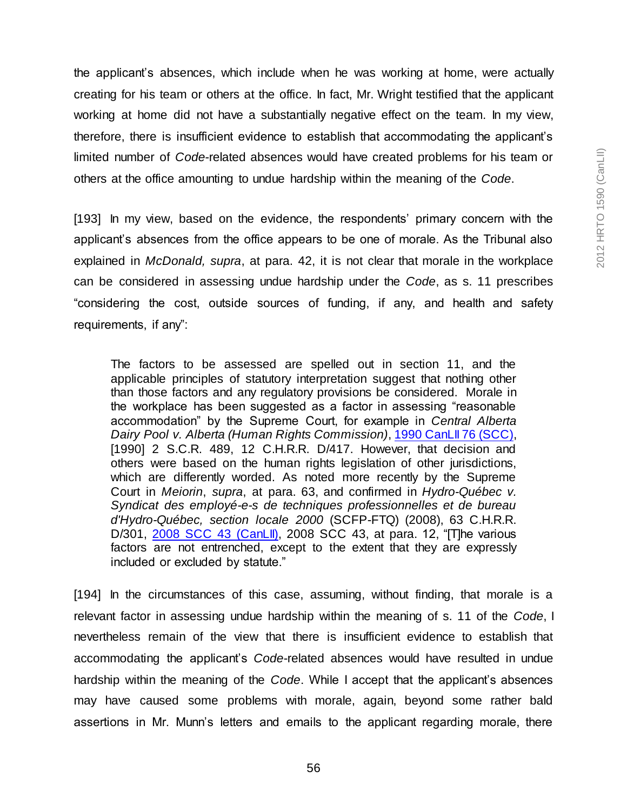the applicant's absences, which include when he was working at home, were actually creating for his team or others at the office. In fact, Mr. Wright testified that the applicant working at home did not have a substantially negative effect on the team. In my view, therefore, there is insufficient evidence to establish that accommodating the applicant's limited number of *Code*-related absences would have created problems for his team or others at the office amounting to undue hardship within the meaning of the *Code*.

[193] In my view, based on the evidence, the respondents' primary concern with the applicant's absences from the office appears to be one of morale. As the Tribunal also explained in *McDonald, supra*, at para. 42, it is not clear that morale in the workplace can be considered in assessing undue hardship under the *Code*, as s. 11 prescribes "considering the cost, outside sources of funding, if any, and health and safety requirements, if any":

The factors to be assessed are spelled out in section 11, and the applicable principles of statutory interpretation suggest that nothing other than those factors and any regulatory provisions be considered. Morale in the workplace has been suggested as a factor in assessing "reasonable accommodation" by the Supreme Court, for example in *Central Alberta Dairy Pool v. Alberta (Human Rights Commission)*[, 1990 CanLII 76 \(SCC\),](http://www.canlii.org/en/ca/scc/doc/1990/1990canlii76/1990canlii76.html) [1990] 2 S.C.R. 489, 12 C.H.R.R. D/417. However, that decision and others were based on the human rights legislation of other jurisdictions, which are differently worded. As noted more recently by the Supreme Court in *Meiorin*, *supra*, at para. 63, and confirmed in *Hydro-Québec v. Syndicat des employé-e-s de techniques professionnelles et de bureau d'Hydro-Québec, section locale 2000* (SCFP-FTQ) (2008), 63 C.H.R.R. D/301, [2008 SCC 43 \(CanLII\),](http://www.canlii.org/en/ca/scc/doc/2008/2008scc43/2008scc43.html) 2008 SCC 43, at para. 12, "[T]he various factors are not entrenched, except to the extent that they are expressly included or excluded by statute."

[194] In the circumstances of this case, assuming, without finding, that morale is a relevant factor in assessing undue hardship within the meaning of s. 11 of the *Code*, I nevertheless remain of the view that there is insufficient evidence to establish that accommodating the applicant's *Code*-related absences would have resulted in undue hardship within the meaning of the *Code*. While I accept that the applicant's absences may have caused some problems with morale, again, beyond some rather bald assertions in Mr. Munn's letters and emails to the applicant regarding morale, there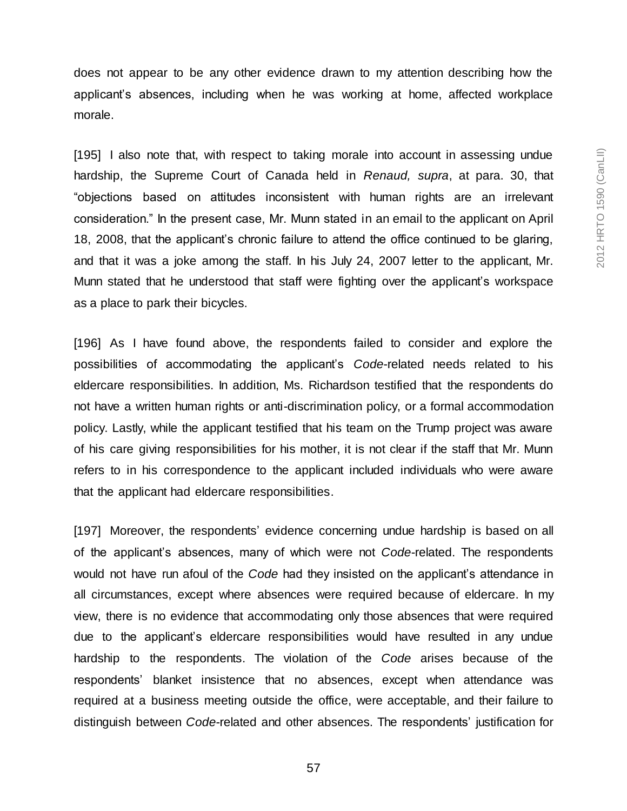does not appear to be any other evidence drawn to my attention describing how the applicant's absences, including when he was working at home, affected workplace morale.

[195] I also note that, with respect to taking morale into account in assessing undue hardship, the Supreme Court of Canada held in *Renaud, supra*, at para. 30, that "objections based on attitudes inconsistent with human rights are an irrelevant consideration." In the present case, Mr. Munn stated in an email to the applicant on April 18, 2008, that the applicant's chronic failure to attend the office continued to be glaring, and that it was a joke among the staff. In his July 24, 2007 letter to the applicant, Mr. Munn stated that he understood that staff were fighting over the applicant's workspace as a place to park their bicycles.

[196] As I have found above, the respondents failed to consider and explore the possibilities of accommodating the applicant's *Code*-related needs related to his eldercare responsibilities. In addition, Ms. Richardson testified that the respondents do not have a written human rights or anti-discrimination policy, or a formal accommodation policy. Lastly, while the applicant testified that his team on the Trump project was aware of his care giving responsibilities for his mother, it is not clear if the staff that Mr. Munn refers to in his correspondence to the applicant included individuals who were aware that the applicant had eldercare responsibilities.

[197] Moreover, the respondents' evidence concerning undue hardship is based on all of the applicant's absences, many of which were not *Code*-related. The respondents would not have run afoul of the *Code* had they insisted on the applicant's attendance in all circumstances, except where absences were required because of eldercare. In my view, there is no evidence that accommodating only those absences that were required due to the applicant's eldercare responsibilities would have resulted in any undue hardship to the respondents. The violation of the *Code* arises because of the respondents' blanket insistence that no absences, except when attendance was required at a business meeting outside the office, were acceptable, and their failure to distinguish between *Code*-related and other absences. The respondents' justification for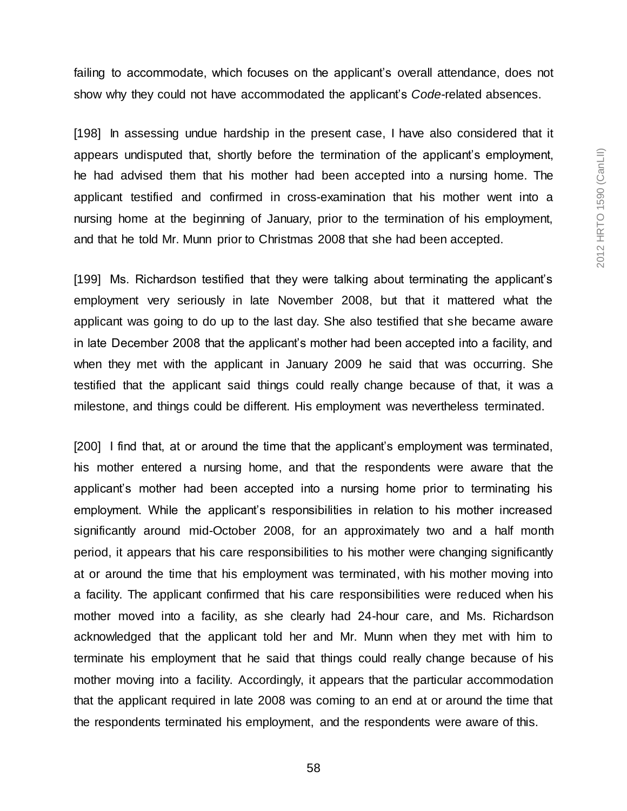failing to accommodate, which focuses on the applicant's overall attendance, does not show why they could not have accommodated the applicant's *Code*-related absences.

[198] In assessing undue hardship in the present case, I have also considered that it appears undisputed that, shortly before the termination of the applicant's employment, he had advised them that his mother had been accepted into a nursing home. The applicant testified and confirmed in cross-examination that his mother went into a nursing home at the beginning of January, prior to the termination of his employment, and that he told Mr. Munn prior to Christmas 2008 that she had been accepted.

[199] Ms. Richardson testified that they were talking about terminating the applicant's employment very seriously in late November 2008, but that it mattered what the applicant was going to do up to the last day. She also testified that she became aware in late December 2008 that the applicant's mother had been accepted into a facility, and when they met with the applicant in January 2009 he said that was occurring. She testified that the applicant said things could really change because of that, it was a milestone, and things could be different. His employment was nevertheless terminated.

[200] I find that, at or around the time that the applicant's employment was terminated, his mother entered a nursing home, and that the respondents were aware that the applicant's mother had been accepted into a nursing home prior to terminating his employment. While the applicant's responsibilities in relation to his mother increased significantly around mid-October 2008, for an approximately two and a half month period, it appears that his care responsibilities to his mother were changing significantly at or around the time that his employment was terminated, with his mother moving into a facility. The applicant confirmed that his care responsibilities were reduced when his mother moved into a facility, as she clearly had 24-hour care, and Ms. Richardson acknowledged that the applicant told her and Mr. Munn when they met with him to terminate his employment that he said that things could really change because of his mother moving into a facility. Accordingly, it appears that the particular accommodation that the applicant required in late 2008 was coming to an end at or around the time that the respondents terminated his employment, and the respondents were aware of this.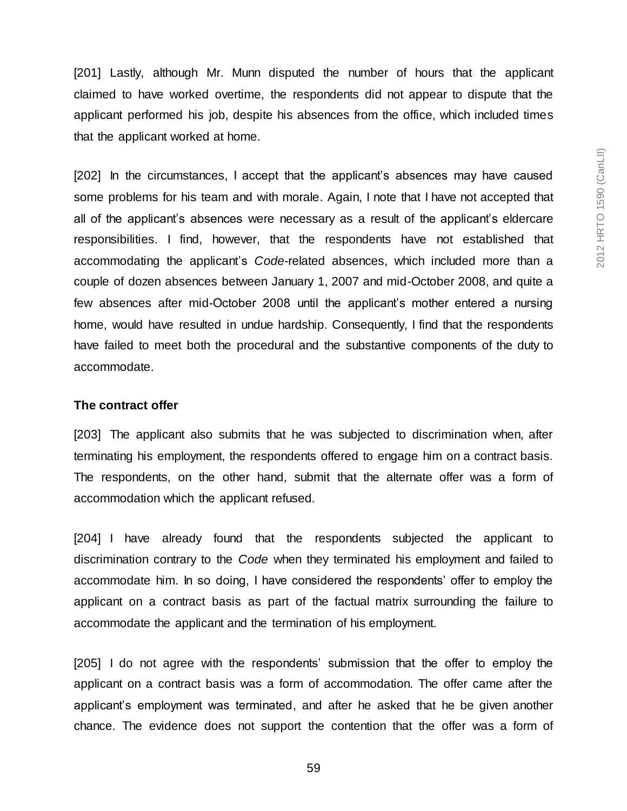[201] Lastly, although Mr. Munn disputed the number of hours that the applicant claimed to have worked overtime, the respondents did not appear to dispute that the applicant performed his job, despite his absences from the office, which included times that the applicant worked at home.

[202] In the circumstances, I accept that the applicant's absences may have caused some problems for his team and with morale. Again, I note that I have not accepted that all of the applicant's absences were necessary as a result of the applicant's eldercare responsibilities. I find, however, that the respondents have not established that accommodating the applicant's *Code*-related absences, which included more than a couple of dozen absences between January 1, 2007 and mid-October 2008, and quite a few absences after mid-October 2008 until the applicant's mother entered a nursing home, would have resulted in undue hardship. Consequently, I find that the respondents have failed to meet both the procedural and the substantive components of the duty to accommodate.

#### **The contract offer**

[203] The applicant also submits that he was subjected to discrimination when, after terminating his employment, the respondents offered to engage him on a contract basis. The respondents, on the other hand, submit that the alternate offer was a form of accommodation which the applicant refused.

[204] I have already found that the respondents subjected the applicant to discrimination contrary to the *Code* when they terminated his employment and failed to accommodate him. In so doing, I have considered the respondents' offer to employ the applicant on a contract basis as part of the factual matrix surrounding the failure to accommodate the applicant and the termination of his employment.

[205] I do not agree with the respondents' submission that the offer to employ the applicant on a contract basis was a form of accommodation. The offer came after the applicant's employment was terminated, and after he asked that he be given another chance. The evidence does not support the contention that the offer was a form of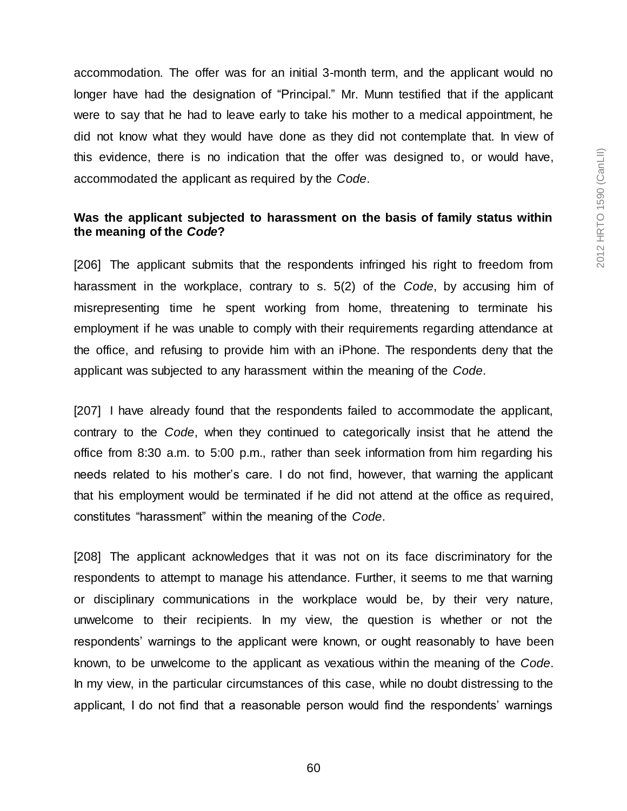accommodation. The offer was for an initial 3-month term, and the applicant would no longer have had the designation of "Principal." Mr. Munn testified that if the applicant were to say that he had to leave early to take his mother to a medical appointment, he did not know what they would have done as they did not contemplate that. In view of this evidence, there is no indication that the offer was designed to, or would have, accommodated the applicant as required by the *Code*.

### **Was the applicant subjected to harassment on the basis of family status within the meaning of the** *Code***?**

[206] The applicant submits that the respondents infringed his right to freedom from harassment in the workplace, contrary to s. 5(2) of the *Code*, by accusing him of misrepresenting time he spent working from home, threatening to terminate his employment if he was unable to comply with their requirements regarding attendance at the office, and refusing to provide him with an iPhone. The respondents deny that the applicant was subjected to any harassment within the meaning of the *Code*.

[207] I have already found that the respondents failed to accommodate the applicant, contrary to the *Code*, when they continued to categorically insist that he attend the office from 8:30 a.m. to 5:00 p.m., rather than seek information from him regarding his needs related to his mother's care. I do not find, however, that warning the applicant that his employment would be terminated if he did not attend at the office as required, constitutes "harassment" within the meaning of the *Code*.

[208] The applicant acknowledges that it was not on its face discriminatory for the respondents to attempt to manage his attendance. Further, it seems to me that warning or disciplinary communications in the workplace would be, by their very nature, unwelcome to their recipients. In my view, the question is whether or not the respondents' warnings to the applicant were known, or ought reasonably to have been known, to be unwelcome to the applicant as vexatious within the meaning of the *Code*. In my view, in the particular circumstances of this case, while no doubt distressing to the applicant, I do not find that a reasonable person would find the respondents' warnings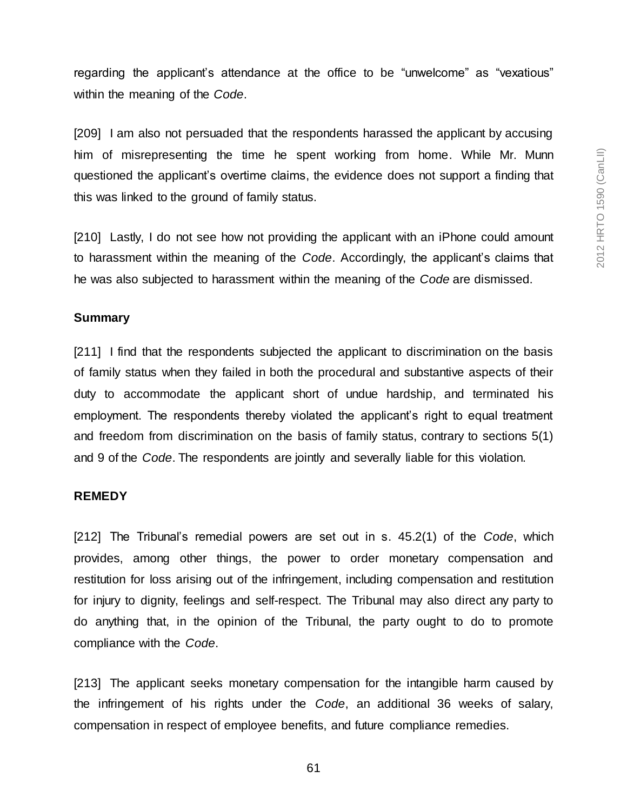regarding the applicant's attendance at the office to be "unwelcome" as "vexatious" within the meaning of the *Code*.

[209] I am also not persuaded that the respondents harassed the applicant by accusing him of misrepresenting the time he spent working from home. While Mr. Munn questioned the applicant's overtime claims, the evidence does not support a finding that this was linked to the ground of family status.

[210] Lastly, I do not see how not providing the applicant with an iPhone could amount to harassment within the meaning of the *Code*. Accordingly, the applicant's claims that he was also subjected to harassment within the meaning of the *Code* are dismissed.

#### **Summary**

[211] I find that the respondents subjected the applicant to discrimination on the basis of family status when they failed in both the procedural and substantive aspects of their duty to accommodate the applicant short of undue hardship, and terminated his employment. The respondents thereby violated the applicant's right to equal treatment and freedom from discrimination on the basis of family status, contrary to sections 5(1) and 9 of the *Code*. The respondents are jointly and severally liable for this violation.

#### **REMEDY**

[212] The Tribunal's remedial powers are set out in s. 45.2(1) of the *Code*, which provides, among other things, the power to order monetary compensation and restitution for loss arising out of the infringement, including compensation and restitution for injury to dignity, feelings and self-respect. The Tribunal may also direct any party to do anything that, in the opinion of the Tribunal, the party ought to do to promote compliance with the *Code*.

[213] The applicant seeks monetary compensation for the intangible harm caused by the infringement of his rights under the *Code*, an additional 36 weeks of salary, compensation in respect of employee benefits, and future compliance remedies.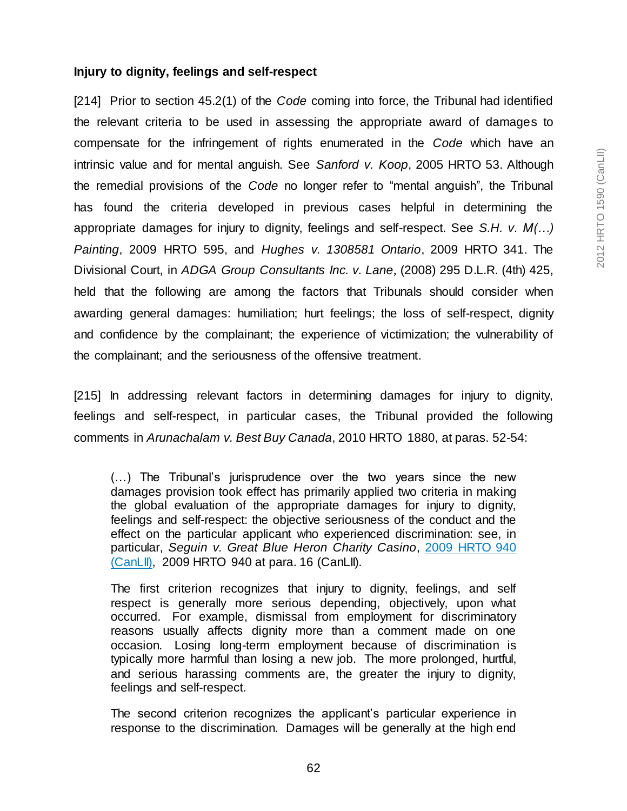#### **Injury to dignity, feelings and self-respect**

[214] Prior to section 45.2(1) of the *Code* coming into force, the Tribunal had identified the relevant criteria to be used in assessing the appropriate award of damages to compensate for the infringement of rights enumerated in the *Code* which have an intrinsic value and for mental anguish. See *Sanford v. Koop*, 2005 HRTO 53. Although the remedial provisions of the *Code* no longer refer to "mental anguish", the Tribunal has found the criteria developed in previous cases helpful in determining the appropriate damages for injury to dignity, feelings and self-respect. See *S.H. v. M(…) Painting*, 2009 HRTO 595, and *Hughes v. 1308581 Ontario*, 2009 HRTO 341. The Divisional Court, in *ADGA Group Consultants Inc. v. Lane*, (2008) 295 D.L.R. (4th) 425, held that the following are among the factors that Tribunals should consider when awarding general damages: humiliation; hurt feelings; the loss of self-respect, dignity and confidence by the complainant; the experience of victimization; the vulnerability of the complainant; and the seriousness of the offensive treatment.

[215] In addressing relevant factors in determining damages for injury to dignity, feelings and self-respect, in particular cases, the Tribunal provided the following comments in *Arunachalam v. Best Buy Canada*, 2010 HRTO 1880, at paras. 52-54:

(…) The Tribunal's jurisprudence over the two years since the new damages provision took effect has primarily applied two criteria in making the global evaluation of the appropriate damages for injury to dignity, feelings and self-respect: the objective seriousness of the conduct and the effect on the particular applicant who experienced discrimination: see, in particular, *Seguin v. Great Blue Heron Charity Casino*, [2009 HRTO 940](http://www.canlii.org/en/on/onhrt/doc/2009/2009hrto940/2009hrto940.html)  [\(CanLII\),](http://www.canlii.org/en/on/onhrt/doc/2009/2009hrto940/2009hrto940.html) 2009 HRTO 940 at para. 16 (CanLII).

The first criterion recognizes that injury to dignity, feelings, and self respect is generally more serious depending, objectively, upon what occurred. For example, dismissal from employment for discriminatory reasons usually affects dignity more than a comment made on one occasion. Losing long-term employment because of discrimination is typically more harmful than losing a new job. The more prolonged, hurtful, and serious harassing comments are, the greater the injury to dignity, feelings and self-respect.

The second criterion recognizes the applicant's particular experience in response to the discrimination. Damages will be generally at the high end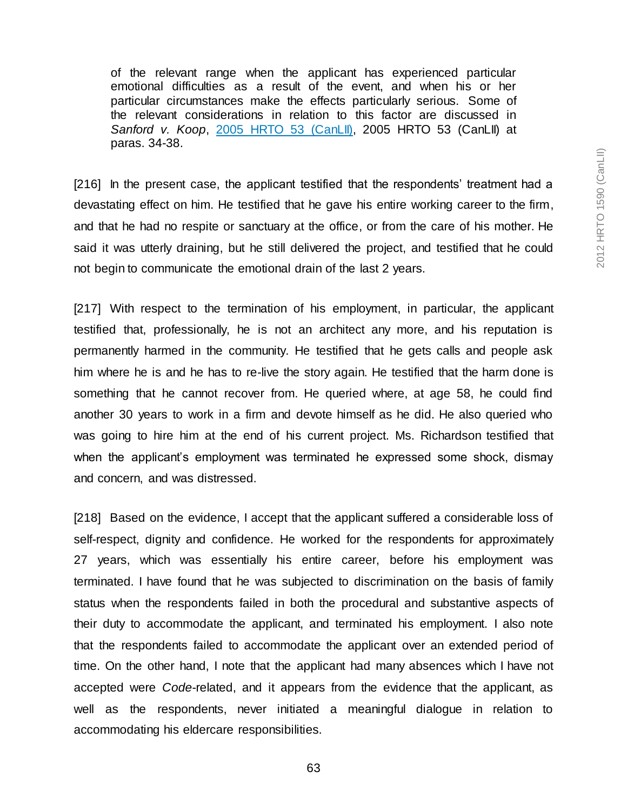of the relevant range when the applicant has experienced particular emotional difficulties as a result of the event, and when his or her particular circumstances make the effects particularly serious. Some of the relevant considerations in relation to this factor are discussed in *Sanford v. Koop*, [2005 HRTO 53 \(CanLII\),](http://www.canlii.org/en/on/onhrt/doc/2005/2005hrto53/2005hrto53.html) 2005 HRTO 53 (CanLII) at paras. 34-38.

[216] In the present case, the applicant testified that the respondents' treatment had a devastating effect on him. He testified that he gave his entire working career to the firm, and that he had no respite or sanctuary at the office, or from the care of his mother. He said it was utterly draining, but he still delivered the project, and testified that he could not begin to communicate the emotional drain of the last 2 years.

[217] With respect to the termination of his employment, in particular, the applicant testified that, professionally, he is not an architect any more, and his reputation is permanently harmed in the community. He testified that he gets calls and people ask him where he is and he has to re-live the story again. He testified that the harm done is something that he cannot recover from. He queried where, at age 58, he could find another 30 years to work in a firm and devote himself as he did. He also queried who was going to hire him at the end of his current project. Ms. Richardson testified that when the applicant's employment was terminated he expressed some shock, dismay and concern, and was distressed.

[218] Based on the evidence, I accept that the applicant suffered a considerable loss of self-respect, dignity and confidence. He worked for the respondents for approximately 27 years, which was essentially his entire career, before his employment was terminated. I have found that he was subjected to discrimination on the basis of family status when the respondents failed in both the procedural and substantive aspects of their duty to accommodate the applicant, and terminated his employment. I also note that the respondents failed to accommodate the applicant over an extended period of time. On the other hand, I note that the applicant had many absences which I have not accepted were *Code*-related, and it appears from the evidence that the applicant, as well as the respondents, never initiated a meaningful dialogue in relation to accommodating his eldercare responsibilities.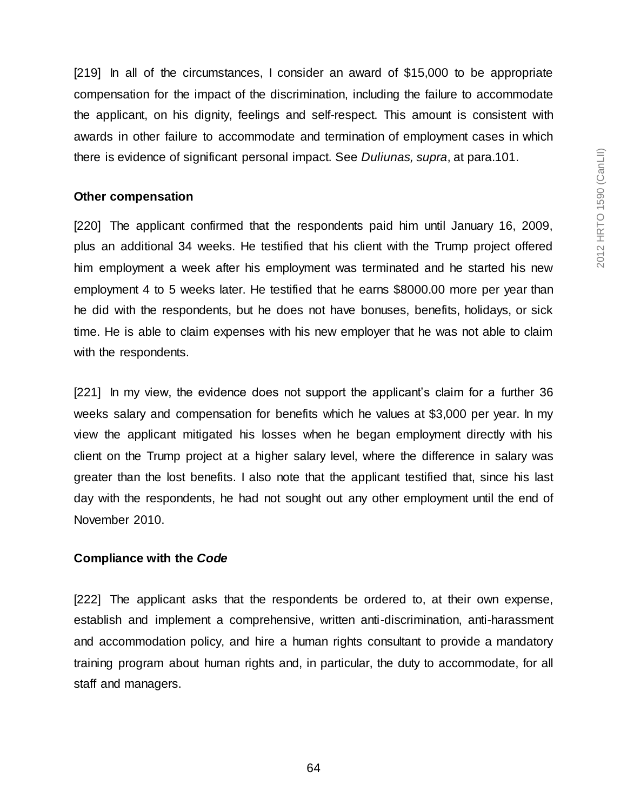[219] In all of the circumstances, I consider an award of \$15,000 to be appropriate compensation for the impact of the discrimination, including the failure to accommodate the applicant, on his dignity, feelings and self-respect. This amount is consistent with awards in other failure to accommodate and termination of employment cases in which there is evidence of significant personal impact. See *Duliunas, supra*, at para.101.

#### **Other compensation**

[220] The applicant confirmed that the respondents paid him until January 16, 2009, plus an additional 34 weeks. He testified that his client with the Trump project offered him employment a week after his employment was terminated and he started his new employment 4 to 5 weeks later. He testified that he earns \$8000.00 more per year than he did with the respondents, but he does not have bonuses, benefits, holidays, or sick time. He is able to claim expenses with his new employer that he was not able to claim with the respondents.

[221] In my view, the evidence does not support the applicant's claim for a further 36 weeks salary and compensation for benefits which he values at \$3,000 per year. In my view the applicant mitigated his losses when he began employment directly with his client on the Trump project at a higher salary level, where the difference in salary was greater than the lost benefits. I also note that the applicant testified that, since his last day with the respondents, he had not sought out any other employment until the end of November 2010.

#### **Compliance with the** *Code*

[222] The applicant asks that the respondents be ordered to, at their own expense, establish and implement a comprehensive, written anti-discrimination, anti-harassment and accommodation policy, and hire a human rights consultant to provide a mandatory training program about human rights and, in particular, the duty to accommodate, for all staff and managers.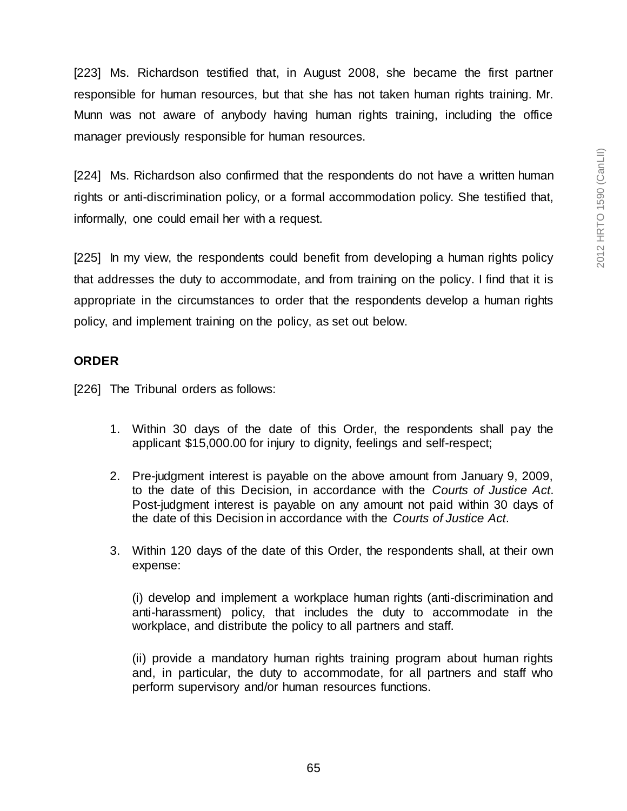[223] Ms. Richardson testified that, in August 2008, she became the first partner responsible for human resources, but that she has not taken human rights training. Mr. Munn was not aware of anybody having human rights training, including the office manager previously responsible for human resources.

[224] Ms. Richardson also confirmed that the respondents do not have a written human rights or anti-discrimination policy, or a formal accommodation policy. She testified that, informally, one could email her with a request.

[225] In my view, the respondents could benefit from developing a human rights policy that addresses the duty to accommodate, and from training on the policy. I find that it is appropriate in the circumstances to order that the respondents develop a human rights policy, and implement training on the policy, as set out below.

# **ORDER**

[226] The Tribunal orders as follows:

- 1. Within 30 days of the date of this Order, the respondents shall pay the applicant \$15,000.00 for injury to dignity, feelings and self-respect;
- 2. Pre-judgment interest is payable on the above amount from January 9, 2009, to the date of this Decision, in accordance with the *Courts of Justice Act*. Post-judgment interest is payable on any amount not paid within 30 days of the date of this Decision in accordance with the *Courts of Justice Act*.
- 3. Within 120 days of the date of this Order, the respondents shall, at their own expense:

(i) develop and implement a workplace human rights (anti-discrimination and anti-harassment) policy, that includes the duty to accommodate in the workplace, and distribute the policy to all partners and staff.

(ii) provide a mandatory human rights training program about human rights and, in particular, the duty to accommodate, for all partners and staff who perform supervisory and/or human resources functions.